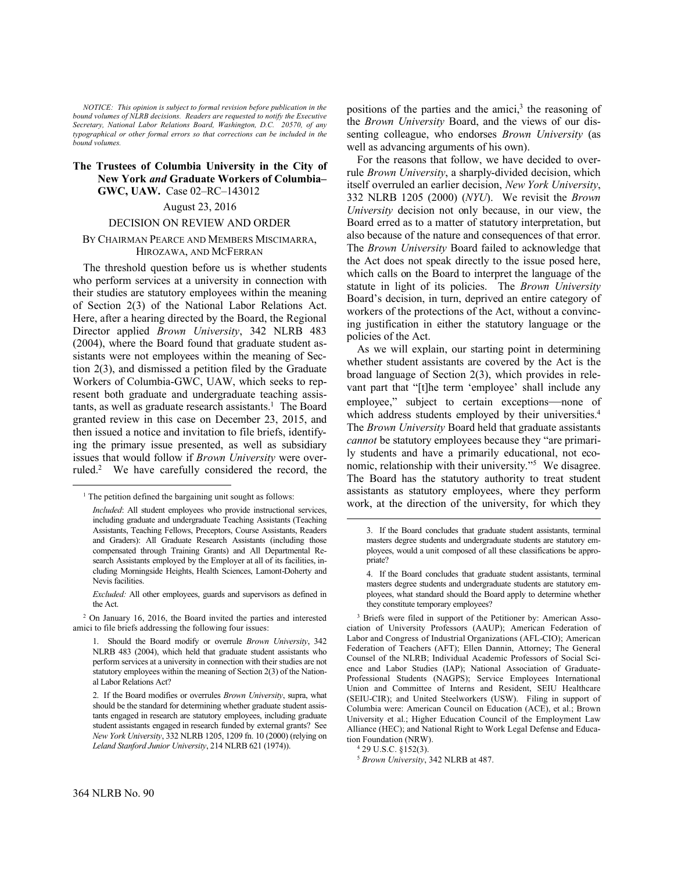*NOTICE: This opinion is subject to formal revision before publication in the bound volumes of NLRB decisions. Readers are requested to notify the Executive Secretary, National Labor Relations Board, Washington, D.C. 20570, of any typographical or other formal errors so that corrections can be included in the bound volumes.*

### **The Trustees of Columbia University in the City of New York** *and* **Graduate Workers of Columbia– GWC, UAW.** Case 02–RC–143012

# August 23, 2016

### DECISION ON REVIEW AND ORDER

# BY CHAIRMAN PEARCE AND MEMBERS MISCIMARRA, HIROZAWA, AND MCFERRAN

The threshold question before us is whether students who perform services at a university in connection with their studies are statutory employees within the meaning of Section 2(3) of the National Labor Relations Act. Here, after a hearing directed by the Board, the Regional Director applied *Brown University*, 342 NLRB 483 (2004), where the Board found that graduate student assistants were not employees within the meaning of Section 2(3), and dismissed a petition filed by the Graduate Workers of Columbia-GWC, UAW, which seeks to represent both graduate and undergraduate teaching assistants, as well as graduate research assistants.<sup>1</sup> The Board granted review in this case on December 23, 2015, and then issued a notice and invitation to file briefs, identifying the primary issue presented, as well as subsidiary issues that would follow if *Brown University* were overruled.<sup>2</sup> We have carefully considered the record, the

positions of the parties and the amici, $3$  the reasoning of the *Brown University* Board, and the views of our dissenting colleague, who endorses *Brown University* (as well as advancing arguments of his own).

For the reasons that follow, we have decided to overrule *Brown University*, a sharply-divided decision, which itself overruled an earlier decision, *New York University*, 332 NLRB 1205 (2000) (*NYU*). We revisit the *Brown University* decision not only because, in our view, the Board erred as to a matter of statutory interpretation, but also because of the nature and consequences of that error. The *Brown University* Board failed to acknowledge that the Act does not speak directly to the issue posed here, which calls on the Board to interpret the language of the statute in light of its policies. The *Brown University* Board's decision, in turn, deprived an entire category of workers of the protections of the Act, without a convincing justification in either the statutory language or the policies of the Act.

As we will explain, our starting point in determining whether student assistants are covered by the Act is the broad language of Section 2(3), which provides in relevant part that "[t]he term 'employee' shall include any employee," subject to certain exceptions—none of which address students employed by their universities.<sup>4</sup> The *Brown University* Board held that graduate assistants *cannot* be statutory employees because they "are primarily students and have a primarily educational, not economic, relationship with their university."<sup>5</sup> We disagree. The Board has the statutory authority to treat student assistants as statutory employees, where they perform work, at the direction of the university, for which they

 $\overline{a}$ 

1

<sup>&</sup>lt;sup>1</sup> The petition defined the bargaining unit sought as follows:

*Included*: All student employees who provide instructional services, including graduate and undergraduate Teaching Assistants (Teaching Assistants, Teaching Fellows, Preceptors, Course Assistants, Readers and Graders): All Graduate Research Assistants (including those compensated through Training Grants) and All Departmental Research Assistants employed by the Employer at all of its facilities, including Morningside Heights, Health Sciences, Lamont-Doherty and Nevis facilities.

*Excluded:* All other employees, guards and supervisors as defined in the Act.

<sup>2</sup> On January 16, 2016, the Board invited the parties and interested amici to file briefs addressing the following four issues:

<sup>1.</sup> Should the Board modify or overrule *Brown University*, 342 NLRB 483 (2004), which held that graduate student assistants who perform services at a university in connection with their studies are not statutory employees within the meaning of Section 2(3) of the National Labor Relations Act?

<sup>2.</sup> If the Board modifies or overrules *Brown University*, supra, what should be the standard for determining whether graduate student assistants engaged in research are statutory employees, including graduate student assistants engaged in research funded by external grants? See *New York University*, 332 NLRB 1205, 1209 fn. 10 (2000) (relying on *Leland Stanford Junior University*, 214 NLRB 621 (1974)).

<sup>3.</sup> If the Board concludes that graduate student assistants, terminal masters degree students and undergraduate students are statutory employees, would a unit composed of all these classifications be appropriate?

<sup>4.</sup> If the Board concludes that graduate student assistants, terminal masters degree students and undergraduate students are statutory employees, what standard should the Board apply to determine whether they constitute temporary employees?

<sup>3</sup> Briefs were filed in support of the Petitioner by: American Association of University Professors (AAUP); American Federation of Labor and Congress of Industrial Organizations (AFL-CIO); American Federation of Teachers (AFT); Ellen Dannin, Attorney; The General Counsel of the NLRB; Individual Academic Professors of Social Science and Labor Studies (IAP); National Association of Graduate-Professional Students (NAGPS); Service Employees International Union and Committee of Interns and Resident, SEIU Healthcare (SEIU-CIR); and United Steelworkers (USW). Filing in support of Columbia were: American Council on Education (ACE), et al.; Brown University et al.; Higher Education Council of the Employment Law Alliance (HEC); and National Right to Work Legal Defense and Education Foundation (NRW).

<sup>4</sup> 29 U.S.C. §152(3).

<sup>5</sup> *Brown University*, 342 NLRB at 487.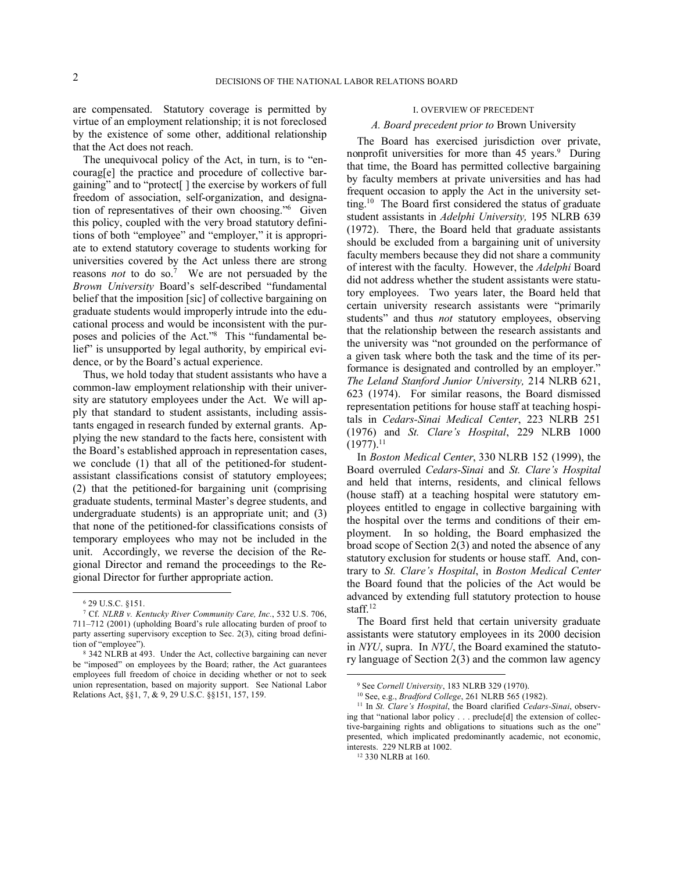are compensated. Statutory coverage is permitted by virtue of an employment relationship; it is not foreclosed by the existence of some other, additional relationship that the Act does not reach.

The unequivocal policy of the Act, in turn, is to "encourag[e] the practice and procedure of collective bargaining" and to "protect[ ] the exercise by workers of full freedom of association, self-organization, and designation of representatives of their own choosing."<sup>6</sup> Given this policy, coupled with the very broad statutory definitions of both "employee" and "employer," it is appropriate to extend statutory coverage to students working for universities covered by the Act unless there are strong reasons *not* to do so.<sup>7</sup> We are not persuaded by the *Brown University* Board's self-described "fundamental belief that the imposition [sic] of collective bargaining on graduate students would improperly intrude into the educational process and would be inconsistent with the purposes and policies of the Act."<sup>8</sup> This "fundamental belief" is unsupported by legal authority, by empirical evidence, or by the Board's actual experience.

Thus, we hold today that student assistants who have a common-law employment relationship with their university are statutory employees under the Act. We will apply that standard to student assistants, including assistants engaged in research funded by external grants. Applying the new standard to the facts here, consistent with the Board's established approach in representation cases, we conclude (1) that all of the petitioned-for studentassistant classifications consist of statutory employees; (2) that the petitioned-for bargaining unit (comprising graduate students, terminal Master's degree students, and undergraduate students) is an appropriate unit; and (3) that none of the petitioned-for classifications consists of temporary employees who may not be included in the unit. Accordingly, we reverse the decision of the Regional Director and remand the proceedings to the Regional Director for further appropriate action.

<u>.</u>

#### I. OVERVIEW OF PRECEDENT

### *A. Board precedent prior to* Brown University

The Board has exercised jurisdiction over private, nonprofit universities for more than 45 years.<sup>9</sup> During that time, the Board has permitted collective bargaining by faculty members at private universities and has had frequent occasion to apply the Act in the university setting.<sup>10</sup> The Board first considered the status of graduate student assistants in *Adelphi University,* 195 NLRB 639 (1972). There, the Board held that graduate assistants should be excluded from a bargaining unit of university faculty members because they did not share a community of interest with the faculty. However, the *Adelphi* Board did not address whether the student assistants were statutory employees. Two years later, the Board held that certain university research assistants were "primarily students" and thus *not* statutory employees, observing that the relationship between the research assistants and the university was "not grounded on the performance of a given task where both the task and the time of its performance is designated and controlled by an employer." *The Leland Stanford Junior University,* 214 NLRB 621, 623 (1974). For similar reasons, the Board dismissed representation petitions for house staff at teaching hospitals in *Cedars-Sinai Medical Center*, 223 NLRB 251 (1976) and *St. Clare's Hospital*, 229 NLRB 1000  $(1977).^{11}$ 

In *Boston Medical Center*, 330 NLRB 152 (1999), the Board overruled *Cedars-Sinai* and *St. Clare's Hospital* and held that interns, residents, and clinical fellows (house staff) at a teaching hospital were statutory employees entitled to engage in collective bargaining with the hospital over the terms and conditions of their employment. In so holding, the Board emphasized the broad scope of Section 2(3) and noted the absence of any statutory exclusion for students or house staff. And, contrary to *St. Clare's Hospital*, in *Boston Medical Center* the Board found that the policies of the Act would be advanced by extending full statutory protection to house staff.<sup>12</sup>

The Board first held that certain university graduate assistants were statutory employees in its 2000 decision in *NYU*, supra. In *NYU*, the Board examined the statutory language of Section 2(3) and the common law agency

<sup>6</sup> 29 U.S.C. §151.

<sup>7</sup> Cf. *NLRB v. Kentucky River Community Care, Inc.*, 532 U.S. 706, 711–712 (2001) (upholding Board's rule allocating burden of proof to party asserting supervisory exception to Sec. 2(3), citing broad definition of "employee").

<sup>8</sup> 342 NLRB at 493. Under the Act, collective bargaining can never be "imposed" on employees by the Board; rather, the Act guarantees employees full freedom of choice in deciding whether or not to seek union representation, based on majority support. See National Labor Relations Act, §§1, 7, & 9, 29 U.S.C. §§151, 157, 159.

<sup>9</sup> See *Cornell University*, 183 NLRB 329 (1970).

<sup>10</sup> See, e.g., *Bradford College*, 261 NLRB 565 (1982).

<sup>11</sup> In *St. Clare's Hospital*, the Board clarified *Cedars-Sinai*, observing that "national labor policy . . . preclude[d] the extension of collective-bargaining rights and obligations to situations such as the one" presented, which implicated predominantly academic, not economic, interests. 229 NLRB at 1002.

<sup>12</sup> 330 NLRB at 160.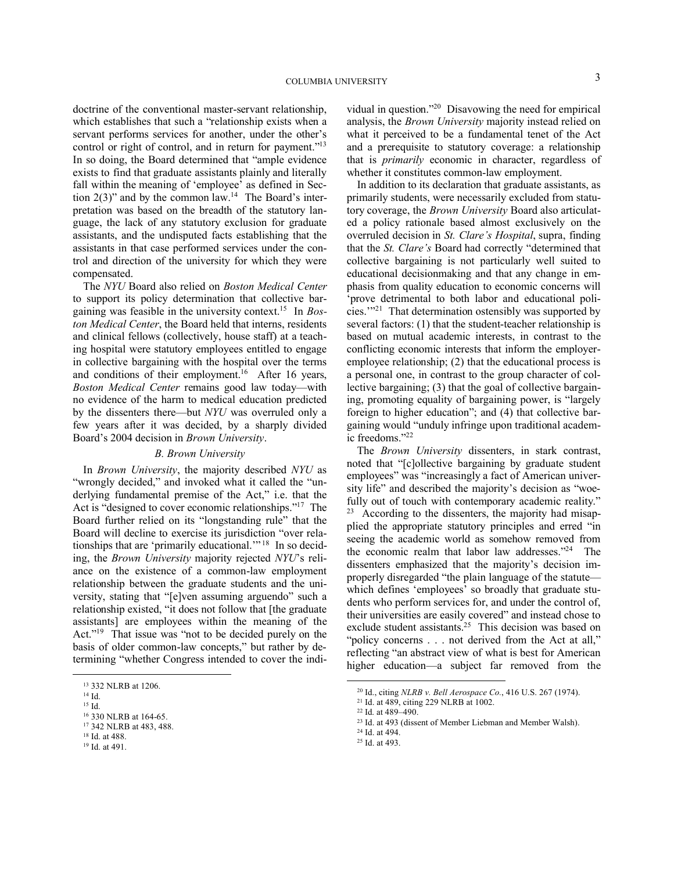doctrine of the conventional master-servant relationship, which establishes that such a "relationship exists when a servant performs services for another, under the other's control or right of control, and in return for payment."<sup>13</sup> In so doing, the Board determined that "ample evidence exists to find that graduate assistants plainly and literally fall within the meaning of 'employee' as defined in Section  $2(3)$ " and by the common law.<sup>14</sup> The Board's interpretation was based on the breadth of the statutory language, the lack of any statutory exclusion for graduate assistants, and the undisputed facts establishing that the assistants in that case performed services under the control and direction of the university for which they were compensated.

The *NYU* Board also relied on *Boston Medical Center* to support its policy determination that collective bargaining was feasible in the university context.<sup>15</sup> In *Boston Medical Center*, the Board held that interns, residents and clinical fellows (collectively, house staff) at a teaching hospital were statutory employees entitled to engage in collective bargaining with the hospital over the terms and conditions of their employment.<sup>16</sup> After 16 years, *Boston Medical Center* remains good law today—with no evidence of the harm to medical education predicted by the dissenters there—but *NYU* was overruled only a few years after it was decided, by a sharply divided Board's 2004 decision in *Brown University*.

## *B. Brown University*

In *Brown University*, the majority described *NYU* as "wrongly decided," and invoked what it called the "underlying fundamental premise of the Act," i.e. that the Act is "designed to cover economic relationships."<sup>17</sup> The Board further relied on its "longstanding rule" that the Board will decline to exercise its jurisdiction "over relationships that are 'primarily educational.'" <sup>18</sup> In so deciding, the *Brown University* majority rejected *NYU*'s reliance on the existence of a common-law employment relationship between the graduate students and the university, stating that "[e]ven assuming arguendo" such a relationship existed, "it does not follow that [the graduate assistants] are employees within the meaning of the Act."<sup>19</sup> That issue was "not to be decided purely on the basis of older common-law concepts," but rather by determining "whether Congress intended to cover the indi-

1

<sup>15</sup> Id.

vidual in question."<sup>20</sup> Disavowing the need for empirical analysis, the *Brown University* majority instead relied on what it perceived to be a fundamental tenet of the Act and a prerequisite to statutory coverage: a relationship that is *primarily* economic in character, regardless of whether it constitutes common-law employment.

In addition to its declaration that graduate assistants, as primarily students, were necessarily excluded from statutory coverage, the *Brown University* Board also articulated a policy rationale based almost exclusively on the overruled decision in *St. Clare's Hospital*, supra, finding that the *St. Clare's* Board had correctly "determined that collective bargaining is not particularly well suited to educational decisionmaking and that any change in emphasis from quality education to economic concerns will 'prove detrimental to both labor and educational policies.'"<sup>21</sup> That determination ostensibly was supported by several factors: (1) that the student-teacher relationship is based on mutual academic interests, in contrast to the conflicting economic interests that inform the employeremployee relationship; (2) that the educational process is a personal one, in contrast to the group character of collective bargaining; (3) that the goal of collective bargaining, promoting equality of bargaining power, is "largely foreign to higher education"; and (4) that collective bargaining would "unduly infringe upon traditional academic freedoms."<sup>22</sup>

The *Brown University* dissenters, in stark contrast, noted that "[c]ollective bargaining by graduate student employees" was "increasingly a fact of American university life" and described the majority's decision as "woefully out of touch with contemporary academic reality." 23 According to the dissenters, the majority had misapplied the appropriate statutory principles and erred "in seeing the academic world as somehow removed from the economic realm that labor law addresses."<sup>24</sup> The dissenters emphasized that the majority's decision improperly disregarded "the plain language of the statute which defines 'employees' so broadly that graduate students who perform services for, and under the control of, their universities are easily covered" and instead chose to exclude student assistants.<sup>25</sup> This decision was based on "policy concerns . . . not derived from the Act at all," reflecting "an abstract view of what is best for American higher education—a subject far removed from the

- <sup>24</sup> Id. at 494.
- <sup>25</sup> Id. at 493.

<sup>13</sup> 332 NLRB at 1206.

 $^{14}$  Id.

<sup>&</sup>lt;sup>16</sup> 330 NLRB at 164-65.

<sup>17</sup> 342 NLRB at 483, 488.

<sup>18</sup> Id. at 488.

<sup>19</sup> Id. at 491.

<sup>20</sup> Id., citing *NLRB v. Bell Aerospace Co.*, 416 U.S. 267 (1974).

<sup>21</sup> Id. at 489, citing 229 NLRB at 1002.

<sup>22</sup> Id. at 489–490.

<sup>23</sup> Id. at 493 (dissent of Member Liebman and Member Walsh).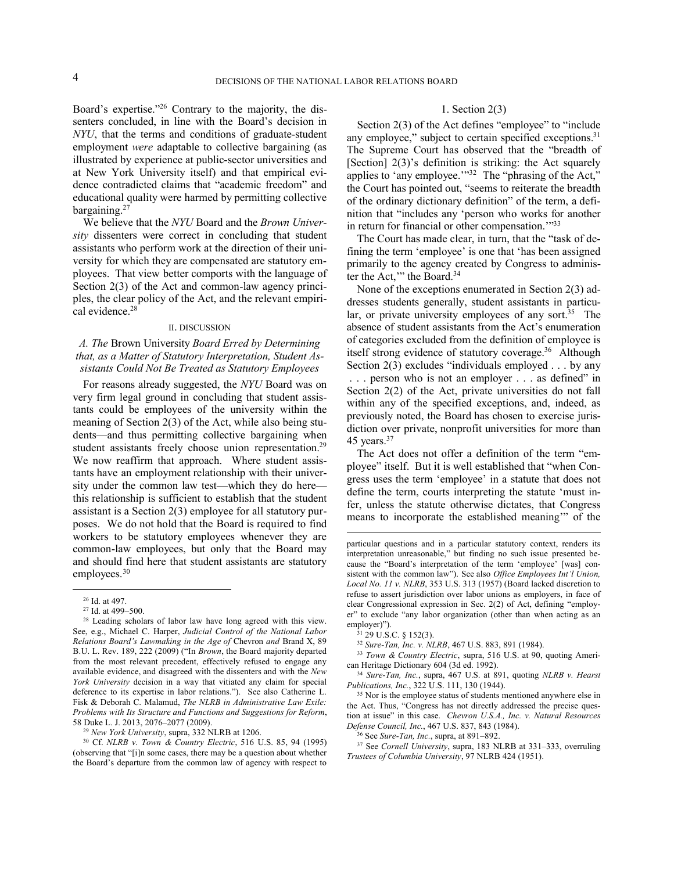Board's expertise."<sup>26</sup> Contrary to the majority, the dissenters concluded, in line with the Board's decision in *NYU*, that the terms and conditions of graduate-student employment *were* adaptable to collective bargaining (as illustrated by experience at public-sector universities and at New York University itself) and that empirical evidence contradicted claims that "academic freedom" and educational quality were harmed by permitting collective bargaining.<sup>27</sup>

We believe that the *NYU* Board and the *Brown University* dissenters were correct in concluding that student assistants who perform work at the direction of their university for which they are compensated are statutory employees. That view better comports with the language of Section 2(3) of the Act and common-law agency principles, the clear policy of the Act, and the relevant empirical evidence.<sup>28</sup>

#### II. DISCUSSION

# *A. The* Brown University *Board Erred by Determining that, as a Matter of Statutory Interpretation, Student Assistants Could Not Be Treated as Statutory Employees*

For reasons already suggested, the *NYU* Board was on very firm legal ground in concluding that student assistants could be employees of the university within the meaning of Section 2(3) of the Act, while also being students—and thus permitting collective bargaining when student assistants freely choose union representation.<sup>29</sup> We now reaffirm that approach. Where student assistants have an employment relationship with their university under the common law test—which they do here this relationship is sufficient to establish that the student assistant is a Section 2(3) employee for all statutory purposes. We do not hold that the Board is required to find workers to be statutory employees whenever they are common-law employees, but only that the Board may and should find here that student assistants are statutory employees.<sup>30</sup>

<u>.</u>

# 1. Section 2(3)

Section 2(3) of the Act defines "employee" to "include" any employee," subject to certain specified exceptions.<sup>31</sup> The Supreme Court has observed that the "breadth of [Section] 2(3)'s definition is striking: the Act squarely applies to 'any employee. $1^{32}$  The "phrasing of the Act," the Court has pointed out, "seems to reiterate the breadth of the ordinary dictionary definition" of the term, a definition that "includes any 'person who works for another in return for financial or other compensation."<sup>33</sup>

The Court has made clear, in turn, that the "task of defining the term 'employee' is one that 'has been assigned primarily to the agency created by Congress to administer the Act," the Board.<sup>34</sup>

None of the exceptions enumerated in Section 2(3) addresses students generally, student assistants in particular, or private university employees of any sort.<sup>35</sup> The absence of student assistants from the Act's enumeration of categories excluded from the definition of employee is itself strong evidence of statutory coverage.<sup>36</sup> Although Section 2(3) excludes "individuals employed . . . by any

. . . person who is not an employer . . . as defined" in Section 2(2) of the Act, private universities do not fall within any of the specified exceptions, and, indeed, as previously noted, the Board has chosen to exercise jurisdiction over private, nonprofit universities for more than 45 years. $37$ 

The Act does not offer a definition of the term "employee" itself. But it is well established that "when Congress uses the term 'employee' in a statute that does not define the term, courts interpreting the statute 'must infer, unless the statute otherwise dictates, that Congress means to incorporate the established meaning'" of the

 $\overline{a}$ 

<sup>33</sup> *Town & Country Electric*, supra, 516 U.S. at 90, quoting American Heritage Dictionary 604 (3d ed. 1992).

<sup>34</sup> *Sure-Tan, Inc.*, supra, 467 U.S. at 891, quoting *NLRB v. Hearst Publications, Inc.*, 322 U.S. 111, 130 (1944).

<sup>35</sup> Nor is the employee status of students mentioned anywhere else in the Act. Thus, "Congress has not directly addressed the precise question at issue" in this case. *Chevron U.S.A., Inc. v. Natural Resources Defense Council, Inc.*, 467 U.S. 837, 843 (1984).

<sup>36</sup> See *Sure-Tan, Inc.*, supra, at 891–892.

<sup>37</sup> See *Cornell University*, supra, 183 NLRB at 331–333, overruling *Trustees of Columbia University*, 97 NLRB 424 (1951).

<sup>26</sup> Id. at 497.

<sup>27</sup> Id. at 499–500.

<sup>28</sup> Leading scholars of labor law have long agreed with this view. See, e.g., Michael C. Harper, *Judicial Control of the National Labor Relations Board's Lawmaking in the Age of* Chevron *and* Brand X, 89 B.U. L. Rev. 189, 222 (2009) ("In *Brown*, the Board majority departed from the most relevant precedent, effectively refused to engage any available evidence, and disagreed with the dissenters and with the *New York University* decision in a way that vitiated any claim for special deference to its expertise in labor relations."). See also Catherine L. Fisk & Deborah C. Malamud, *The NLRB in Administrative Law Exile: Problems with Its Structure and Functions and Suggestions for Reform*, 58 Duke L. J. 2013, 2076–2077 (2009).

<sup>29</sup> *New York University*, supra, 332 NLRB at 1206.

<sup>30</sup> Cf. *NLRB v. Town & Country Electric*, 516 U.S. 85, 94 (1995) (observing that "[i]n some cases, there may be a question about whether the Board's departure from the common law of agency with respect to

particular questions and in a particular statutory context, renders its interpretation unreasonable," but finding no such issue presented because the "Board's interpretation of the term 'employee' [was] consistent with the common law"). See also *Office Employees Int'l Union, Local No. 11 v. NLRB*, 353 U.S. 313 (1957) (Board lacked discretion to refuse to assert jurisdiction over labor unions as employers, in face of clear Congressional expression in Sec. 2(2) of Act, defining "employer" to exclude "any labor organization (other than when acting as an employer)").

 $31$  29 U.S.C. § 152(3).

<sup>32</sup> *Sure-Tan, Inc. v. NLRB*, 467 U.S. 883, 891 (1984).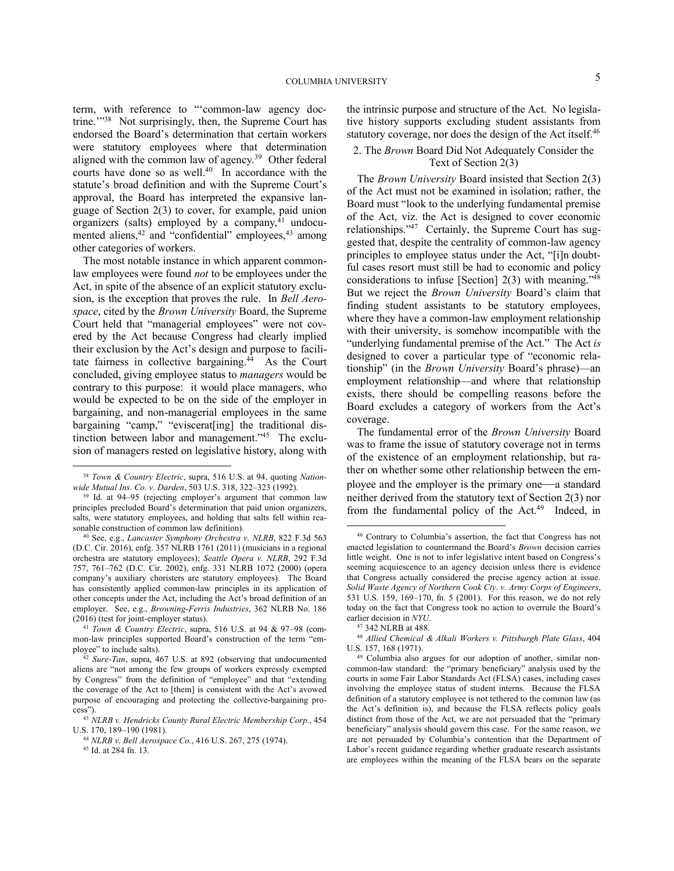term, with reference to "'common-law agency doctrine."<sup>38</sup> Not surprisingly, then, the Supreme Court has endorsed the Board's determination that certain workers were statutory employees where that determination aligned with the common law of agency. 39 Other federal courts have done so as well. $40$  In accordance with the statute's broad definition and with the Supreme Court's approval, the Board has interpreted the expansive language of Section 2(3) to cover, for example, paid union organizers (salts) employed by a company, <sup>41</sup> undocumented aliens,<sup>42</sup> and "confidential" employees,<sup>43</sup> among other categories of workers.

The most notable instance in which apparent commonlaw employees were found *not* to be employees under the Act, in spite of the absence of an explicit statutory exclusion, is the exception that proves the rule. In *Bell Aerospace*, cited by the *Brown University* Board, the Supreme Court held that "managerial employees" were not covered by the Act because Congress had clearly implied their exclusion by the Act's design and purpose to facilitate fairness in collective bargaining.<sup>44</sup> As the Court concluded, giving employee status to *managers* would be contrary to this purpose: it would place managers, who would be expected to be on the side of the employer in bargaining, and non-managerial employees in the same bargaining "camp," "eviscerat[ing] the traditional distinction between labor and management."<sup>45</sup> The exclusion of managers rested on legislative history, along with

1

the intrinsic purpose and structure of the Act. No legislative history supports excluding student assistants from statutory coverage, nor does the design of the Act itself.<sup>46</sup>

# 2. The *Brown* Board Did Not Adequately Consider the Text of Section 2(3)

The *Brown University* Board insisted that Section 2(3) of the Act must not be examined in isolation; rather, the Board must "look to the underlying fundamental premise of the Act, viz. the Act is designed to cover economic relationships."<sup>47</sup> Certainly, the Supreme Court has suggested that, despite the centrality of common-law agency principles to employee status under the Act, "[i]n doubtful cases resort must still be had to economic and policy considerations to infuse [Section] 2(3) with meaning."<sup>48</sup> But we reject the *Brown University* Board's claim that finding student assistants to be statutory employees, where they have a common-law employment relationship with their university, is somehow incompatible with the "underlying fundamental premise of the Act." The Act *is* designed to cover a particular type of "economic relationship" (in the *Brown University* Board's phrase)—an employment relationship—and where that relationship exists, there should be compelling reasons before the Board excludes a category of workers from the Act's coverage.

The fundamental error of the *Brown University* Board was to frame the issue of statutory coverage not in terms of the existence of an employment relationship, but rather on whether some other relationship between the employee and the employer is the primary one—a standard neither derived from the statutory text of Section 2(3) nor from the fundamental policy of the Act.<sup>49</sup> Indeed, in

<sup>38</sup> *Town & Country Electric*, supra, 516 U.S. at 94, quoting *Nationwide Mutual Ins. Co. v. Darden*, 503 U.S. 318, 322–323 (1992).

<sup>39</sup> Id. at 94–95 (rejecting employer's argument that common law principles precluded Board's determination that paid union organizers, salts, were statutory employees, and holding that salts fell within reasonable construction of common law definition).

<sup>40</sup> See, e.g., *Lancaster Symphony Orchestra v. NLRB*, 822 F.3d 563 (D.C. Cir. 2016), enfg. 357 NLRB 1761 (2011) (musicians in a regional orchestra are statutory employees); *Seattle Opera v. NLRB*, 292 F.3d 757, 761–762 (D.C. Cir. 2002), enfg. 331 NLRB 1072 (2000) (opera company's auxiliary choristers are statutory employees). The Board has consistently applied common-law principles in its application of other concepts under the Act, including the Act's broad definition of an employer. See, e.g., *Browning-Ferris Industries*, 362 NLRB No. 186 (2016) (test for joint-employer status).

<sup>41</sup> *Town & Country Electric*, supra, 516 U.S. at 94 & 97–98 (common-law principles supported Board's construction of the term "employee" to include salts).

<sup>42</sup> *Sure-Tan*, supra, 467 U.S. at 892 (observing that undocumented aliens are "not among the few groups of workers expressly exempted by Congress" from the definition of "employee" and that "extending the coverage of the Act to [them] is consistent with the Act's avowed purpose of encouraging and protecting the collective-bargaining process").

<sup>43</sup> *NLRB v. Hendricks County Rural Electric Membership Corp.*, 454 U.S. 170, 189–190 (1981).

<sup>44</sup> *NLRB v. Bell Aerospace Co.*, 416 U.S. 267, 275 (1974).

<sup>45</sup> Id. at 284 fn. 13.

<sup>46</sup> Contrary to Columbia's assertion, the fact that Congress has not enacted legislation to countermand the Board's *Brown* decision carries little weight. One is not to infer legislative intent based on Congress's seeming acquiescence to an agency decision unless there is evidence that Congress actually considered the precise agency action at issue. *Solid Waste Agency of Northern Cook Cty. v. Army Corps of Engineers*, 531 U.S. 159, 169–170, fn. 5 (2001). For this reason, we do not rely today on the fact that Congress took no action to overrule the Board's earlier decision in *NYU*.

<sup>47</sup> 342 NLRB at 488.

<sup>48</sup> *Allied Chemical & Alkali Workers v. Pittsburgh Plate Glass*, 404 U.S. 157, 168 (1971).

<sup>49</sup> Columbia also argues for our adoption of another, similar noncommon-law standard: the "primary beneficiary" analysis used by the courts in some Fair Labor Standards Act (FLSA) cases, including cases involving the employee status of student interns. Because the FLSA definition of a statutory employee is not tethered to the common law (as the Act's definition is), and because the FLSA reflects policy goals distinct from those of the Act, we are not persuaded that the "primary beneficiary" analysis should govern this case. For the same reason, we are not persuaded by Columbia's contention that the Department of Labor's recent guidance regarding whether graduate research assistants are employees within the meaning of the FLSA bears on the separate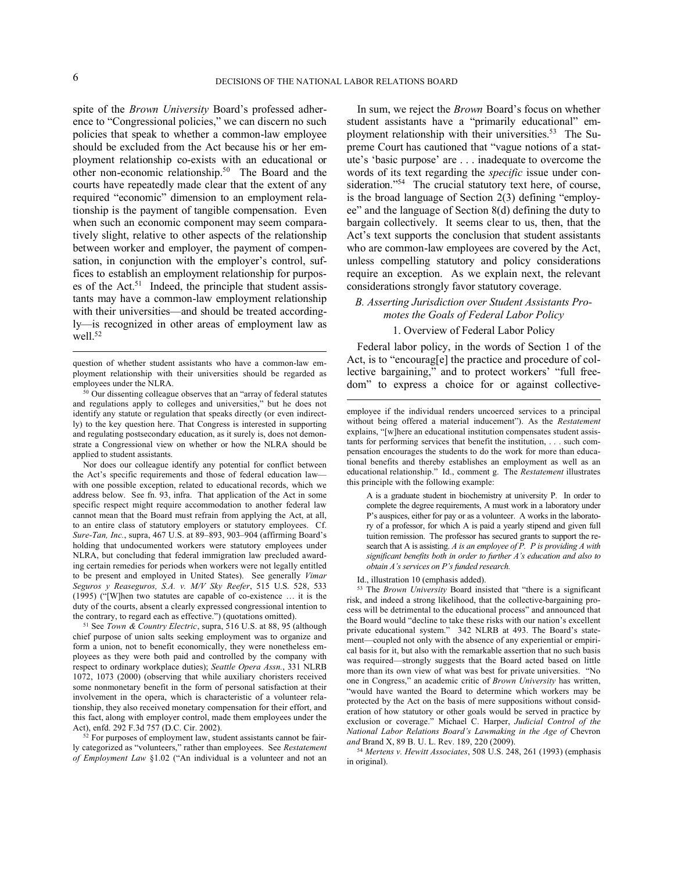$\overline{a}$ 

spite of the *Brown University* Board's professed adherence to "Congressional policies," we can discern no such policies that speak to whether a common-law employee should be excluded from the Act because his or her employment relationship co-exists with an educational or other non-economic relationship.<sup>50</sup> The Board and the courts have repeatedly made clear that the extent of any required "economic" dimension to an employment relationship is the payment of tangible compensation. Even when such an economic component may seem comparatively slight, relative to other aspects of the relationship between worker and employer, the payment of compensation, in conjunction with the employer's control, suffices to establish an employment relationship for purposes of the Act.<sup>51</sup> Indeed, the principle that student assistants may have a common-law employment relationship with their universities—and should be treated accordingly—is recognized in other areas of employment law as well.<sup>52</sup>

Nor does our colleague identify any potential for conflict between the Act's specific requirements and those of federal education law with one possible exception, related to educational records, which we address below. See fn. 93, infra. That application of the Act in some specific respect might require accommodation to another federal law cannot mean that the Board must refrain from applying the Act, at all, to an entire class of statutory employers or statutory employees. Cf. *Sure-Tan, Inc.*, supra, 467 U.S. at 89–893, 903–904 (affirming Board's holding that undocumented workers were statutory employees under NLRA, but concluding that federal immigration law precluded awarding certain remedies for periods when workers were not legally entitled to be present and employed in United States). See generally *Vimar Seguros y Reaseguros, S.A. v. M/V Sky Reefer*, 515 U.S. 528, 533 (1995) ("[W]hen two statutes are capable of co-existence … it is the duty of the courts, absent a clearly expressed congressional intention to the contrary, to regard each as effective.") (quotations omitted).

<sup>51</sup> See *Town & Country Electric*, supra, 516 U.S. at 88, 95 (although chief purpose of union salts seeking employment was to organize and form a union, not to benefit economically, they were nonetheless employees as they were both paid and controlled by the company with respect to ordinary workplace duties); *Seattle Opera Assn.*, 331 NLRB 1072, 1073 (2000) (observing that while auxiliary choristers received some nonmonetary benefit in the form of personal satisfaction at their involvement in the opera, which is characteristic of a volunteer relationship, they also received monetary compensation for their effort, and this fact, along with employer control, made them employees under the Act), enfd. 292 F.3d 757 (D.C. Cir. 2002).

 $52$  For purposes of employment law, student assistants cannot be fairly categorized as "volunteers," rather than employees. See *Restatement of Employment Law* §1.02 ("An individual is a volunteer and not an

In sum, we reject the *Brown* Board's focus on whether student assistants have a "primarily educational" employment relationship with their universities.<sup>53</sup> The Supreme Court has cautioned that "vague notions of a statute's 'basic purpose' are . . . inadequate to overcome the words of its text regarding the *specific* issue under consideration."<sup>54</sup> The crucial statutory text here, of course, is the broad language of Section 2(3) defining "employee" and the language of Section 8(d) defining the duty to bargain collectively. It seems clear to us, then, that the Act's text supports the conclusion that student assistants who are common-law employees are covered by the Act, unless compelling statutory and policy considerations require an exception. As we explain next, the relevant considerations strongly favor statutory coverage.

# *B. Asserting Jurisdiction over Student Assistants Promotes the Goals of Federal Labor Policy*

# 1. Overview of Federal Labor Policy

Federal labor policy, in the words of Section 1 of the Act, is to "encourag[e] the practice and procedure of collective bargaining," and to protect workers' "full freedom" to express a choice for or against collective-

A is a graduate student in biochemistry at university P. In order to complete the degree requirements, A must work in a laboratory under P's auspices, either for pay or as a volunteer. A works in the laboratory of a professor, for which A is paid a yearly stipend and given full tuition remission. The professor has secured grants to support the research that A is assisting. *A is an employee of P. P is providing A with significant benefits both in order to further A's education and also to obtain A's services on P's funded research.*

Id., illustration 10 (emphasis added).

<sup>53</sup> The *Brown University* Board insisted that "there is a significant risk, and indeed a strong likelihood, that the collective-bargaining process will be detrimental to the educational process" and announced that the Board would "decline to take these risks with our nation's excellent private educational system." 342 NLRB at 493. The Board's statement—coupled not only with the absence of any experiential or empirical basis for it, but also with the remarkable assertion that no such basis was required—strongly suggests that the Board acted based on little more than its own view of what was best for private universities. "No one in Congress," an academic critic of *Brown University* has written, "would have wanted the Board to determine which workers may be protected by the Act on the basis of mere suppositions without consideration of how statutory or other goals would be served in practice by exclusion or coverage." Michael C. Harper, *Judicial Control of the National Labor Relations Board's Lawmaking in the Age of* Chevron *and* Brand X, 89 B. U. L. Rev. 189, 220 (2009).

<sup>54</sup> *Mertens v. Hewitt Associates*, 508 U.S. 248, 261 (1993) (emphasis in original).

question of whether student assistants who have a common-law employment relationship with their universities should be regarded as employees under the NLRA.

<sup>50</sup> Our dissenting colleague observes that an "array of federal statutes and regulations apply to colleges and universities," but he does not identify any statute or regulation that speaks directly (or even indirectly) to the key question here. That Congress is interested in supporting and regulating postsecondary education, as it surely is, does not demonstrate a Congressional view on whether or how the NLRA should be applied to student assistants.

employee if the individual renders uncoerced services to a principal without being offered a material inducement"). As the *Restatement*  explains, "[w]here an educational institution compensates student assistants for performing services that benefit the institution, . . . such compensation encourages the students to do the work for more than educational benefits and thereby establishes an employment as well as an educational relationship." Id., comment g. The *Restatement* illustrates this principle with the following example: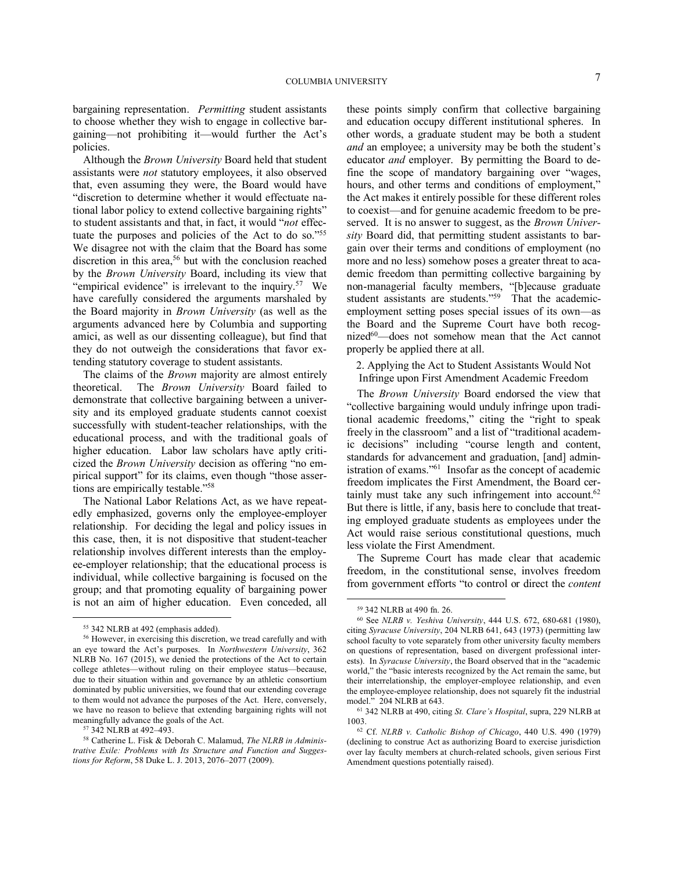bargaining representation. *Permitting* student assistants to choose whether they wish to engage in collective bargaining—not prohibiting it—would further the Act's policies.

Although the *Brown University* Board held that student assistants were *not* statutory employees, it also observed that, even assuming they were, the Board would have "discretion to determine whether it would effectuate national labor policy to extend collective bargaining rights" to student assistants and that, in fact, it would "*not* effectuate the purposes and policies of the Act to do so."<sup>55</sup> We disagree not with the claim that the Board has some discretion in this area,<sup>56</sup> but with the conclusion reached by the *Brown University* Board, including its view that "empirical evidence" is irrelevant to the inquiry.<sup>57</sup> We have carefully considered the arguments marshaled by the Board majority in *Brown University* (as well as the arguments advanced here by Columbia and supporting amici, as well as our dissenting colleague), but find that they do not outweigh the considerations that favor extending statutory coverage to student assistants.

The claims of the *Brown* majority are almost entirely theoretical. The *Brown University* Board failed to demonstrate that collective bargaining between a university and its employed graduate students cannot coexist successfully with student-teacher relationships, with the educational process, and with the traditional goals of higher education. Labor law scholars have aptly criticized the *Brown University* decision as offering "no empirical support" for its claims, even though "those assertions are empirically testable."<sup>58</sup>

The National Labor Relations Act, as we have repeatedly emphasized, governs only the employee-employer relationship. For deciding the legal and policy issues in this case, then, it is not dispositive that student-teacher relationship involves different interests than the employee-employer relationship; that the educational process is individual, while collective bargaining is focused on the group; and that promoting equality of bargaining power is not an aim of higher education. Even conceded, all

1

these points simply confirm that collective bargaining and education occupy different institutional spheres. In other words, a graduate student may be both a student *and* an employee; a university may be both the student's educator *and* employer. By permitting the Board to define the scope of mandatory bargaining over "wages, hours, and other terms and conditions of employment,' the Act makes it entirely possible for these different roles to coexist—and for genuine academic freedom to be preserved. It is no answer to suggest, as the *Brown University* Board did, that permitting student assistants to bargain over their terms and conditions of employment (no more and no less) somehow poses a greater threat to academic freedom than permitting collective bargaining by non-managerial faculty members, "[b]ecause graduate student assistants are students."<sup>59</sup> That the academicemployment setting poses special issues of its own—as the Board and the Supreme Court have both recognized $60$ —does not somehow mean that the Act cannot properly be applied there at all.

2. Applying the Act to Student Assistants Would Not Infringe upon First Amendment Academic Freedom

The *Brown University* Board endorsed the view that "collective bargaining would unduly infringe upon traditional academic freedoms," citing the "right to speak freely in the classroom" and a list of "traditional academic decisions" including "course length and content, standards for advancement and graduation, [and] administration of exams."<sup>61</sup> Insofar as the concept of academic freedom implicates the First Amendment, the Board certainly must take any such infringement into account.<sup>62</sup> But there is little, if any, basis here to conclude that treating employed graduate students as employees under the Act would raise serious constitutional questions, much less violate the First Amendment.

The Supreme Court has made clear that academic freedom, in the constitutional sense, involves freedom from government efforts "to control or direct the *content*

<sup>55</sup> 342 NLRB at 492 (emphasis added).

<sup>56</sup> However, in exercising this discretion, we tread carefully and with an eye toward the Act's purposes. In *Northwestern University*, 362 NLRB No. 167 (2015), we denied the protections of the Act to certain college athletes—without ruling on their employee status—because, due to their situation within and governance by an athletic consortium dominated by public universities, we found that our extending coverage to them would not advance the purposes of the Act. Here, conversely, we have no reason to believe that extending bargaining rights will not meaningfully advance the goals of the Act.

<sup>57</sup> 342 NLRB at 492–493.

<sup>58</sup> Catherine L. Fisk & Deborah C. Malamud, *The NLRB in Administrative Exile: Problems with Its Structure and Function and Suggestions for Reform*, 58 Duke L. J. 2013, 2076–2077 (2009).

<sup>59</sup> 342 NLRB at 490 fn. 26.

<sup>60</sup> See *NLRB v. Yeshiva University*, 444 U.S. 672, 680-681 (1980), citing *Syracuse University*, 204 NLRB 641, 643 (1973) (permitting law school faculty to vote separately from other university faculty members on questions of representation, based on divergent professional interests). In *Syracuse University*, the Board observed that in the "academic world," the "basic interests recognized by the Act remain the same, but their interrelationship, the employer-employee relationship, and even the employee-employee relationship, does not squarely fit the industrial model." 204 NLRB at 643.

<sup>61</sup> 342 NLRB at 490, citing *St. Clare's Hospital*, supra, 229 NLRB at 1003.

<sup>62</sup> Cf. *NLRB v. Catholic Bishop of Chicago*, 440 U.S. 490 (1979) (declining to construe Act as authorizing Board to exercise jurisdiction over lay faculty members at church-related schools, given serious First Amendment questions potentially raised).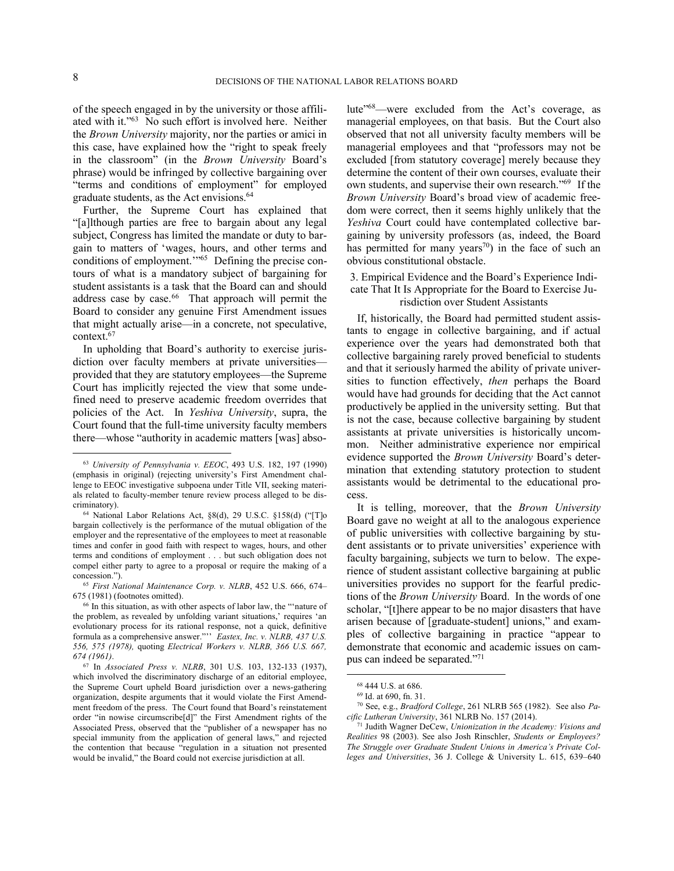1

of the speech engaged in by the university or those affiliated with it."<sup>63</sup> No such effort is involved here. Neither the *Brown University* majority, nor the parties or amici in this case, have explained how the "right to speak freely in the classroom" (in the *Brown University* Board's phrase) would be infringed by collective bargaining over "terms and conditions of employment" for employed graduate students, as the Act envisions.<sup>64</sup>

Further, the Supreme Court has explained that "[a]lthough parties are free to bargain about any legal subject, Congress has limited the mandate or duty to bargain to matters of 'wages, hours, and other terms and conditions of employment.'"<sup>65</sup> Defining the precise contours of what is a mandatory subject of bargaining for student assistants is a task that the Board can and should address case by case.<sup>66</sup> That approach will permit the Board to consider any genuine First Amendment issues that might actually arise—in a concrete, not speculative, context.<sup>67</sup>

In upholding that Board's authority to exercise jurisdiction over faculty members at private universities provided that they are statutory employees—the Supreme Court has implicitly rejected the view that some undefined need to preserve academic freedom overrides that policies of the Act. In *Yeshiva University*, supra, the Court found that the full-time university faculty members there—whose "authority in academic matters [was] absolute"<sup>68</sup>—were excluded from the Act's coverage, as managerial employees, on that basis. But the Court also observed that not all university faculty members will be managerial employees and that "professors may not be excluded [from statutory coverage] merely because they determine the content of their own courses, evaluate their own students, and supervise their own research."<sup>69</sup> If the *Brown University* Board's broad view of academic freedom were correct, then it seems highly unlikely that the *Yeshiva* Court could have contemplated collective bargaining by university professors (as, indeed, the Board has permitted for many years<sup>70</sup>) in the face of such an obvious constitutional obstacle.

3. Empirical Evidence and the Board's Experience Indicate That It Is Appropriate for the Board to Exercise Jurisdiction over Student Assistants

# If, historically, the Board had permitted student assistants to engage in collective bargaining, and if actual experience over the years had demonstrated both that collective bargaining rarely proved beneficial to students and that it seriously harmed the ability of private universities to function effectively, *then* perhaps the Board would have had grounds for deciding that the Act cannot productively be applied in the university setting. But that is not the case, because collective bargaining by student assistants at private universities is historically uncommon. Neither administrative experience nor empirical evidence supported the *Brown University* Board's determination that extending statutory protection to student assistants would be detrimental to the educational process.

It is telling, moreover, that the *Brown University* Board gave no weight at all to the analogous experience of public universities with collective bargaining by student assistants or to private universities' experience with faculty bargaining, subjects we turn to below. The experience of student assistant collective bargaining at public universities provides no support for the fearful predictions of the *Brown University* Board. In the words of one scholar, "[t]here appear to be no major disasters that have arisen because of [graduate-student] unions," and examples of collective bargaining in practice "appear to demonstrate that economic and academic issues on campus can indeed be separated."<sup>71</sup>

<sup>63</sup> *University of Pennsylvania v. EEOC*, 493 U.S. 182, 197 (1990) (emphasis in original) (rejecting university's First Amendment challenge to EEOC investigative subpoena under Title VII, seeking materials related to faculty-member tenure review process alleged to be discriminatory).

<sup>64</sup> National Labor Relations Act, §8(d), 29 U.S.C. §158(d) ("[T]o bargain collectively is the performance of the mutual obligation of the employer and the representative of the employees to meet at reasonable times and confer in good faith with respect to wages, hours, and other terms and conditions of employment . . . but such obligation does not compel either party to agree to a proposal or require the making of a concession.").

<sup>65</sup> *First National Maintenance Corp. v. NLRB*, 452 U.S. 666, 674– 675 (1981) (footnotes omitted).

<sup>66</sup> In this situation, as with other aspects of labor law, the "'nature of the problem, as revealed by unfolding variant situations,' requires 'an evolutionary process for its rational response, not a quick, definitive formula as a comprehensive answer."'' *Eastex, Inc. v. NLRB, 437 U.S. 556, 575 (1978),* quoting *Electrical Workers v. NLRB, 366 U.S. 667, 674 (1961)*.

<sup>67</sup> In *Associated Press v. NLRB*, 301 U.S. 103, 132-133 (1937), which involved the discriminatory discharge of an editorial employee, the Supreme Court upheld Board jurisdiction over a news-gathering organization, despite arguments that it would violate the First Amendment freedom of the press. The Court found that Board's reinstatement order "in nowise circumscribe[d]" the First Amendment rights of the Associated Press, observed that the "publisher of a newspaper has no special immunity from the application of general laws," and rejected the contention that because "regulation in a situation not presented would be invalid," the Board could not exercise jurisdiction at all.

<sup>68</sup> 444 U.S. at 686.

<sup>69</sup> Id. at 690, fn. 31.

<sup>70</sup> See, e.g., *Bradford College*, 261 NLRB 565 (1982). See also *Pacific Lutheran University*, 361 NLRB No. 157 (2014).

<sup>71</sup> Judith Wagner DeCew, *Unionization in the Academy: Visions and Realities* 98 (2003). See also Josh Rinschler, *Students or Employees? The Struggle over Graduate Student Unions in America's Private Colleges and Universities*, 36 J. College & University L. 615, 639–640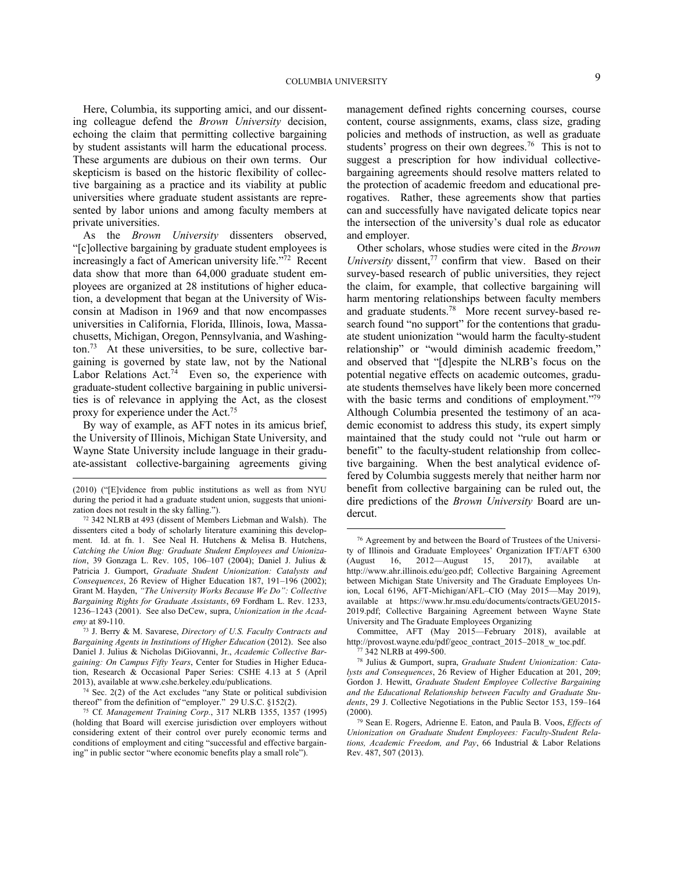Here, Columbia, its supporting amici, and our dissenting colleague defend the *Brown University* decision, echoing the claim that permitting collective bargaining by student assistants will harm the educational process. These arguments are dubious on their own terms. Our skepticism is based on the historic flexibility of collective bargaining as a practice and its viability at public universities where graduate student assistants are represented by labor unions and among faculty members at private universities.

As the *Brown University* dissenters observed, "[c]ollective bargaining by graduate student employees is increasingly a fact of American university life."<sup>72</sup> Recent data show that more than 64,000 graduate student employees are organized at 28 institutions of higher education, a development that began at the University of Wisconsin at Madison in 1969 and that now encompasses universities in California, Florida, Illinois, Iowa, Massachusetts, Michigan, Oregon, Pennsylvania, and Washing- $\mu$ <sub>73</sub> At these universities, to be sure, collective bargaining is governed by state law, not by the National Labor Relations  $Act.^{74}$  Even so, the experience with graduate-student collective bargaining in public universities is of relevance in applying the Act, as the closest proxy for experience under the Act.<sup>75</sup>

By way of example, as AFT notes in its amicus brief, the University of Illinois, Michigan State University, and Wayne State University include language in their graduate-assistant collective-bargaining agreements giving

 $\overline{a}$ 

<sup>73</sup> J. Berry & M. Savarese, *Directory of U.S. Faculty Contracts and Bargaining Agents in Institutions of Higher Education* (2012). See also Daniel J. Julius & Nicholas DiGiovanni, Jr., *Academic Collective Bargaining: On Campus Fifty Years*, Center for Studies in Higher Education, Research & Occasional Paper Series: CSHE 4.13 at 5 (April 2013), available at www.cshe.berkeley.edu/publications.

<sup>74</sup> Sec. 2(2) of the Act excludes "any State or political subdivision thereof" from the definition of "employer." 29 U.S.C. §152(2).

management defined rights concerning courses, course content, course assignments, exams, class size, grading policies and methods of instruction, as well as graduate students' progress on their own degrees.<sup>76</sup> This is not to suggest a prescription for how individual collectivebargaining agreements should resolve matters related to the protection of academic freedom and educational prerogatives. Rather, these agreements show that parties can and successfully have navigated delicate topics near the intersection of the university's dual role as educator and employer.

Other scholars, whose studies were cited in the *Brown University* dissent,<sup>77</sup> confirm that view. Based on their survey-based research of public universities, they reject the claim, for example, that collective bargaining will harm mentoring relationships between faculty members and graduate students.<sup>78</sup> More recent survey-based research found "no support" for the contentions that graduate student unionization "would harm the faculty-student relationship" or "would diminish academic freedom," and observed that "[d]espite the NLRB's focus on the potential negative effects on academic outcomes, graduate students themselves have likely been more concerned with the basic terms and conditions of employment."<sup>79</sup> Although Columbia presented the testimony of an academic economist to address this study, its expert simply maintained that the study could not "rule out harm or benefit" to the faculty-student relationship from collective bargaining. When the best analytical evidence offered by Columbia suggests merely that neither harm nor benefit from collective bargaining can be ruled out, the dire predictions of the *Brown University* Board are undercut.

<sup>(2010) (&</sup>quot;[E]vidence from public institutions as well as from NYU during the period it had a graduate student union, suggests that unionization does not result in the sky falling.").

<sup>72</sup> 342 NLRB at 493 (dissent of Members Liebman and Walsh). The dissenters cited a body of scholarly literature examining this development. Id. at fn. 1. See Neal H. Hutchens & Melisa B. Hutchens, *Catching the Union Bug: Graduate Student Employees and Unionization*, 39 Gonzaga L. Rev. 105, 106–107 (2004); Daniel J. Julius & Patricia J. Gumport, *Graduate Student Unionization: Catalysts and Consequences*, 26 Review of Higher Education 187, 191–196 (2002); Grant M. Hayden, *"The University Works Because We Do": Collective Bargaining Rights for Graduate Assistants*, 69 Fordham L. Rev. 1233, 1236–1243 (2001). See also DeCew, supra, *Unionization in the Academy* at 89-110.

<sup>75</sup> Cf. *Management Training Corp.*, 317 NLRB 1355, 1357 (1995) (holding that Board will exercise jurisdiction over employers without considering extent of their control over purely economic terms and conditions of employment and citing "successful and effective bargaining" in public sector "where economic benefits play a small role").

<sup>76</sup> Agreement by and between the Board of Trustees of the University of Illinois and Graduate Employees' Organization IFT/AFT 6300<br>(August 16, 2012—August 15, 2017), available at  $2012$ —August 15, 2017), available at http://www.ahr.illinois.edu/geo.pdf; Collective Bargaining Agreement between Michigan State University and The Graduate Employees Union, Local 6196, AFT-Michigan/AFL–CIO (May 2015—May 2019), available at https://www.hr.msu.edu/documents/contracts/GEU2015- 2019.pdf; Collective Bargaining Agreement between Wayne State University and The Graduate Employees Organizing

Committee, AFT (May 2015—February 2018), available at http://provost.wayne.edu/pdf/geoc\_contract\_2015–2018\_w\_toc.pdf.

<sup>77</sup> 342 NLRB at 499-500.

<sup>78</sup> Julius & Gumport, supra, *Graduate Student Unionization: Catalysts and Consequences*, 26 Review of Higher Education at 201, 209; Gordon J. Hewitt, *Graduate Student Employee Collective Bargaining and the Educational Relationship between Faculty and Graduate Students*, 29 J. Collective Negotiations in the Public Sector 153, 159–164  $(2000).$ 

<sup>79</sup> Sean E. Rogers, Adrienne E. Eaton, and Paula B. Voos, *Effects of Unionization on Graduate Student Employees: Faculty-Student Relations, Academic Freedom, and Pay*, 66 Industrial & Labor Relations Rev. 487, 507 (2013).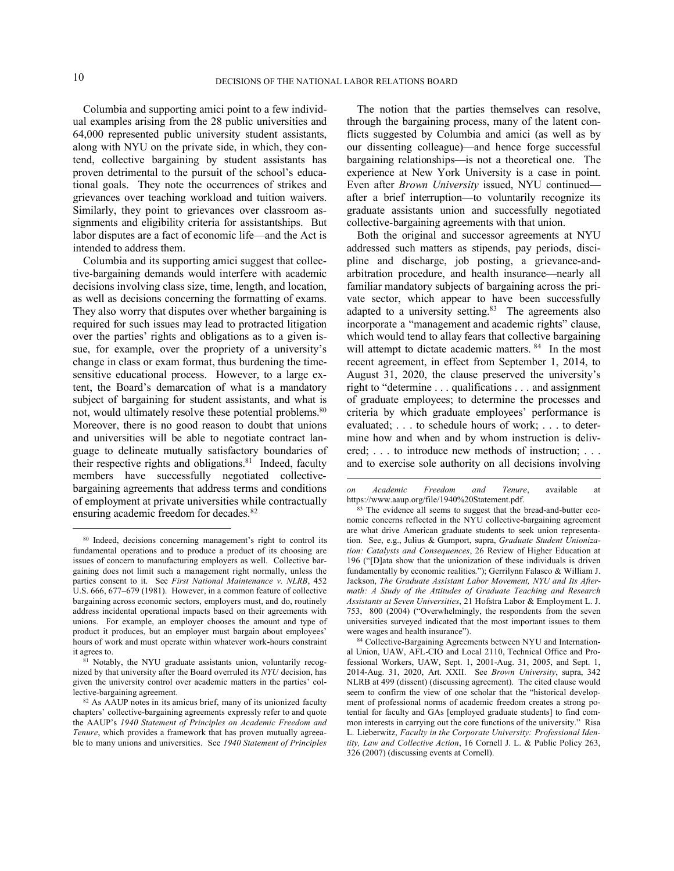1

 $\overline{a}$ 

Columbia and supporting amici point to a few individual examples arising from the 28 public universities and 64,000 represented public university student assistants, along with NYU on the private side, in which, they contend, collective bargaining by student assistants has proven detrimental to the pursuit of the school's educational goals. They note the occurrences of strikes and grievances over teaching workload and tuition waivers. Similarly, they point to grievances over classroom assignments and eligibility criteria for assistantships. But labor disputes are a fact of economic life—and the Act is intended to address them.

Columbia and its supporting amici suggest that collective-bargaining demands would interfere with academic decisions involving class size, time, length, and location, as well as decisions concerning the formatting of exams. They also worry that disputes over whether bargaining is required for such issues may lead to protracted litigation over the parties' rights and obligations as to a given issue, for example, over the propriety of a university's change in class or exam format, thus burdening the timesensitive educational process. However, to a large extent, the Board's demarcation of what is a mandatory subject of bargaining for student assistants, and what is not, would ultimately resolve these potential problems.<sup>80</sup> Moreover, there is no good reason to doubt that unions and universities will be able to negotiate contract language to delineate mutually satisfactory boundaries of their respective rights and obligations.<sup>81</sup> Indeed, faculty members have successfully negotiated collectivebargaining agreements that address terms and conditions of employment at private universities while contractually ensuring academic freedom for decades.<sup>82</sup>

The notion that the parties themselves can resolve, through the bargaining process, many of the latent conflicts suggested by Columbia and amici (as well as by our dissenting colleague)—and hence forge successful bargaining relationships—is not a theoretical one. The experience at New York University is a case in point. Even after *Brown University* issued, NYU continued after a brief interruption—to voluntarily recognize its graduate assistants union and successfully negotiated collective-bargaining agreements with that union.

Both the original and successor agreements at NYU addressed such matters as stipends, pay periods, discipline and discharge, job posting, a grievance-andarbitration procedure, and health insurance—nearly all familiar mandatory subjects of bargaining across the private sector, which appear to have been successfully adapted to a university setting.<sup>83</sup> The agreements also incorporate a "management and academic rights" clause, which would tend to allay fears that collective bargaining will attempt to dictate academic matters. <sup>84</sup> In the most recent agreement, in effect from September 1, 2014, to August 31, 2020, the clause preserved the university's right to "determine . . . qualifications . . . and assignment of graduate employees; to determine the processes and criteria by which graduate employees' performance is evaluated; . . . to schedule hours of work; . . . to determine how and when and by whom instruction is delivered; ... to introduce new methods of instruction; ... and to exercise sole authority on all decisions involving

<sup>80</sup> Indeed, decisions concerning management's right to control its fundamental operations and to produce a product of its choosing are issues of concern to manufacturing employers as well. Collective bargaining does not limit such a management right normally, unless the parties consent to it. See *First National Maintenance v. NLRB*, 452 U.S. 666, 677–679 (1981). However, in a common feature of collective bargaining across economic sectors, employers must, and do, routinely address incidental operational impacts based on their agreements with unions. For example, an employer chooses the amount and type of product it produces, but an employer must bargain about employees' hours of work and must operate within whatever work-hours constraint it agrees to.

<sup>81</sup> Notably, the NYU graduate assistants union, voluntarily recognized by that university after the Board overruled its *NYU* decision, has given the university control over academic matters in the parties' collective-bargaining agreement.

<sup>82</sup> As AAUP notes in its amicus brief, many of its unionized faculty chapters' collective-bargaining agreements expressly refer to and quote the AAUP's *1940 Statement of Principles on Academic Freedom and Tenure*, which provides a framework that has proven mutually agreeable to many unions and universities. See *1940 Statement of Principles* 

*on Academic Freedom and Tenure*, available at https://www.aaup.org/file/1940%20Statement.pdf.

<sup>&</sup>lt;sup>83</sup> The evidence all seems to suggest that the bread-and-butter economic concerns reflected in the NYU collective-bargaining agreement are what drive American graduate students to seek union representation. See, e.g., Julius & Gumport, supra, *Graduate Student Unionization: Catalysts and Consequences*, 26 Review of Higher Education at 196 ("[D]ata show that the unionization of these individuals is driven fundamentally by economic realities."); Gerrilynn Falasco & William J. Jackson, *The Graduate Assistant Labor Movement, NYU and Its Aftermath: A Study of the Attitudes of Graduate Teaching and Research Assistants at Seven Universities*, 21 Hofstra Labor & Employment L. J. 753, 800 (2004) ("Overwhelmingly, the respondents from the seven universities surveyed indicated that the most important issues to them were wages and health insurance").

<sup>84</sup> Collective-Bargaining Agreements between NYU and International Union, UAW, AFL-CIO and Local 2110, Technical Office and Professional Workers, UAW, Sept. 1, 2001-Aug. 31, 2005, and Sept. 1, 2014-Aug. 31, 2020, Art. XXII. See *Brown University*, supra, 342 NLRB at 499 (dissent) (discussing agreement). The cited clause would seem to confirm the view of one scholar that the "historical development of professional norms of academic freedom creates a strong potential for faculty and GAs [employed graduate students] to find common interests in carrying out the core functions of the university." Risa L. Lieberwitz, *Faculty in the Corporate University: Professional Identity, Law and Collective Action*, 16 Cornell J. L. & Public Policy 263, 326 (2007) (discussing events at Cornell).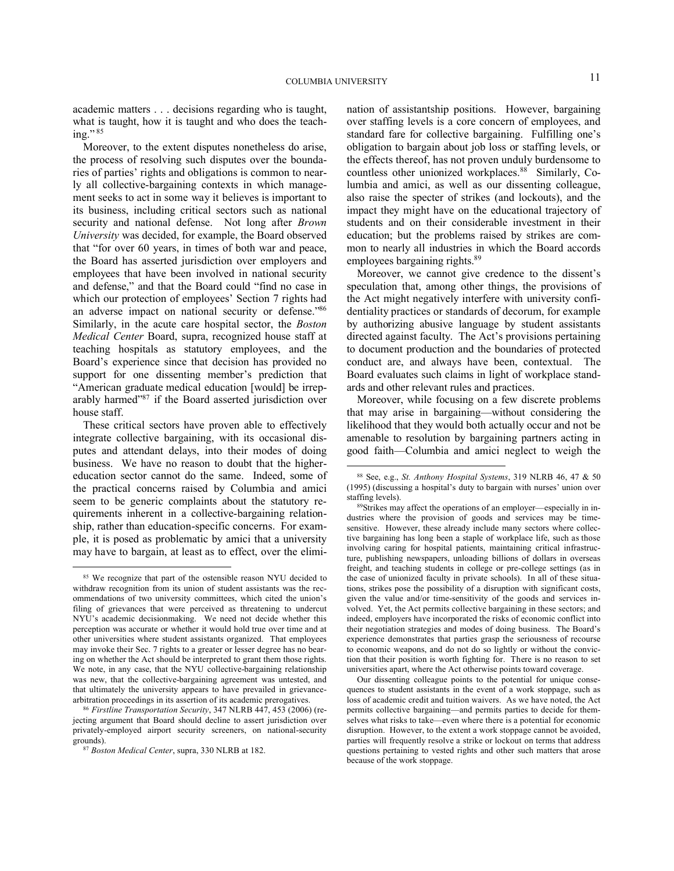academic matters . . . decisions regarding who is taught, what is taught, how it is taught and who does the teaching." $85$ 

Moreover, to the extent disputes nonetheless do arise, the process of resolving such disputes over the boundaries of parties' rights and obligations is common to nearly all collective-bargaining contexts in which management seeks to act in some way it believes is important to its business, including critical sectors such as national security and national defense. Not long after *Brown University* was decided, for example, the Board observed that "for over 60 years, in times of both war and peace, the Board has asserted jurisdiction over employers and employees that have been involved in national security and defense," and that the Board could "find no case in which our protection of employees' Section 7 rights had an adverse impact on national security or defense."86 Similarly, in the acute care hospital sector, the *Boston Medical Center* Board, supra, recognized house staff at teaching hospitals as statutory employees, and the Board's experience since that decision has provided no support for one dissenting member's prediction that "American graduate medical education [would] be irreparably harmed"<sup>87</sup> if the Board asserted jurisdiction over house staff.

These critical sectors have proven able to effectively integrate collective bargaining, with its occasional disputes and attendant delays, into their modes of doing business. We have no reason to doubt that the highereducation sector cannot do the same. Indeed, some of the practical concerns raised by Columbia and amici seem to be generic complaints about the statutory requirements inherent in a collective-bargaining relationship, rather than education-specific concerns. For example, it is posed as problematic by amici that a university may have to bargain, at least as to effect, over the elimi-

1

nation of assistantship positions. However, bargaining over staffing levels is a core concern of employees, and standard fare for collective bargaining. Fulfilling one's obligation to bargain about job loss or staffing levels, or the effects thereof, has not proven unduly burdensome to countless other unionized workplaces.<sup>88</sup> Similarly, Columbia and amici, as well as our dissenting colleague, also raise the specter of strikes (and lockouts), and the impact they might have on the educational trajectory of students and on their considerable investment in their education; but the problems raised by strikes are common to nearly all industries in which the Board accords employees bargaining rights.<sup>89</sup>

Moreover, we cannot give credence to the dissent's speculation that, among other things, the provisions of the Act might negatively interfere with university confidentiality practices or standards of decorum, for example by authorizing abusive language by student assistants directed against faculty. The Act's provisions pertaining to document production and the boundaries of protected conduct are, and always have been, contextual. The Board evaluates such claims in light of workplace standards and other relevant rules and practices.

Moreover, while focusing on a few discrete problems that may arise in bargaining—without considering the likelihood that they would both actually occur and not be amenable to resolution by bargaining partners acting in good faith—Columbia and amici neglect to weigh the

Our dissenting colleague points to the potential for unique consequences to student assistants in the event of a work stoppage, such as loss of academic credit and tuition waivers. As we have noted, the Act permits collective bargaining—and permits parties to decide for themselves what risks to take—even where there is a potential for economic disruption. However, to the extent a work stoppage cannot be avoided, parties will frequently resolve a strike or lockout on terms that address questions pertaining to vested rights and other such matters that arose because of the work stoppage.

<sup>85</sup> We recognize that part of the ostensible reason NYU decided to withdraw recognition from its union of student assistants was the recommendations of two university committees, which cited the union's filing of grievances that were perceived as threatening to undercut NYU's academic decisionmaking. We need not decide whether this perception was accurate or whether it would hold true over time and at other universities where student assistants organized. That employees may invoke their Sec. 7 rights to a greater or lesser degree has no bearing on whether the Act should be interpreted to grant them those rights. We note, in any case, that the NYU collective-bargaining relationship was new, that the collective-bargaining agreement was untested, and that ultimately the university appears to have prevailed in grievancearbitration proceedings in its assertion of its academic prerogatives.

<sup>86</sup> *Firstline Transportation Security*, 347 NLRB 447, 453 (2006) (rejecting argument that Board should decline to assert jurisdiction over privately-employed airport security screeners, on national-security grounds).

<sup>87</sup> *Boston Medical Center*, supra, 330 NLRB at 182.

<sup>88</sup> See, e.g., *St. Anthony Hospital Systems*, 319 NLRB 46, 47 & 50 (1995) (discussing a hospital's duty to bargain with nurses' union over staffing levels).

<sup>89</sup>Strikes may affect the operations of an employer—especially in industries where the provision of goods and services may be timesensitive. However, these already include many sectors where collective bargaining has long been a staple of workplace life, such as those involving caring for hospital patients, maintaining critical infrastructure, publishing newspapers, unloading billions of dollars in overseas freight, and teaching students in college or pre-college settings (as in the case of unionized faculty in private schools). In all of these situations, strikes pose the possibility of a disruption with significant costs, given the value and/or time-sensitivity of the goods and services involved. Yet, the Act permits collective bargaining in these sectors; and indeed, employers have incorporated the risks of economic conflict into their negotiation strategies and modes of doing business. The Board's experience demonstrates that parties grasp the seriousness of recourse to economic weapons, and do not do so lightly or without the conviction that their position is worth fighting for. There is no reason to set universities apart, where the Act otherwise points toward coverage.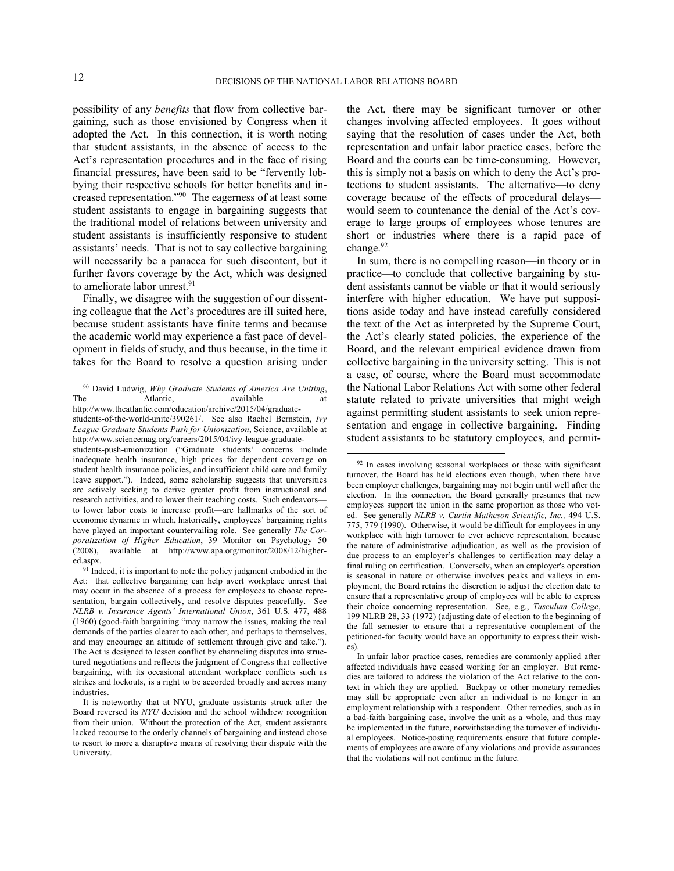1

 $\overline{a}$ 

possibility of any *benefits* that flow from collective bargaining, such as those envisioned by Congress when it adopted the Act. In this connection, it is worth noting that student assistants, in the absence of access to the Act's representation procedures and in the face of rising financial pressures, have been said to be "fervently lobbying their respective schools for better benefits and increased representation."<sup>90</sup> The eagerness of at least some student assistants to engage in bargaining suggests that the traditional model of relations between university and student assistants is insufficiently responsive to student assistants' needs. That is not to say collective bargaining will necessarily be a panacea for such discontent, but it further favors coverage by the Act, which was designed to ameliorate labor unrest.<sup>91</sup>

Finally, we disagree with the suggestion of our dissenting colleague that the Act's procedures are ill suited here, because student assistants have finite terms and because the academic world may experience a fast pace of development in fields of study, and thus because, in the time it takes for the Board to resolve a question arising under the Act, there may be significant turnover or other changes involving affected employees. It goes without saying that the resolution of cases under the Act, both representation and unfair labor practice cases, before the Board and the courts can be time-consuming. However, this is simply not a basis on which to deny the Act's protections to student assistants. The alternative—to deny coverage because of the effects of procedural delays would seem to countenance the denial of the Act's coverage to large groups of employees whose tenures are short or industries where there is a rapid pace of change.<sup>92</sup>

In sum, there is no compelling reason—in theory or in practice—to conclude that collective bargaining by student assistants cannot be viable or that it would seriously interfere with higher education. We have put suppositions aside today and have instead carefully considered the text of the Act as interpreted by the Supreme Court, the Act's clearly stated policies, the experience of the Board, and the relevant empirical evidence drawn from collective bargaining in the university setting. This is not a case, of course, where the Board must accommodate the National Labor Relations Act with some other federal statute related to private universities that might weigh against permitting student assistants to seek union representation and engage in collective bargaining. Finding student assistants to be statutory employees, and permit-

<sup>90</sup> David Ludwig, *Why Graduate Students of America Are Uniting*, The Atlantic, available at http://www.theatlantic.com/education/archive/2015/04/graduatestudents-of-the-world-unite/390261/. See also Rachel Bernstein, *Ivy* 

*League Graduate Students Push for Unionization*, Science, available at http://www.sciencemag.org/careers/2015/04/ivy-league-graduate-

students-push-unionization ("Graduate students' concerns include inadequate health insurance, high prices for dependent coverage on student health insurance policies, and insufficient child care and family leave support."). Indeed, some scholarship suggests that universities are actively seeking to derive greater profit from instructional and research activities, and to lower their teaching costs. Such endeavors to lower labor costs to increase profit—are hallmarks of the sort of economic dynamic in which, historically, employees' bargaining rights have played an important countervailing role. See generally *The Corporatization of Higher Education*, 39 Monitor on Psychology 50 (2008), available at http://www.apa.org/monitor/2008/12/highered.aspx.

<sup>&</sup>lt;sup>91</sup> Indeed, it is important to note the policy judgment embodied in the Act: that collective bargaining can help avert workplace unrest that may occur in the absence of a process for employees to choose representation, bargain collectively, and resolve disputes peacefully. See *NLRB v. Insurance Agents' International Union*, 361 U.S. 477, 488 (1960) (good-faith bargaining "may narrow the issues, making the real demands of the parties clearer to each other, and perhaps to themselves, and may encourage an attitude of settlement through give and take."). The Act is designed to lessen conflict by channeling disputes into structured negotiations and reflects the judgment of Congress that collective bargaining, with its occasional attendant workplace conflicts such as strikes and lockouts, is a right to be accorded broadly and across many industries.

It is noteworthy that at NYU, graduate assistants struck after the Board reversed its *NYU* decision and the school withdrew recognition from their union. Without the protection of the Act, student assistants lacked recourse to the orderly channels of bargaining and instead chose to resort to more a disruptive means of resolving their dispute with the University.

<sup>&</sup>lt;sup>92</sup> In cases involving seasonal workplaces or those with significant turnover, the Board has held elections even though, when there have been employer challenges, bargaining may not begin until well after the election. In this connection, the Board generally presumes that new employees support the union in the same proportion as those who voted. See generally *NLRB v. Curtin Matheson Scientific, Inc.,* 494 U.S. 775, 779 (1990). Otherwise, it would be difficult for employees in any workplace with high turnover to ever achieve representation, because the nature of administrative adjudication, as well as the provision of due process to an employer's challenges to certification may delay a final ruling on certification. Conversely, when an employer's operation is seasonal in nature or otherwise involves peaks and valleys in employment, the Board retains the discretion to adjust the election date to ensure that a representative group of employees will be able to express their choice concerning representation. See, e.g., *Tusculum College*, 199 NLRB 28, 33 (1972) (adjusting date of election to the beginning of the fall semester to ensure that a representative complement of the petitioned-for faculty would have an opportunity to express their wishes).

In unfair labor practice cases, remedies are commonly applied after affected individuals have ceased working for an employer. But remedies are tailored to address the violation of the Act relative to the context in which they are applied. Backpay or other monetary remedies may still be appropriate even after an individual is no longer in an employment relationship with a respondent. Other remedies, such as in a bad-faith bargaining case, involve the unit as a whole, and thus may be implemented in the future, notwithstanding the turnover of individual employees. Notice-posting requirements ensure that future complements of employees are aware of any violations and provide assurances that the violations will not continue in the future.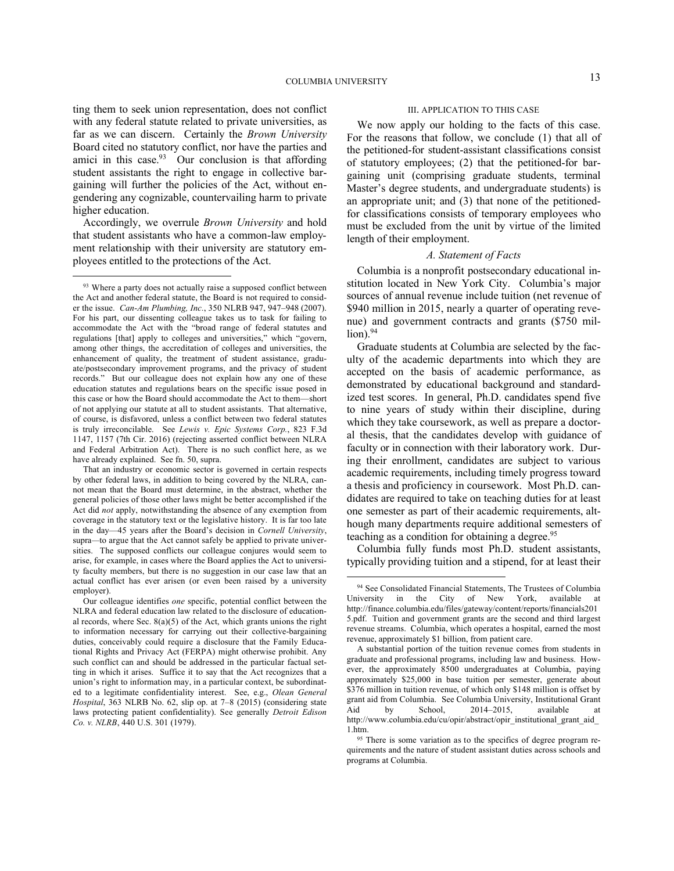ting them to seek union representation, does not conflict with any federal statute related to private universities, as far as we can discern. Certainly the *Brown University* Board cited no statutory conflict, nor have the parties and amici in this case. $93$  Our conclusion is that affording student assistants the right to engage in collective bargaining will further the policies of the Act, without engendering any cognizable, countervailing harm to private higher education.

Accordingly, we overrule *Brown University* and hold that student assistants who have a common-law employment relationship with their university are statutory employees entitled to the protections of the Act.

<u>.</u>

#### III. APPLICATION TO THIS CASE

We now apply our holding to the facts of this case. For the reasons that follow, we conclude (1) that all of the petitioned-for student-assistant classifications consist of statutory employees; (2) that the petitioned-for bargaining unit (comprising graduate students, terminal Master's degree students, and undergraduate students) is an appropriate unit; and (3) that none of the petitionedfor classifications consists of temporary employees who must be excluded from the unit by virtue of the limited length of their employment.

### *A. Statement of Facts*

Columbia is a nonprofit postsecondary educational institution located in New York City. Columbia's major sources of annual revenue include tuition (net revenue of \$940 million in 2015, nearly a quarter of operating revenue) and government contracts and grants (\$750 mil $l$ ion). $94$ 

Graduate students at Columbia are selected by the faculty of the academic departments into which they are accepted on the basis of academic performance, as demonstrated by educational background and standardized test scores. In general, Ph.D. candidates spend five to nine years of study within their discipline, during which they take coursework, as well as prepare a doctoral thesis, that the candidates develop with guidance of faculty or in connection with their laboratory work. During their enrollment, candidates are subject to various academic requirements, including timely progress toward a thesis and proficiency in coursework. Most Ph.D. candidates are required to take on teaching duties for at least one semester as part of their academic requirements, although many departments require additional semesters of teaching as a condition for obtaining a degree.<sup>95</sup>

Columbia fully funds most Ph.D. student assistants, typically providing tuition and a stipend, for at least their

<sup>93</sup> Where a party does not actually raise a supposed conflict between the Act and another federal statute, the Board is not required to consider the issue. *Can-Am Plumbing, Inc.*, 350 NLRB 947, 947–948 (2007). For his part, our dissenting colleague takes us to task for failing to accommodate the Act with the "broad range of federal statutes and regulations [that] apply to colleges and universities," which "govern, among other things, the accreditation of colleges and universities, the enhancement of quality, the treatment of student assistance, graduate/postsecondary improvement programs, and the privacy of student records." But our colleague does not explain how any one of these education statutes and regulations bears on the specific issue posed in this case or how the Board should accommodate the Act to them—short of not applying our statute at all to student assistants. That alternative, of course, is disfavored, unless a conflict between two federal statutes is truly irreconcilable. See *Lewis v. Epic Systems Corp.*, 823 F.3d 1147, 1157 (7th Cir. 2016) (rejecting asserted conflict between NLRA and Federal Arbitration Act). There is no such conflict here, as we have already explained. See fn. 50, supra.

That an industry or economic sector is governed in certain respects by other federal laws, in addition to being covered by the NLRA, cannot mean that the Board must determine, in the abstract, whether the general policies of those other laws might be better accomplished if the Act did *not* apply, notwithstanding the absence of any exemption from coverage in the statutory text or the legislative history. It is far too late in the day—45 years after the Board's decision in *Cornell University*, supra*—*to argue that the Act cannot safely be applied to private universities. The supposed conflicts our colleague conjures would seem to arise, for example, in cases where the Board applies the Act to university faculty members, but there is no suggestion in our case law that an actual conflict has ever arisen (or even been raised by a university employer).

Our colleague identifies *one* specific, potential conflict between the NLRA and federal education law related to the disclosure of educational records, where Sec.  $8(a)(5)$  of the Act, which grants unions the right to information necessary for carrying out their collective-bargaining duties, conceivably could require a disclosure that the Family Educational Rights and Privacy Act (FERPA) might otherwise prohibit. Any such conflict can and should be addressed in the particular factual setting in which it arises. Suffice it to say that the Act recognizes that a union's right to information may, in a particular context, be subordinated to a legitimate confidentiality interest. See, e.g., *Olean General Hospital*, 363 NLRB No. 62, slip op. at 7–8 (2015) (considering state laws protecting patient confidentiality). See generally *Detroit Edison Co. v. NLRB*, 440 U.S. 301 (1979).

<sup>94</sup> See Consolidated Financial Statements, The Trustees of Columbia University in the City of New York, available at http://finance.columbia.edu/files/gateway/content/reports/financials201 5.pdf. Tuition and government grants are the second and third largest revenue streams. Columbia, which operates a hospital, earned the most revenue, approximately \$1 billion, from patient care.

A substantial portion of the tuition revenue comes from students in graduate and professional programs, including law and business. However, the approximately 8500 undergraduates at Columbia, paying approximately \$25,000 in base tuition per semester, generate about \$376 million in tuition revenue, of which only \$148 million is offset by grant aid from Columbia. See Columbia University, Institutional Grant Aid by School, 2014–2015, available at http://www.columbia.edu/cu/opir/abstract/opir\_institutional\_grant\_aid\_ 1.htm.

<sup>&</sup>lt;sup>95</sup> There is some variation as to the specifics of degree program requirements and the nature of student assistant duties across schools and programs at Columbia.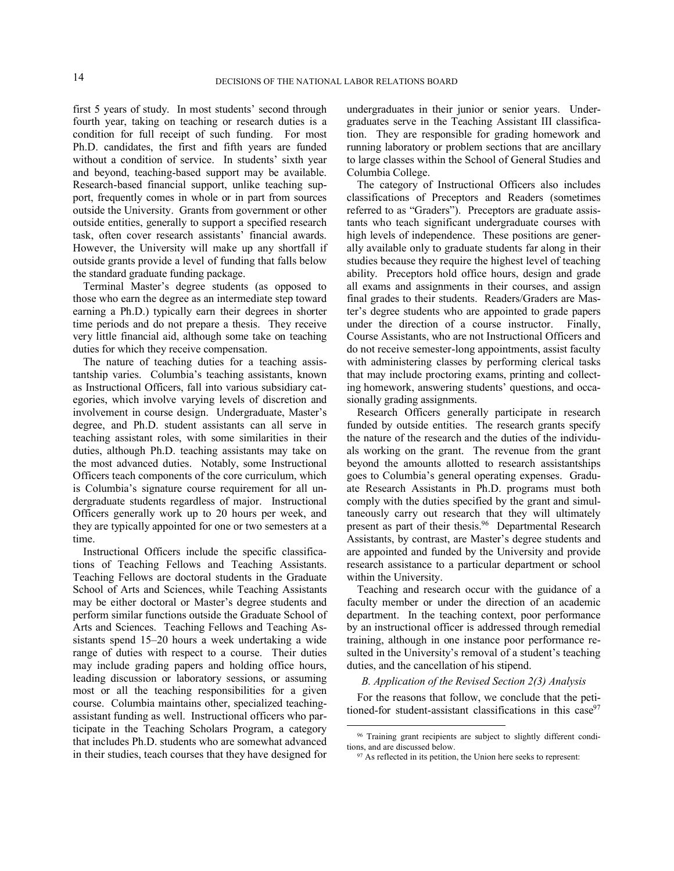first 5 years of study. In most students' second through fourth year, taking on teaching or research duties is a condition for full receipt of such funding. For most Ph.D. candidates, the first and fifth years are funded without a condition of service. In students' sixth year and beyond, teaching-based support may be available. Research-based financial support, unlike teaching support, frequently comes in whole or in part from sources outside the University. Grants from government or other outside entities, generally to support a specified research task, often cover research assistants' financial awards. However, the University will make up any shortfall if outside grants provide a level of funding that falls below the standard graduate funding package.

Terminal Master's degree students (as opposed to those who earn the degree as an intermediate step toward earning a Ph.D.) typically earn their degrees in shorter time periods and do not prepare a thesis. They receive very little financial aid, although some take on teaching duties for which they receive compensation.

The nature of teaching duties for a teaching assistantship varies. Columbia's teaching assistants, known as Instructional Officers, fall into various subsidiary categories, which involve varying levels of discretion and involvement in course design. Undergraduate, Master's degree, and Ph.D. student assistants can all serve in teaching assistant roles, with some similarities in their duties, although Ph.D. teaching assistants may take on the most advanced duties. Notably, some Instructional Officers teach components of the core curriculum, which is Columbia's signature course requirement for all undergraduate students regardless of major. Instructional Officers generally work up to 20 hours per week, and they are typically appointed for one or two semesters at a time.

Instructional Officers include the specific classifications of Teaching Fellows and Teaching Assistants. Teaching Fellows are doctoral students in the Graduate School of Arts and Sciences, while Teaching Assistants may be either doctoral or Master's degree students and perform similar functions outside the Graduate School of Arts and Sciences. Teaching Fellows and Teaching Assistants spend 15–20 hours a week undertaking a wide range of duties with respect to a course. Their duties may include grading papers and holding office hours, leading discussion or laboratory sessions, or assuming most or all the teaching responsibilities for a given course. Columbia maintains other, specialized teachingassistant funding as well. Instructional officers who participate in the Teaching Scholars Program, a category that includes Ph.D. students who are somewhat advanced in their studies, teach courses that they have designed for

undergraduates in their junior or senior years. Undergraduates serve in the Teaching Assistant III classification. They are responsible for grading homework and running laboratory or problem sections that are ancillary to large classes within the School of General Studies and Columbia College.

The category of Instructional Officers also includes classifications of Preceptors and Readers (sometimes referred to as "Graders"). Preceptors are graduate assistants who teach significant undergraduate courses with high levels of independence. These positions are generally available only to graduate students far along in their studies because they require the highest level of teaching ability. Preceptors hold office hours, design and grade all exams and assignments in their courses, and assign final grades to their students. Readers/Graders are Master's degree students who are appointed to grade papers under the direction of a course instructor. Finally, Course Assistants, who are not Instructional Officers and do not receive semester-long appointments, assist faculty with administering classes by performing clerical tasks that may include proctoring exams, printing and collecting homework, answering students' questions, and occasionally grading assignments.

Research Officers generally participate in research funded by outside entities. The research grants specify the nature of the research and the duties of the individuals working on the grant. The revenue from the grant beyond the amounts allotted to research assistantships goes to Columbia's general operating expenses. Graduate Research Assistants in Ph.D. programs must both comply with the duties specified by the grant and simultaneously carry out research that they will ultimately present as part of their thesis.<sup>96</sup> Departmental Research Assistants, by contrast, are Master's degree students and are appointed and funded by the University and provide research assistance to a particular department or school within the University.

Teaching and research occur with the guidance of a faculty member or under the direction of an academic department. In the teaching context, poor performance by an instructional officer is addressed through remedial training, although in one instance poor performance resulted in the University's removal of a student's teaching duties, and the cancellation of his stipend.

### *B. Application of the Revised Section 2(3) Analysis*

For the reasons that follow, we conclude that the petitioned-for student-assistant classifications in this  $case<sup>97</sup>$ 

<sup>&</sup>lt;sup>96</sup> Training grant recipients are subject to slightly different conditions, and are discussed below.

<sup>97</sup> As reflected in its petition, the Union here seeks to represent: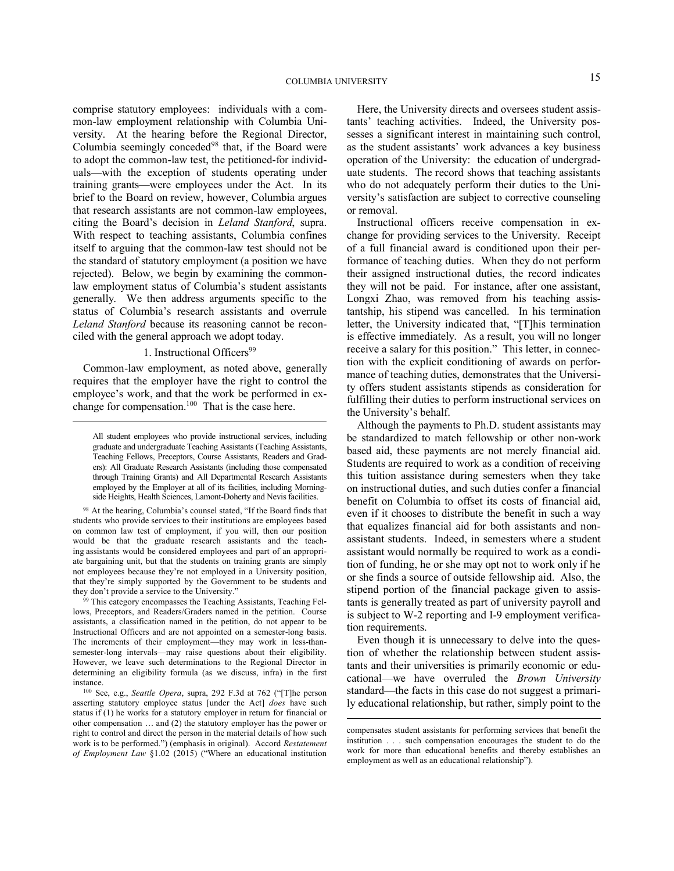comprise statutory employees: individuals with a common-law employment relationship with Columbia University. At the hearing before the Regional Director, Columbia seemingly conceded<sup>98</sup> that, if the Board were to adopt the common-law test, the petitioned-for individuals—with the exception of students operating under training grants—were employees under the Act. In its brief to the Board on review, however, Columbia argues that research assistants are not common-law employees, citing the Board's decision in *Leland Stanford*, supra. With respect to teaching assistants, Columbia confines itself to arguing that the common-law test should not be the standard of statutory employment (a position we have rejected). Below, we begin by examining the commonlaw employment status of Columbia's student assistants generally. We then address arguments specific to the status of Columbia's research assistants and overrule *Leland Stanford* because its reasoning cannot be reconciled with the general approach we adopt today.

# 1. Instructional Officers<sup>99</sup>

Common-law employment, as noted above, generally requires that the employer have the right to control the employee's work, and that the work be performed in exchange for compensation. $100$  That is the case here.

 $\overline{a}$ 

<sup>98</sup> At the hearing, Columbia's counsel stated, "If the Board finds that students who provide services to their institutions are employees based on common law test of employment, if you will, then our position would be that the graduate research assistants and the teaching assistants would be considered employees and part of an appropriate bargaining unit, but that the students on training grants are simply not employees because they're not employed in a University position, that they're simply supported by the Government to be students and they don't provide a service to the University."

<sup>99</sup> This category encompasses the Teaching Assistants, Teaching Fellows, Preceptors, and Readers/Graders named in the petition. Course assistants, a classification named in the petition, do not appear to be Instructional Officers and are not appointed on a semester-long basis. The increments of their employment—they may work in less-thansemester-long intervals—may raise questions about their eligibility. However, we leave such determinations to the Regional Director in determining an eligibility formula (as we discuss, infra) in the first instance.

<sup>100</sup> See, e.g., *Seattle Opera*, supra, 292 F.3d at 762 ("[T]he person asserting statutory employee status [under the Act] *does* have such status if (1) he works for a statutory employer in return for financial or other compensation … and (2) the statutory employer has the power or right to control and direct the person in the material details of how such work is to be performed.") (emphasis in original). Accord *Restatement of Employment Law* §1.02 (2015) ("Where an educational institution

Here, the University directs and oversees student assistants' teaching activities. Indeed, the University possesses a significant interest in maintaining such control, as the student assistants' work advances a key business operation of the University: the education of undergraduate students. The record shows that teaching assistants who do not adequately perform their duties to the University's satisfaction are subject to corrective counseling or removal.

Instructional officers receive compensation in exchange for providing services to the University. Receipt of a full financial award is conditioned upon their performance of teaching duties. When they do not perform their assigned instructional duties, the record indicates they will not be paid. For instance, after one assistant, Longxi Zhao, was removed from his teaching assistantship, his stipend was cancelled. In his termination letter, the University indicated that, "[T]his termination is effective immediately. As a result, you will no longer receive a salary for this position." This letter, in connection with the explicit conditioning of awards on performance of teaching duties, demonstrates that the University offers student assistants stipends as consideration for fulfilling their duties to perform instructional services on the University's behalf.

Although the payments to Ph.D. student assistants may be standardized to match fellowship or other non-work based aid, these payments are not merely financial aid. Students are required to work as a condition of receiving this tuition assistance during semesters when they take on instructional duties, and such duties confer a financial benefit on Columbia to offset its costs of financial aid, even if it chooses to distribute the benefit in such a way that equalizes financial aid for both assistants and nonassistant students. Indeed, in semesters where a student assistant would normally be required to work as a condition of funding, he or she may opt not to work only if he or she finds a source of outside fellowship aid. Also, the stipend portion of the financial package given to assistants is generally treated as part of university payroll and is subject to W-2 reporting and I-9 employment verification requirements.

Even though it is unnecessary to delve into the question of whether the relationship between student assistants and their universities is primarily economic or educational—we have overruled the *Brown University* standard—the facts in this case do not suggest a primarily educational relationship, but rather, simply point to the

All student employees who provide instructional services, including graduate and undergraduate Teaching Assistants (Teaching Assistants, Teaching Fellows, Preceptors, Course Assistants, Readers and Graders): All Graduate Research Assistants (including those compensated through Training Grants) and All Departmental Research Assistants employed by the Employer at all of its facilities, including Morningside Heights, Health Sciences, Lamont-Doherty and Nevis facilities.

compensates student assistants for performing services that benefit the institution . . . such compensation encourages the student to do the work for more than educational benefits and thereby establishes an employment as well as an educational relationship").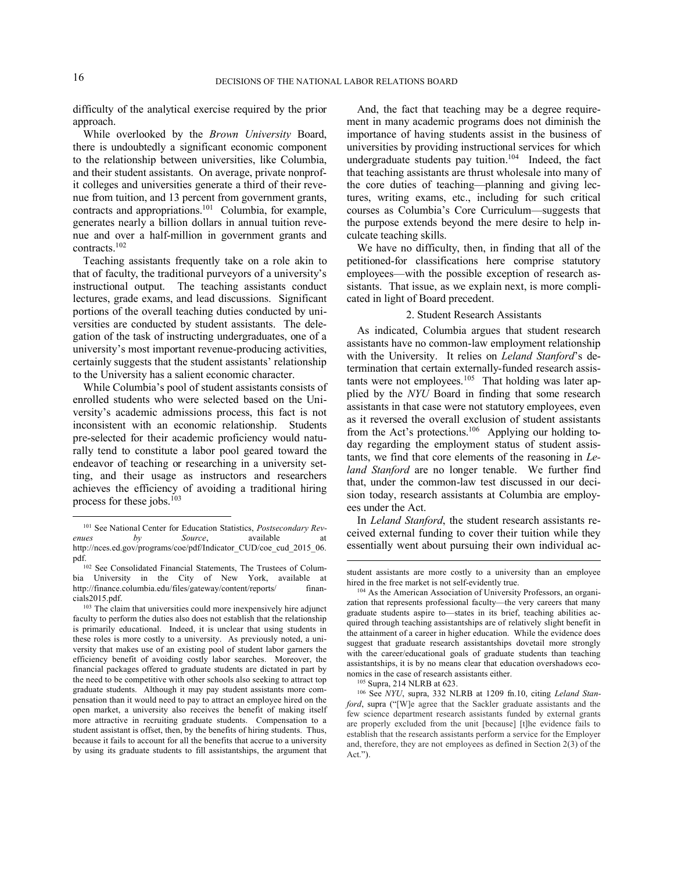difficulty of the analytical exercise required by the prior approach.

While overlooked by the *Brown University* Board, there is undoubtedly a significant economic component to the relationship between universities, like Columbia, and their student assistants. On average, private nonprofit colleges and universities generate a third of their revenue from tuition, and 13 percent from government grants, contracts and appropriations.<sup>101</sup> Columbia, for example, generates nearly a billion dollars in annual tuition revenue and over a half-million in government grants and contracts.<sup>102</sup>

Teaching assistants frequently take on a role akin to that of faculty, the traditional purveyors of a university's instructional output. The teaching assistants conduct lectures, grade exams, and lead discussions. Significant portions of the overall teaching duties conducted by universities are conducted by student assistants. The delegation of the task of instructing undergraduates, one of a university's most important revenue-producing activities, certainly suggests that the student assistants' relationship to the University has a salient economic character.

While Columbia's pool of student assistants consists of enrolled students who were selected based on the University's academic admissions process, this fact is not inconsistent with an economic relationship. Students pre-selected for their academic proficiency would naturally tend to constitute a labor pool geared toward the endeavor of teaching or researching in a university setting, and their usage as instructors and researchers achieves the efficiency of avoiding a traditional hiring process for these jobs.<sup>103</sup>

And, the fact that teaching may be a degree requirement in many academic programs does not diminish the importance of having students assist in the business of universities by providing instructional services for which undergraduate students pay tuition.<sup>104</sup> Indeed, the fact that teaching assistants are thrust wholesale into many of the core duties of teaching—planning and giving lectures, writing exams, etc., including for such critical courses as Columbia's Core Curriculum—suggests that the purpose extends beyond the mere desire to help inculcate teaching skills.

We have no difficulty, then, in finding that all of the petitioned-for classifications here comprise statutory employees—with the possible exception of research assistants. That issue, as we explain next, is more complicated in light of Board precedent.

# 2. Student Research Assistants

As indicated, Columbia argues that student research assistants have no common-law employment relationship with the University. It relies on *Leland Stanford*'s determination that certain externally-funded research assistants were not employees.<sup>105</sup> That holding was later applied by the *NYU* Board in finding that some research assistants in that case were not statutory employees, even as it reversed the overall exclusion of student assistants from the Act's protections.<sup>106</sup> Applying our holding today regarding the employment status of student assistants, we find that core elements of the reasoning in *Leland Stanford* are no longer tenable. We further find that, under the common-law test discussed in our decision today, research assistants at Columbia are employees under the Act.

In *Leland Stanford*, the student research assistants received external funding to cover their tuition while they essentially went about pursuing their own individual ac-

 $\overline{a}$ 

1

<sup>101</sup> See National Center for Education Statistics, *Postsecondary Revenues by Source*, **available at** http://nces.ed.gov/programs/coe/pdf/Indicator\_CUD/coe\_cud\_2015\_06. pdf.

<sup>102</sup> See Consolidated Financial Statements, The Trustees of Columbia University in the City of New York, available at http://finance.columbia.edu/files/gateway/content/reports/ financials2015.pdf.

<sup>&</sup>lt;sup>103</sup> The claim that universities could more inexpensively hire adjunct faculty to perform the duties also does not establish that the relationship is primarily educational. Indeed, it is unclear that using students in these roles is more costly to a university. As previously noted, a university that makes use of an existing pool of student labor garners the efficiency benefit of avoiding costly labor searches. Moreover, the financial packages offered to graduate students are dictated in part by the need to be competitive with other schools also seeking to attract top graduate students. Although it may pay student assistants more compensation than it would need to pay to attract an employee hired on the open market, a university also receives the benefit of making itself more attractive in recruiting graduate students. Compensation to a student assistant is offset, then, by the benefits of hiring students. Thus, because it fails to account for all the benefits that accrue to a university by using its graduate students to fill assistantships, the argument that

student assistants are more costly to a university than an employee hired in the free market is not self-evidently true.

<sup>104</sup> As the American Association of University Professors, an organization that represents professional faculty—the very careers that many graduate students aspire to—states in its brief, teaching abilities acquired through teaching assistantships are of relatively slight benefit in the attainment of a career in higher education. While the evidence does suggest that graduate research assistantships dovetail more strongly with the career/educational goals of graduate students than teaching assistantships, it is by no means clear that education overshadows economics in the case of research assistants either.

<sup>105</sup> Supra, 214 NLRB at 623.

<sup>106</sup> See *NYU*, supra, 332 NLRB at 1209 fn.10, citing *Leland Stanford*, supra ("[W]e agree that the Sackler graduate assistants and the few science department research assistants funded by external grants are properly excluded from the unit [because] [t]he evidence fails to establish that the research assistants perform a service for the Employer and, therefore, they are not employees as defined in Section 2(3) of the Act.").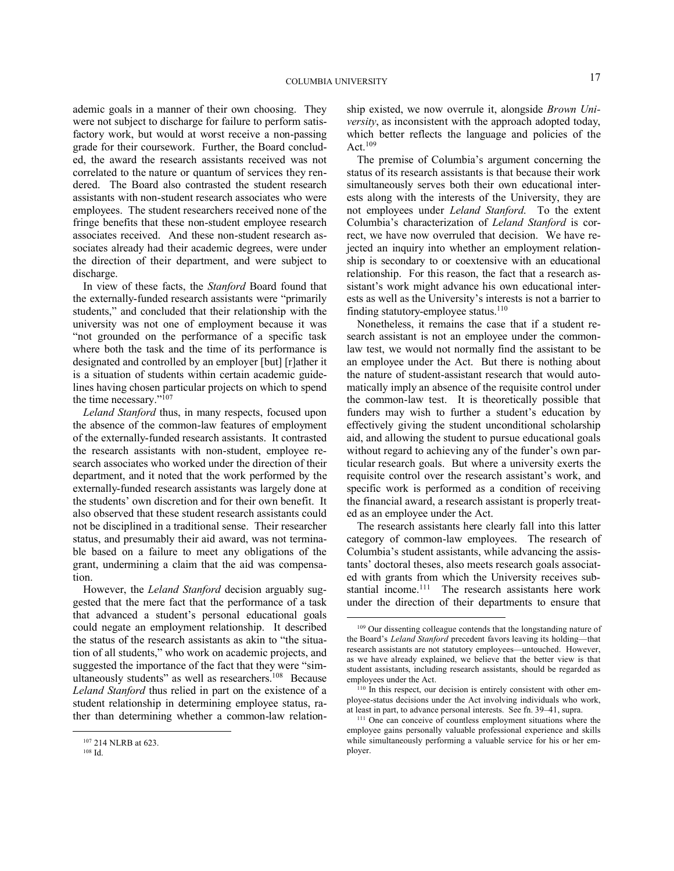ademic goals in a manner of their own choosing. They were not subject to discharge for failure to perform satisfactory work, but would at worst receive a non-passing grade for their coursework. Further, the Board concluded, the award the research assistants received was not correlated to the nature or quantum of services they rendered. The Board also contrasted the student research assistants with non-student research associates who were employees. The student researchers received none of the fringe benefits that these non-student employee research associates received. And these non-student research associates already had their academic degrees, were under the direction of their department, and were subject to discharge.

In view of these facts, the *Stanford* Board found that the externally-funded research assistants were "primarily students," and concluded that their relationship with the university was not one of employment because it was "not grounded on the performance of a specific task where both the task and the time of its performance is designated and controlled by an employer [but] [r]ather it is a situation of students within certain academic guidelines having chosen particular projects on which to spend the time necessary."<sup>107</sup>

*Leland Stanford* thus, in many respects, focused upon the absence of the common-law features of employment of the externally-funded research assistants. It contrasted the research assistants with non-student, employee research associates who worked under the direction of their department, and it noted that the work performed by the externally-funded research assistants was largely done at the students' own discretion and for their own benefit. It also observed that these student research assistants could not be disciplined in a traditional sense. Their researcher status, and presumably their aid award, was not terminable based on a failure to meet any obligations of the grant, undermining a claim that the aid was compensation.

However, the *Leland Stanford* decision arguably suggested that the mere fact that the performance of a task that advanced a student's personal educational goals could negate an employment relationship. It described the status of the research assistants as akin to "the situation of all students," who work on academic projects, and suggested the importance of the fact that they were "simultaneously students" as well as researchers.<sup>108</sup> Because *Leland Stanford* thus relied in part on the existence of a student relationship in determining employee status, rather than determining whether a common-law relation-

<u>.</u>

ship existed, we now overrule it, alongside *Brown University*, as inconsistent with the approach adopted today, which better reflects the language and policies of the Act.<sup>109</sup>

The premise of Columbia's argument concerning the status of its research assistants is that because their work simultaneously serves both their own educational interests along with the interests of the University, they are not employees under *Leland Stanford*. To the extent Columbia's characterization of *Leland Stanford* is correct, we have now overruled that decision. We have rejected an inquiry into whether an employment relationship is secondary to or coextensive with an educational relationship. For this reason, the fact that a research assistant's work might advance his own educational interests as well as the University's interests is not a barrier to finding statutory-employee status.<sup>110</sup>

Nonetheless, it remains the case that if a student research assistant is not an employee under the commonlaw test, we would not normally find the assistant to be an employee under the Act. But there is nothing about the nature of student-assistant research that would automatically imply an absence of the requisite control under the common-law test. It is theoretically possible that funders may wish to further a student's education by effectively giving the student unconditional scholarship aid, and allowing the student to pursue educational goals without regard to achieving any of the funder's own particular research goals. But where a university exerts the requisite control over the research assistant's work, and specific work is performed as a condition of receiving the financial award, a research assistant is properly treated as an employee under the Act.

The research assistants here clearly fall into this latter category of common-law employees. The research of Columbia's student assistants, while advancing the assistants' doctoral theses, also meets research goals associated with grants from which the University receives substantial income.<sup>111</sup> The research assistants here work under the direction of their departments to ensure that

<sup>107</sup> 214 NLRB at 623.

<sup>108</sup> Id.

<sup>109</sup> Our dissenting colleague contends that the longstanding nature of the Board's *Leland Stanford* precedent favors leaving its holding—that research assistants are not statutory employees—untouched. However, as we have already explained, we believe that the better view is that student assistants, including research assistants, should be regarded as employees under the Act.

<sup>&</sup>lt;sup>110</sup> In this respect, our decision is entirely consistent with other employee-status decisions under the Act involving individuals who work, at least in part, to advance personal interests. See fn. 39–41, supra.

<sup>111</sup> One can conceive of countless employment situations where the employee gains personally valuable professional experience and skills while simultaneously performing a valuable service for his or her employer.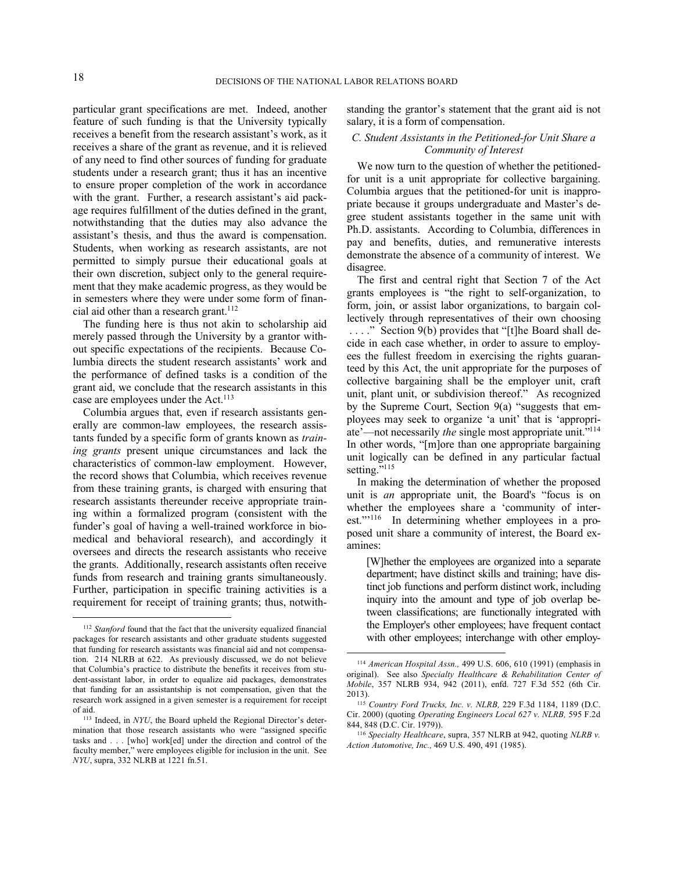1

 $\overline{a}$ 

particular grant specifications are met. Indeed, another feature of such funding is that the University typically receives a benefit from the research assistant's work, as it receives a share of the grant as revenue, and it is relieved of any need to find other sources of funding for graduate students under a research grant; thus it has an incentive to ensure proper completion of the work in accordance with the grant. Further, a research assistant's aid package requires fulfillment of the duties defined in the grant, notwithstanding that the duties may also advance the assistant's thesis, and thus the award is compensation. Students, when working as research assistants, are not permitted to simply pursue their educational goals at their own discretion, subject only to the general requirement that they make academic progress, as they would be in semesters where they were under some form of financial aid other than a research grant.<sup>112</sup>

The funding here is thus not akin to scholarship aid merely passed through the University by a grantor without specific expectations of the recipients. Because Columbia directs the student research assistants' work and the performance of defined tasks is a condition of the grant aid, we conclude that the research assistants in this case are employees under the Act.<sup>113</sup>

Columbia argues that, even if research assistants generally are common-law employees, the research assistants funded by a specific form of grants known as *training grants* present unique circumstances and lack the characteristics of common-law employment. However, the record shows that Columbia, which receives revenue from these training grants, is charged with ensuring that research assistants thereunder receive appropriate training within a formalized program (consistent with the funder's goal of having a well-trained workforce in biomedical and behavioral research), and accordingly it oversees and directs the research assistants who receive the grants. Additionally, research assistants often receive funds from research and training grants simultaneously. Further, participation in specific training activities is a requirement for receipt of training grants; thus, notwithstanding the grantor's statement that the grant aid is not salary, it is a form of compensation.

# *C. Student Assistants in the Petitioned-for Unit Share a Community of Interest*

We now turn to the question of whether the petitionedfor unit is a unit appropriate for collective bargaining. Columbia argues that the petitioned-for unit is inappropriate because it groups undergraduate and Master's degree student assistants together in the same unit with Ph.D. assistants. According to Columbia, differences in pay and benefits, duties, and remunerative interests demonstrate the absence of a community of interest. We disagree.

The first and central right that Section 7 of the Act grants employees is "the right to self-organization, to form, join, or assist labor organizations, to bargain collectively through representatives of their own choosing ...." Section 9(b) provides that "[t]he Board shall decide in each case whether, in order to assure to employees the fullest freedom in exercising the rights guaranteed by this Act, the unit appropriate for the purposes of collective bargaining shall be the employer unit, craft unit, plant unit, or subdivision thereof." As recognized by the Supreme Court, Section 9(a) "suggests that employees may seek to organize 'a unit' that is 'appropriate'—not necessarily *the* single most appropriate unit."<sup>114</sup> In other words, "[m]ore than one appropriate bargaining unit logically can be defined in any particular factual setting."<sup>115</sup>

In making the determination of whether the proposed unit is *an* appropriate unit, the Board's "focus is on whether the employees share a 'community of interest."<sup>116</sup> In determining whether employees in a proposed unit share a community of interest, the Board examines:

[W]hether the employees are organized into a separate department; have distinct skills and training; have distinct job functions and perform distinct work, including inquiry into the amount and type of job overlap between classifications; are functionally integrated with the Employer's other employees; have frequent contact with other employees; interchange with other employ-

<sup>112</sup> *Stanford* found that the fact that the university equalized financial packages for research assistants and other graduate students suggested that funding for research assistants was financial aid and not compensation. 214 NLRB at 622. As previously discussed, we do not believe that Columbia's practice to distribute the benefits it receives from student-assistant labor, in order to equalize aid packages, demonstrates that funding for an assistantship is not compensation, given that the research work assigned in a given semester is a requirement for receipt of aid.

<sup>113</sup> Indeed, in *NYU*, the Board upheld the Regional Director's determination that those research assistants who were "assigned specific tasks and . . . [who] work[ed] under the direction and control of the faculty member," were employees eligible for inclusion in the unit. See *NYU*, supra, 332 NLRB at 1221 fn.51.

<sup>114</sup> *American Hospital Assn.,* 499 U.S. 606, 610 (1991) (emphasis in original). See also *Specialty Healthcare & Rehabilitation Center of Mobile*, 357 NLRB 934, 942 (2011), enfd. 727 F.3d 552 (6th Cir. 2013).

<sup>115</sup> *Country Ford Trucks, Inc. v. NLRB,* 229 F.3d 1184, 1189 (D.C. Cir. 2000) (quoting *Operating Engineers Local 627 v. NLRB,* 595 F.2d 844, 848 (D.C. Cir. 1979)).

<sup>116</sup> *Specialty Healthcare*, supra, 357 NLRB at 942, quoting *NLRB v. Action Automotive, Inc.,* 469 U.S. 490, 491 (1985).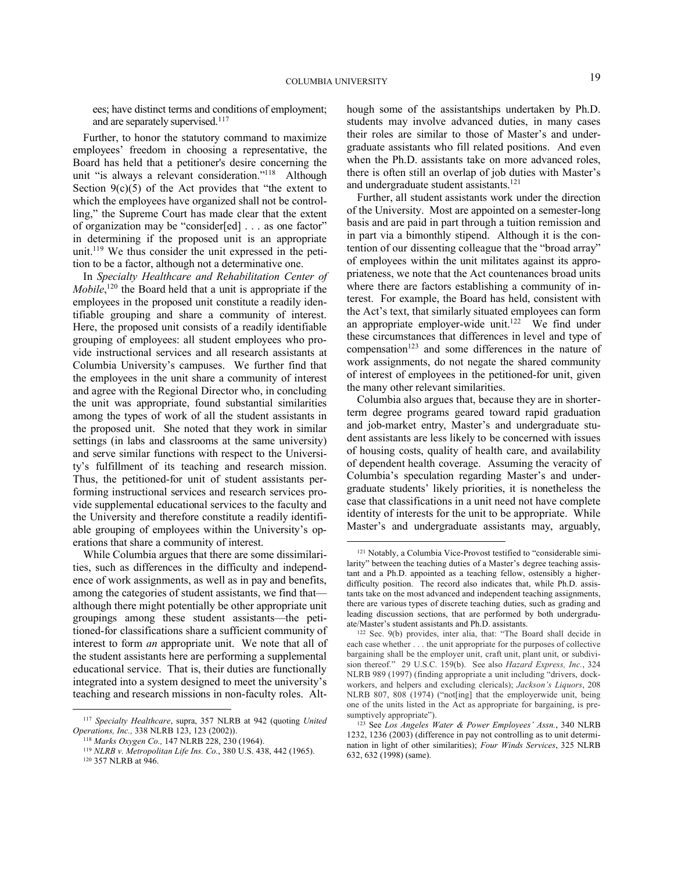ees; have distinct terms and conditions of employment; and are separately supervised.<sup>117</sup>

Further, to honor the statutory command to maximize employees' freedom in choosing a representative, the Board has held that a petitioner's desire concerning the unit "is always a relevant consideration."<sup>118</sup> Although Section  $9(c)(5)$  of the Act provides that "the extent to which the employees have organized shall not be controlling," the Supreme Court has made clear that the extent of organization may be "consider[ed] . . . as one factor" in determining if the proposed unit is an appropriate unit.<sup>119</sup> We thus consider the unit expressed in the petition to be a factor, although not a determinative one.

In *Specialty Healthcare and Rehabilitation Center of Mobile*,<sup>120</sup> the Board held that a unit is appropriate if the employees in the proposed unit constitute a readily identifiable grouping and share a community of interest. Here, the proposed unit consists of a readily identifiable grouping of employees: all student employees who provide instructional services and all research assistants at Columbia University's campuses. We further find that the employees in the unit share a community of interest and agree with the Regional Director who, in concluding the unit was appropriate, found substantial similarities among the types of work of all the student assistants in the proposed unit. She noted that they work in similar settings (in labs and classrooms at the same university) and serve similar functions with respect to the University's fulfillment of its teaching and research mission. Thus, the petitioned-for unit of student assistants performing instructional services and research services provide supplemental educational services to the faculty and the University and therefore constitute a readily identifiable grouping of employees within the University's operations that share a community of interest.

While Columbia argues that there are some dissimilarities, such as differences in the difficulty and independence of work assignments, as well as in pay and benefits, among the categories of student assistants, we find that although there might potentially be other appropriate unit groupings among these student assistants—the petitioned-for classifications share a sufficient community of interest to form *an* appropriate unit. We note that all of the student assistants here are performing a supplemental educational service. That is, their duties are functionally integrated into a system designed to meet the university's teaching and research missions in non-faculty roles. Alt-

1

hough some of the assistantships undertaken by Ph.D. students may involve advanced duties, in many cases their roles are similar to those of Master's and undergraduate assistants who fill related positions. And even when the Ph.D. assistants take on more advanced roles, there is often still an overlap of job duties with Master's and undergraduate student assistants.<sup>121</sup>

Further, all student assistants work under the direction of the University. Most are appointed on a semester-long basis and are paid in part through a tuition remission and in part via a bimonthly stipend. Although it is the contention of our dissenting colleague that the "broad array" of employees within the unit militates against its appropriateness, we note that the Act countenances broad units where there are factors establishing a community of interest. For example, the Board has held, consistent with the Act's text, that similarly situated employees can form an appropriate employer-wide unit.<sup>122</sup> We find under these circumstances that differences in level and type of  $compensation<sup>123</sup>$  and some differences in the nature of work assignments, do not negate the shared community of interest of employees in the petitioned-for unit, given the many other relevant similarities.

Columbia also argues that, because they are in shorterterm degree programs geared toward rapid graduation and job-market entry, Master's and undergraduate student assistants are less likely to be concerned with issues of housing costs, quality of health care, and availability of dependent health coverage. Assuming the veracity of Columbia's speculation regarding Master's and undergraduate students' likely priorities, it is nonetheless the case that classifications in a unit need not have complete identity of interests for the unit to be appropriate. While Master's and undergraduate assistants may, arguably,  $\overline{a}$ 

<sup>117</sup> *Specialty Healthcare*, supra, 357 NLRB at 942 (quoting *United Operations, Inc.,* 338 NLRB 123, 123 (2002)).

<sup>118</sup> *Marks Oxygen Co.,* 147 NLRB 228, 230 (1964).

<sup>119</sup> *NLRB v. Metropolitan Life Ins. Co.*, 380 U.S. 438, 442 (1965).

<sup>120 357</sup> NLRB at 946.

<sup>121</sup> Notably, a Columbia Vice-Provost testified to "considerable similarity" between the teaching duties of a Master's degree teaching assistant and a Ph.D. appointed as a teaching fellow, ostensibly a higherdifficulty position. The record also indicates that, while Ph.D. assistants take on the most advanced and independent teaching assignments, there are various types of discrete teaching duties, such as grading and leading discussion sections, that are performed by both undergraduate/Master's student assistants and Ph.D. assistants.

<sup>122</sup> Sec. 9(b) provides, inter alia, that: "The Board shall decide in each case whether . . . the unit appropriate for the purposes of collective bargaining shall be the employer unit, craft unit, plant unit, or subdivision thereof." 29 U.S.C. 159(b). See also *Hazard Express, Inc.*, 324 NLRB 989 (1997) (finding appropriate a unit including "drivers, dockworkers, and helpers and excluding clericals); *Jackson's Liquors*, 208 NLRB 807, 808 (1974) ("not[ing] that the employerwide unit, being one of the units listed in the Act as appropriate for bargaining, is presumptively appropriate").

<sup>&</sup>lt;sup>123</sup> See *Los Angeles Water & Power Employees' Assn.*, 340 NLRB 1232, 1236 (2003) (difference in pay not controlling as to unit determination in light of other similarities); *Four Winds Services*, 325 NLRB 632, 632 (1998) (same).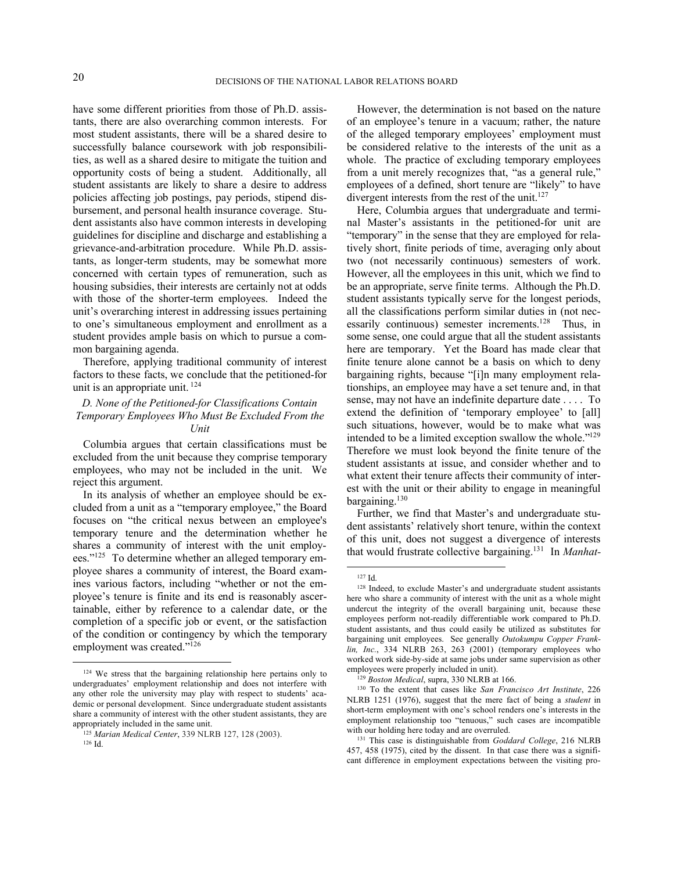have some different priorities from those of Ph.D. assistants, there are also overarching common interests. For most student assistants, there will be a shared desire to successfully balance coursework with job responsibilities, as well as a shared desire to mitigate the tuition and opportunity costs of being a student. Additionally, all student assistants are likely to share a desire to address policies affecting job postings, pay periods, stipend disbursement, and personal health insurance coverage. Student assistants also have common interests in developing guidelines for discipline and discharge and establishing a grievance-and-arbitration procedure. While Ph.D. assistants, as longer-term students, may be somewhat more concerned with certain types of remuneration, such as housing subsidies, their interests are certainly not at odds with those of the shorter-term employees. Indeed the unit's overarching interest in addressing issues pertaining to one's simultaneous employment and enrollment as a student provides ample basis on which to pursue a common bargaining agenda.

Therefore, applying traditional community of interest factors to these facts, we conclude that the petitioned-for unit is an appropriate unit. <sup>124</sup>

# *D. None of the Petitioned-for Classifications Contain Temporary Employees Who Must Be Excluded From the Unit*

Columbia argues that certain classifications must be excluded from the unit because they comprise temporary employees, who may not be included in the unit. We reject this argument.

In its analysis of whether an employee should be excluded from a unit as a "temporary employee," the Board focuses on "the critical nexus between an employee's temporary tenure and the determination whether he shares a community of interest with the unit employees."<sup>125</sup> To determine whether an alleged temporary employee shares a community of interest, the Board examines various factors, including "whether or not the employee's tenure is finite and its end is reasonably ascertainable, either by reference to a calendar date, or the completion of a specific job or event, or the satisfaction of the condition or contingency by which the temporary employment was created."<sup>126</sup>

<u>.</u>

However, the determination is not based on the nature of an employee's tenure in a vacuum; rather, the nature of the alleged temporary employees' employment must be considered relative to the interests of the unit as a whole. The practice of excluding temporary employees from a unit merely recognizes that, "as a general rule," employees of a defined, short tenure are "likely" to have divergent interests from the rest of the unit.<sup>127</sup>

Here, Columbia argues that undergraduate and terminal Master's assistants in the petitioned-for unit are "temporary" in the sense that they are employed for relatively short, finite periods of time, averaging only about two (not necessarily continuous) semesters of work. However, all the employees in this unit, which we find to be an appropriate, serve finite terms. Although the Ph.D. student assistants typically serve for the longest periods, all the classifications perform similar duties in (not necessarily continuous) semester increments.<sup>128</sup> Thus, in some sense, one could argue that all the student assistants here are temporary. Yet the Board has made clear that finite tenure alone cannot be a basis on which to deny bargaining rights, because "[i]n many employment relationships, an employee may have a set tenure and, in that sense, may not have an indefinite departure date . . . . To extend the definition of 'temporary employee' to [all] such situations, however, would be to make what was intended to be a limited exception swallow the whole."<sup>129</sup> Therefore we must look beyond the finite tenure of the student assistants at issue, and consider whether and to what extent their tenure affects their community of interest with the unit or their ability to engage in meaningful bargaining.<sup>130</sup>

Further, we find that Master's and undergraduate student assistants' relatively short tenure, within the context of this unit, does not suggest a divergence of interests that would frustrate collective bargaining.<sup>131</sup> In *Manhat-*

<sup>124</sup> We stress that the bargaining relationship here pertains only to undergraduates' employment relationship and does not interfere with any other role the university may play with respect to students' academic or personal development. Since undergraduate student assistants share a community of interest with the other student assistants, they are appropriately included in the same unit.

<sup>125</sup> *Marian Medical Center*, 339 NLRB 127, 128 (2003).

<sup>126</sup> Id.

<sup>127</sup> Id.

<sup>128</sup> Indeed, to exclude Master's and undergraduate student assistants here who share a community of interest with the unit as a whole might undercut the integrity of the overall bargaining unit, because these employees perform not-readily differentiable work compared to Ph.D. student assistants, and thus could easily be utilized as substitutes for bargaining unit employees. See generally *Outokumpu Copper Franklin, Inc.*, 334 NLRB 263, 263 (2001) (temporary employees who worked work side-by-side at same jobs under same supervision as other employees were properly included in unit).

<sup>129</sup> *Boston Medical*, supra, 330 NLRB at 166.

<sup>130</sup> To the extent that cases like *San Francisco Art Institute*, 226 NLRB 1251 (1976), suggest that the mere fact of being a *student* in short-term employment with one's school renders one's interests in the employment relationship too "tenuous," such cases are incompatible with our holding here today and are overruled.

<sup>131</sup> This case is distinguishable from *Goddard College*, 216 NLRB 457, 458 (1975), cited by the dissent. In that case there was a significant difference in employment expectations between the visiting pro-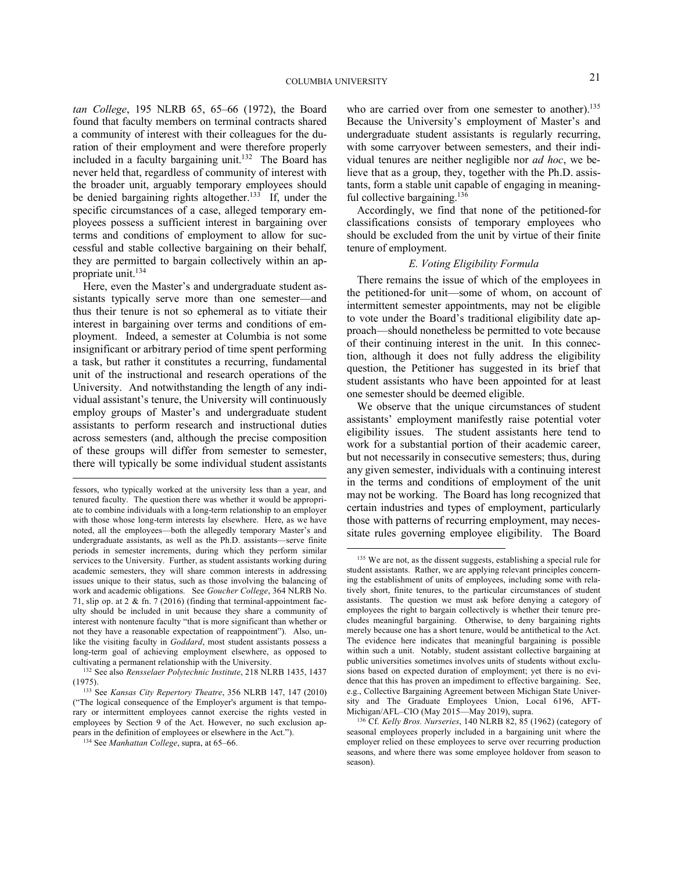*tan College*, 195 NLRB 65, 65–66 (1972), the Board found that faculty members on terminal contracts shared a community of interest with their colleagues for the duration of their employment and were therefore properly included in a faculty bargaining unit.<sup>132</sup> The Board has never held that, regardless of community of interest with the broader unit, arguably temporary employees should be denied bargaining rights altogether.<sup>133</sup> If, under the specific circumstances of a case, alleged temporary employees possess a sufficient interest in bargaining over terms and conditions of employment to allow for successful and stable collective bargaining on their behalf, they are permitted to bargain collectively within an appropriate unit.<sup>134</sup>

Here, even the Master's and undergraduate student assistants typically serve more than one semester—and thus their tenure is not so ephemeral as to vitiate their interest in bargaining over terms and conditions of employment. Indeed, a semester at Columbia is not some insignificant or arbitrary period of time spent performing a task, but rather it constitutes a recurring, fundamental unit of the instructional and research operations of the University. And notwithstanding the length of any individual assistant's tenure, the University will continuously employ groups of Master's and undergraduate student assistants to perform research and instructional duties across semesters (and, although the precise composition of these groups will differ from semester to semester, there will typically be some individual student assistants

 $\overline{a}$ 

who are carried over from one semester to another).<sup>135</sup> Because the University's employment of Master's and undergraduate student assistants is regularly recurring, with some carryover between semesters, and their individual tenures are neither negligible nor *ad hoc*, we believe that as a group, they, together with the Ph.D. assistants, form a stable unit capable of engaging in meaningful collective bargaining.<sup>136</sup>

Accordingly, we find that none of the petitioned-for classifications consists of temporary employees who should be excluded from the unit by virtue of their finite tenure of employment.

#### *E. Voting Eligibility Formula*

There remains the issue of which of the employees in the petitioned-for unit—some of whom, on account of intermittent semester appointments, may not be eligible to vote under the Board's traditional eligibility date approach—should nonetheless be permitted to vote because of their continuing interest in the unit. In this connection, although it does not fully address the eligibility question, the Petitioner has suggested in its brief that student assistants who have been appointed for at least one semester should be deemed eligible.

We observe that the unique circumstances of student assistants' employment manifestly raise potential voter eligibility issues. The student assistants here tend to work for a substantial portion of their academic career, but not necessarily in consecutive semesters; thus, during any given semester, individuals with a continuing interest in the terms and conditions of employment of the unit may not be working. The Board has long recognized that certain industries and types of employment, particularly those with patterns of recurring employment, may necessitate rules governing employee eligibility. The Board

fessors, who typically worked at the university less than a year, and tenured faculty. The question there was whether it would be appropriate to combine individuals with a long-term relationship to an employer with those whose long-term interests lay elsewhere. Here, as we have noted, all the employees—both the allegedly temporary Master's and undergraduate assistants, as well as the Ph.D. assistants—serve finite periods in semester increments, during which they perform similar services to the University. Further, as student assistants working during academic semesters, they will share common interests in addressing issues unique to their status, such as those involving the balancing of work and academic obligations. See *Goucher College*, 364 NLRB No. 71, slip op. at 2  $\&$  fn. 7 (2016) (finding that terminal-appointment faculty should be included in unit because they share a community of interest with nontenure faculty "that is more significant than whether or not they have a reasonable expectation of reappointment"). Also, unlike the visiting faculty in *Goddard*, most student assistants possess a long-term goal of achieving employment elsewhere, as opposed to cultivating a permanent relationship with the University.

<sup>132</sup> See also *Rensselaer Polytechnic Institute*, 218 NLRB 1435, 1437 (1975).

<sup>133</sup> See *Kansas City Repertory Theatre*, 356 NLRB 147, 147 (2010) ("The logical consequence of the Employer's argument is that temporary or intermittent employees cannot exercise the rights vested in employees by Section 9 of the Act. However, no such exclusion appears in the definition of employees or elsewhere in the Act.").

<sup>134</sup> See *Manhattan College*, supra, at 65–66.

<sup>135</sup> We are not, as the dissent suggests, establishing a special rule for student assistants. Rather, we are applying relevant principles concerning the establishment of units of employees, including some with relatively short, finite tenures, to the particular circumstances of student assistants. The question we must ask before denying a category of employees the right to bargain collectively is whether their tenure precludes meaningful bargaining. Otherwise, to deny bargaining rights merely because one has a short tenure, would be antithetical to the Act. The evidence here indicates that meaningful bargaining is possible within such a unit. Notably, student assistant collective bargaining at public universities sometimes involves units of students without exclusions based on expected duration of employment; yet there is no evidence that this has proven an impediment to effective bargaining. See, e.g., Collective Bargaining Agreement between Michigan State University and The Graduate Employees Union, Local 6196, AFT-Michigan/AFL–CIO (May 2015—May 2019), supra.

<sup>136</sup> Cf. *Kelly Bros. Nurseries*, 140 NLRB 82, 85 (1962) (category of seasonal employees properly included in a bargaining unit where the employer relied on these employees to serve over recurring production seasons, and where there was some employee holdover from season to season).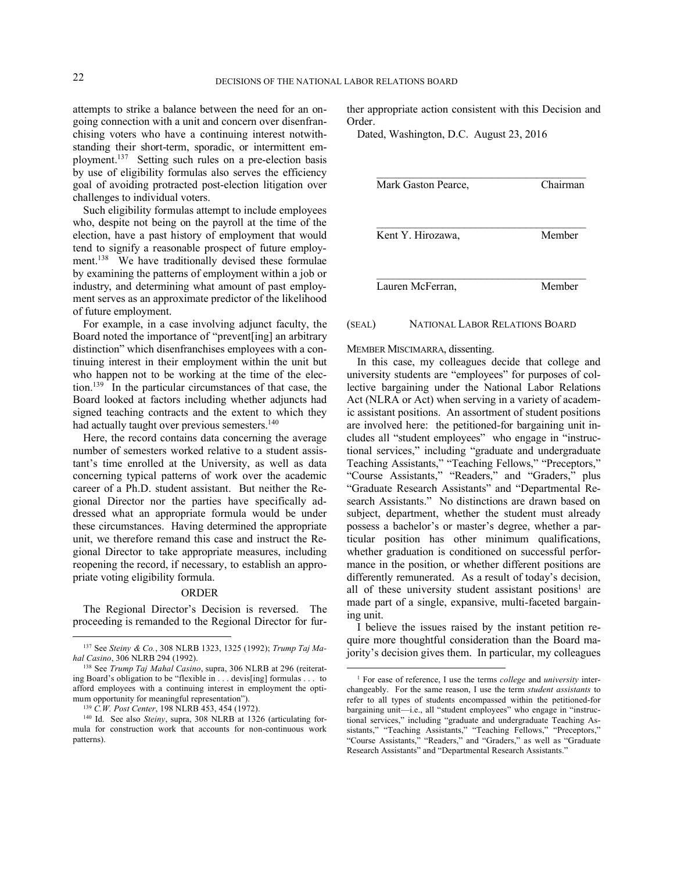attempts to strike a balance between the need for an ongoing connection with a unit and concern over disenfranchising voters who have a continuing interest notwithstanding their short-term, sporadic, or intermittent employment.<sup>137</sup> Setting such rules on a pre-election basis by use of eligibility formulas also serves the efficiency goal of avoiding protracted post-election litigation over challenges to individual voters.

Such eligibility formulas attempt to include employees who, despite not being on the payroll at the time of the election, have a past history of employment that would tend to signify a reasonable prospect of future employment.<sup>138</sup> We have traditionally devised these formulae by examining the patterns of employment within a job or industry, and determining what amount of past employment serves as an approximate predictor of the likelihood of future employment.

For example, in a case involving adjunct faculty, the Board noted the importance of "prevent[ing] an arbitrary distinction" which disenfranchises employees with a continuing interest in their employment within the unit but who happen not to be working at the time of the election.<sup>139</sup> In the particular circumstances of that case, the Board looked at factors including whether adjuncts had signed teaching contracts and the extent to which they had actually taught over previous semesters.<sup>140</sup>

Here, the record contains data concerning the average number of semesters worked relative to a student assistant's time enrolled at the University, as well as data concerning typical patterns of work over the academic career of a Ph.D. student assistant. But neither the Regional Director nor the parties have specifically addressed what an appropriate formula would be under these circumstances. Having determined the appropriate unit, we therefore remand this case and instruct the Regional Director to take appropriate measures, including reopening the record, if necessary, to establish an appropriate voting eligibility formula.

#### ORDER

The Regional Director's Decision is reversed. The proceeding is remanded to the Regional Director for fur-

1

ther appropriate action consistent with this Decision and Order.

Dated, Washington, D.C. August 23, 2016

| Mark Gaston Pearce, | Chairman |
|---------------------|----------|
| Kent Y. Hirozawa,   | Member   |
| Lauren McFerran,    | Member   |

#### (SEAL) NATIONAL LABOR RELATIONS BOARD

MEMBER MISCIMARRA, dissenting.

In this case, my colleagues decide that college and university students are "employees" for purposes of collective bargaining under the National Labor Relations Act (NLRA or Act) when serving in a variety of academic assistant positions. An assortment of student positions are involved here: the petitioned-for bargaining unit includes all "student employees" who engage in "instructional services," including "graduate and undergraduate Teaching Assistants," "Teaching Fellows," "Preceptors," "Course Assistants," "Readers," and "Graders," plus "Graduate Research Assistants" and "Departmental Research Assistants." No distinctions are drawn based on subject, department, whether the student must already possess a bachelor's or master's degree, whether a particular position has other minimum qualifications, whether graduation is conditioned on successful performance in the position, or whether different positions are differently remunerated. As a result of today's decision, all of these university student assistant positions<sup>1</sup> are made part of a single, expansive, multi-faceted bargaining unit.

I believe the issues raised by the instant petition require more thoughtful consideration than the Board majority's decision gives them. In particular, my colleagues

<sup>137</sup> See *Steiny & Co.*, 308 NLRB 1323, 1325 (1992); *Trump Taj Mahal Casino*, 306 NLRB 294 (1992).

<sup>138</sup> See *Trump Taj Mahal Casino*, supra, 306 NLRB at 296 (reiterating Board's obligation to be "flexible in . . . devis[ing] formulas . . . to afford employees with a continuing interest in employment the optimum opportunity for meaningful representation").

<sup>139</sup> *C.W. Post Center*, 198 NLRB 453, 454 (1972).

<sup>140</sup> Id. See also *Steiny*, supra, 308 NLRB at 1326 (articulating formula for construction work that accounts for non-continuous work patterns).

<sup>1</sup> For ease of reference, I use the terms *college* and *university* interchangeably. For the same reason, I use the term *student assistants* to refer to all types of students encompassed within the petitioned-for bargaining unit—i.e., all "student employees" who engage in "instructional services," including "graduate and undergraduate Teaching Assistants," "Teaching Assistants," "Teaching Fellows," "Preceptors," "Course Assistants," "Readers," and "Graders," as well as "Graduate Research Assistants" and "Departmental Research Assistants."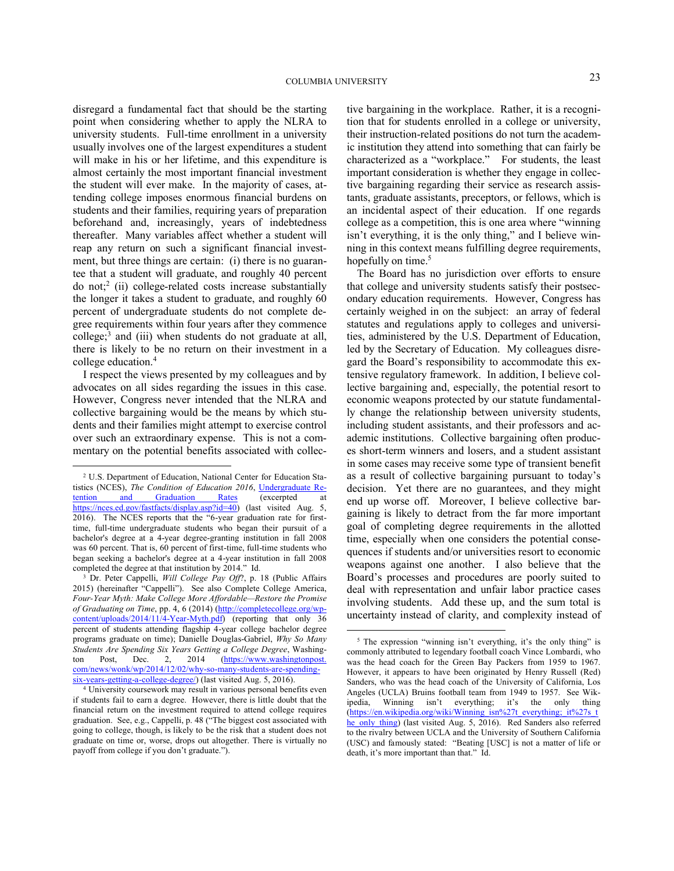disregard a fundamental fact that should be the starting point when considering whether to apply the NLRA to university students. Full-time enrollment in a university usually involves one of the largest expenditures a student will make in his or her lifetime, and this expenditure is almost certainly the most important financial investment the student will ever make. In the majority of cases, attending college imposes enormous financial burdens on students and their families, requiring years of preparation beforehand and, increasingly, years of indebtedness thereafter. Many variables affect whether a student will reap any return on such a significant financial investment, but three things are certain: (i) there is no guarantee that a student will graduate, and roughly 40 percent do not;<sup>2</sup> (ii) college-related costs increase substantially the longer it takes a student to graduate, and roughly 60 percent of undergraduate students do not complete degree requirements within four years after they commence college;<sup>3</sup> and (iii) when students do not graduate at all, there is likely to be no return on their investment in a college education.<sup>4</sup>

I respect the views presented by my colleagues and by advocates on all sides regarding the issues in this case. However, Congress never intended that the NLRA and collective bargaining would be the means by which students and their families might attempt to exercise control over such an extraordinary expense. This is not a commentary on the potential benefits associated with collec-

1

tive bargaining in the workplace. Rather, it is a recognition that for students enrolled in a college or university, their instruction-related positions do not turn the academic institution they attend into something that can fairly be characterized as a "workplace." For students, the least important consideration is whether they engage in collective bargaining regarding their service as research assistants, graduate assistants, preceptors, or fellows, which is an incidental aspect of their education. If one regards college as a competition, this is one area where "winning isn't everything, it is the only thing," and I believe winning in this context means fulfilling degree requirements, hopefully on time.<sup>5</sup>

The Board has no jurisdiction over efforts to ensure that college and university students satisfy their postsecondary education requirements. However, Congress has certainly weighed in on the subject: an array of federal statutes and regulations apply to colleges and universities, administered by the U.S. Department of Education, led by the Secretary of Education. My colleagues disregard the Board's responsibility to accommodate this extensive regulatory framework. In addition, I believe collective bargaining and, especially, the potential resort to economic weapons protected by our statute fundamentally change the relationship between university students, including student assistants, and their professors and academic institutions. Collective bargaining often produces short-term winners and losers, and a student assistant in some cases may receive some type of transient benefit as a result of collective bargaining pursuant to today's decision. Yet there are no guarantees, and they might end up worse off. Moreover, I believe collective bargaining is likely to detract from the far more important goal of completing degree requirements in the allotted time, especially when one considers the potential consequences if students and/or universities resort to economic weapons against one another. I also believe that the Board's processes and procedures are poorly suited to deal with representation and unfair labor practice cases involving students. Add these up, and the sum total is uncertainty instead of clarity, and complexity instead of

<sup>2</sup> U.S. Department of Education, National Center for Education Statistics (NCES), *The Condition of Education 2016*, Undergraduate Retention and Graduation Rates (excerpted at https://nces.ed.gov/fastfacts/display.asp?id=40) (last visited Aug. 5, 2016). The NCES reports that the "6-year graduation rate for firsttime, full-time undergraduate students who began their pursuit of a bachelor's degree at a 4-year degree-granting institution in fall 2008 was 60 percent. That is, 60 percent of first-time, full-time students who began seeking a bachelor's degree at a 4-year institution in fall 2008 completed the degree at that institution by 2014." Id.

<sup>3</sup> Dr. Peter Cappelli, *Will College Pay Off*?, p. 18 (Public Affairs 2015) (hereinafter "Cappelli"). See also Complete College America, *Four-Year Myth: Make College More Affordable—Restore the Promise of Graduating on Time*, pp. 4, 6 (2014) (http://completecollege.org/wpcontent/uploads/2014/11/4-Year-Myth.pdf) (reporting that only 36 percent of students attending flagship 4-year college bachelor degree programs graduate on time); Danielle Douglas-Gabriel, *Why So Many Students Are Spending Six Years Getting a College Degree*, Washington Post, Dec. 2, 2014 (https://www.washingtonpost. com/news/wonk/wp/2014/12/02/why-so-many-students-are-spendingsix-years-getting-a-college-degree/) (last visited Aug. 5, 2016).

University coursework may result in various personal benefits even if students fail to earn a degree. However, there is little doubt that the financial return on the investment required to attend college requires graduation. See, e.g., Cappelli, p. 48 ("The biggest cost associated with going to college, though, is likely to be the risk that a student does not graduate on time or, worse, drops out altogether. There is virtually no payoff from college if you don't graduate.").

<sup>&</sup>lt;sup>5</sup> The expression "winning isn't everything, it's the only thing" is commonly attributed to legendary football coach Vince Lombardi, who was the head coach for the Green Bay Packers from 1959 to 1967. However, it appears to have been originated by Henry Russell (Red) Sanders, who was the head coach of the University of California, Los Angeles (UCLA) Bruins football team from 1949 to 1957. See Wikipedia, Winning isn't everything; it's the only thing (https://en.wikipedia.org/wiki/Winning\_isn%27t\_everything;\_it%27s\_t\_ he\_only\_thing) (last visited Aug. 5, 2016). Red Sanders also referred to the rivalry between UCLA and the University of Southern California (USC) and famously stated: "Beating [USC] is not a matter of life or death, it's more important than that." Id.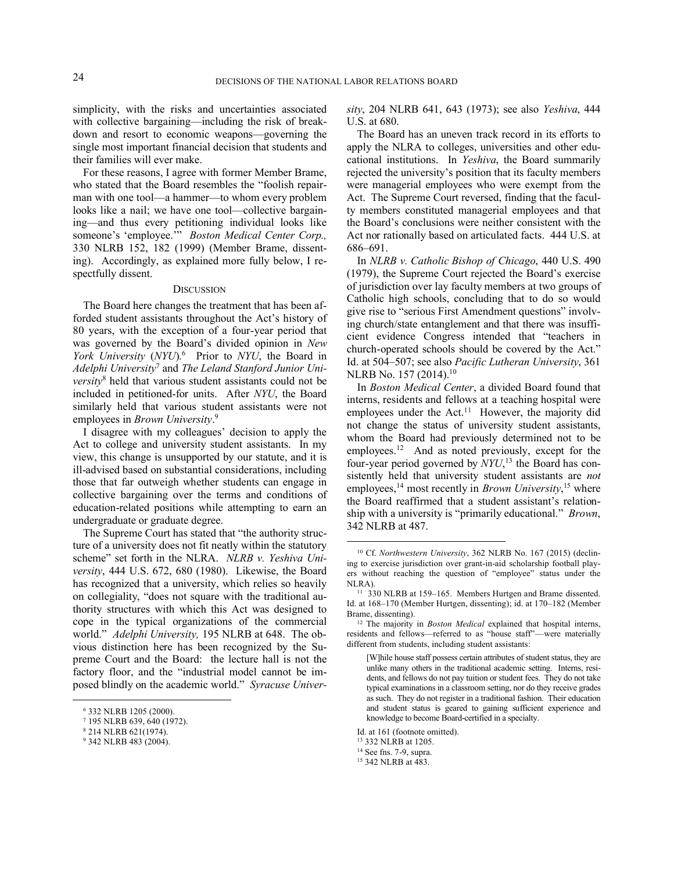simplicity, with the risks and uncertainties associated with collective bargaining—including the risk of breakdown and resort to economic weapons—governing the single most important financial decision that students and their families will ever make.

For these reasons, I agree with former Member Brame, who stated that the Board resembles the "foolish repairman with one tool—a hammer—to whom every problem looks like a nail; we have one tool—collective bargaining—and thus every petitioning individual looks like someone's 'employee.'" *Boston Medical Center Corp.,* 330 NLRB 152, 182 (1999) (Member Brame, dissenting). Accordingly, as explained more fully below, I respectfully dissent.

#### **DISCUSSION**

The Board here changes the treatment that has been afforded student assistants throughout the Act's history of 80 years, with the exception of a four-year period that was governed by the Board's divided opinion in *New* York University (NYU).<sup>6</sup> Prior to NYU, the Board in *Adelphi University*<sup>7</sup> and *The Leland Stanford Junior University*<sup>8</sup> held that various student assistants could not be included in petitioned-for units. After *NYU*, the Board similarly held that various student assistants were not employees in *Brown University*. 9

I disagree with my colleagues' decision to apply the Act to college and university student assistants. In my view, this change is unsupported by our statute, and it is ill-advised based on substantial considerations, including those that far outweigh whether students can engage in collective bargaining over the terms and conditions of education-related positions while attempting to earn an undergraduate or graduate degree.

The Supreme Court has stated that "the authority structure of a university does not fit neatly within the statutory scheme" set forth in the NLRA. *NLRB v. Yeshiva University*, 444 U.S. 672, 680 (1980). Likewise, the Board has recognized that a university, which relies so heavily on collegiality, "does not square with the traditional authority structures with which this Act was designed to cope in the typical organizations of the commercial world." *Adelphi University,* 195 NLRB at 648. The obvious distinction here has been recognized by the Supreme Court and the Board: the lecture hall is not the factory floor, and the "industrial model cannot be imposed blindly on the academic world." *Syracuse Univer-*

<u>.</u>

*sity*, 204 NLRB 641, 643 (1973); see also *Yeshiva*, 444 U.S. at 680.

The Board has an uneven track record in its efforts to apply the NLRA to colleges, universities and other educational institutions. In *Yeshiva*, the Board summarily rejected the university's position that its faculty members were managerial employees who were exempt from the Act. The Supreme Court reversed, finding that the faculty members constituted managerial employees and that the Board's conclusions were neither consistent with the Act nor rationally based on articulated facts. 444 U.S. at 686–691.

In *NLRB v. Catholic Bishop of Chicago*, 440 U.S. 490 (1979), the Supreme Court rejected the Board's exercise of jurisdiction over lay faculty members at two groups of Catholic high schools, concluding that to do so would give rise to "serious First Amendment questions" involving church/state entanglement and that there was insufficient evidence Congress intended that "teachers in church-operated schools should be covered by the Act." Id. at 504–507; see also *Pacific Lutheran University*, 361 NLRB No. 157 (2014).<sup>10</sup>

In *Boston Medical Center*, a divided Board found that interns, residents and fellows at a teaching hospital were employees under the Act.<sup>11</sup> However, the majority did not change the status of university student assistants, whom the Board had previously determined not to be employees.<sup>12</sup> And as noted previously, except for the four-year period governed by *NYU*, <sup>13</sup> the Board has consistently held that university student assistants are *not* employees,<sup>14</sup> most recently in *Brown University*,<sup>15</sup> where the Board reaffirmed that a student assistant's relationship with a university is "primarily educational." *Brown*, 342 NLRB at 487.

 $\overline{a}$ 

<sup>15</sup> 342 NLRB at 483.

<sup>6</sup> 332 NLRB 1205 (2000).

<sup>7</sup> 195 NLRB 639, 640 (1972).

<sup>8</sup> 214 NLRB 621(1974).

<sup>9</sup> 342 NLRB 483 (2004).

<sup>10</sup> Cf. *Northwestern University*, 362 NLRB No. 167 (2015) (declining to exercise jurisdiction over grant-in-aid scholarship football players without reaching the question of "employee" status under the NLRA).

<sup>11</sup> 330 NLRB at 159–165. Members Hurtgen and Brame dissented. Id. at 168–170 (Member Hurtgen, dissenting); id. at 170–182 (Member Brame, dissenting).

<sup>12</sup> The majority in *Boston Medical* explained that hospital interns, residents and fellows—referred to as "house staff"—were materially different from students, including student assistants:

<sup>[</sup>W]hile house staff possess certain attributes of student status, they are unlike many others in the traditional academic setting. Interns, residents, and fellows do not pay tuition or student fees. They do not take typical examinations in a classroom setting, nor do they receive grades as such. They do not register in a traditional fashion. Their education and student status is geared to gaining sufficient experience and knowledge to become Board-certified in a specialty.

Id. at 161 (footnote omitted).

<sup>13</sup> 332 NLRB at 1205.

<sup>14</sup> See fns. 7-9, supra.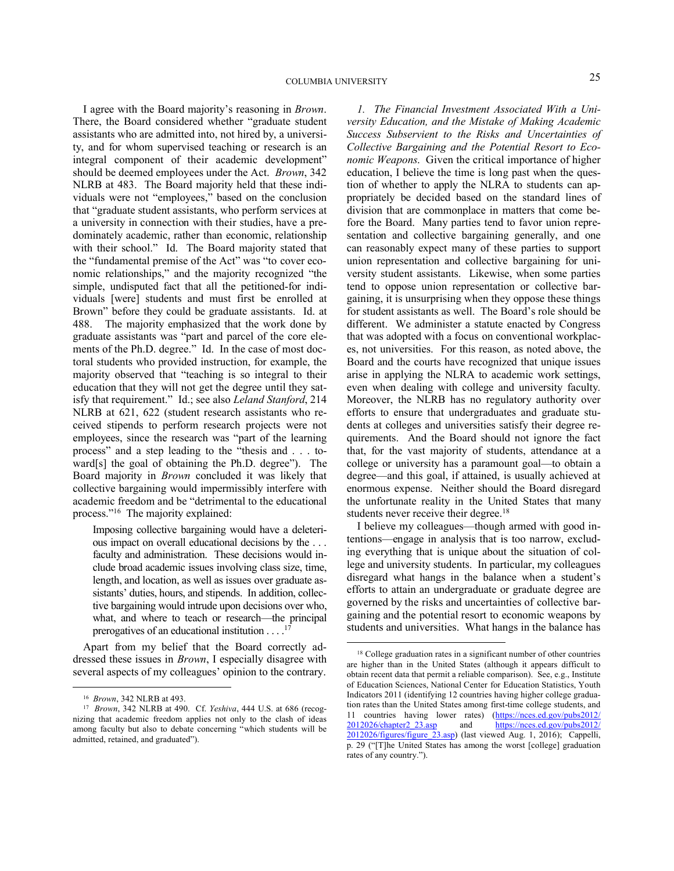I agree with the Board majority's reasoning in *Brown*. There, the Board considered whether "graduate student assistants who are admitted into, not hired by, a university, and for whom supervised teaching or research is an integral component of their academic development" should be deemed employees under the Act. *Brown*, 342 NLRB at 483. The Board majority held that these individuals were not "employees," based on the conclusion that "graduate student assistants, who perform services at a university in connection with their studies, have a predominately academic, rather than economic, relationship with their school." Id. The Board majority stated that the "fundamental premise of the Act" was "to cover economic relationships," and the majority recognized "the simple, undisputed fact that all the petitioned-for individuals [were] students and must first be enrolled at Brown" before they could be graduate assistants. Id. at 488. The majority emphasized that the work done by graduate assistants was "part and parcel of the core elements of the Ph.D. degree." Id. In the case of most doctoral students who provided instruction, for example, the majority observed that "teaching is so integral to their education that they will not get the degree until they satisfy that requirement." Id.; see also *Leland Stanford*, 214 NLRB at 621, 622 (student research assistants who received stipends to perform research projects were not employees, since the research was "part of the learning process" and a step leading to the "thesis and . . . toward[s] the goal of obtaining the Ph.D. degree"). The Board majority in *Brown* concluded it was likely that collective bargaining would impermissibly interfere with academic freedom and be "detrimental to the educational process."<sup>16</sup> The majority explained:

Imposing collective bargaining would have a deleterious impact on overall educational decisions by the . . . faculty and administration. These decisions would include broad academic issues involving class size, time, length, and location, as well as issues over graduate assistants' duties, hours, and stipends. In addition, collective bargaining would intrude upon decisions over who, what, and where to teach or research—the principal prerogatives of an educational institution  $\dots$ <sup>17</sup>

Apart from my belief that the Board correctly addressed these issues in *Brown*, I especially disagree with several aspects of my colleagues' opinion to the contrary.

1

*1. The Financial Investment Associated With a University Education, and the Mistake of Making Academic Success Subservient to the Risks and Uncertainties of Collective Bargaining and the Potential Resort to Economic Weapons*. Given the critical importance of higher education, I believe the time is long past when the question of whether to apply the NLRA to students can appropriately be decided based on the standard lines of division that are commonplace in matters that come before the Board. Many parties tend to favor union representation and collective bargaining generally, and one can reasonably expect many of these parties to support union representation and collective bargaining for university student assistants. Likewise, when some parties tend to oppose union representation or collective bargaining, it is unsurprising when they oppose these things for student assistants as well. The Board's role should be different. We administer a statute enacted by Congress that was adopted with a focus on conventional workplaces, not universities. For this reason, as noted above, the Board and the courts have recognized that unique issues arise in applying the NLRA to academic work settings, even when dealing with college and university faculty. Moreover, the NLRB has no regulatory authority over efforts to ensure that undergraduates and graduate students at colleges and universities satisfy their degree requirements. And the Board should not ignore the fact that, for the vast majority of students, attendance at a college or university has a paramount goal—to obtain a degree—and this goal, if attained, is usually achieved at enormous expense. Neither should the Board disregard the unfortunate reality in the United States that many students never receive their degree.<sup>18</sup>

I believe my colleagues—though armed with good intentions—engage in analysis that is too narrow, excluding everything that is unique about the situation of college and university students. In particular, my colleagues disregard what hangs in the balance when a student's efforts to attain an undergraduate or graduate degree are governed by the risks and uncertainties of collective bargaining and the potential resort to economic weapons by students and universities. What hangs in the balance has

<sup>16</sup> *Brown*, 342 NLRB at 493.

<sup>17</sup> *Brown*, 342 NLRB at 490. Cf. *Yeshiva*, 444 U.S. at 686 (recognizing that academic freedom applies not only to the clash of ideas among faculty but also to debate concerning "which students will be admitted, retained, and graduated").

<sup>&</sup>lt;sup>18</sup> College graduation rates in a significant number of other countries are higher than in the United States (although it appears difficult to obtain recent data that permit a reliable comparison). See, e.g., Institute of Education Sciences, National Center for Education Statistics, Youth Indicators 2011 (identifying 12 countries having higher college graduation rates than the United States among first-time college students, and 11 countries having lower rates) (https://nces.ed.gov/pubs2012/ 2012026/chapter2\_23.asp and https://nces.ed.gov/pubs2012/ 2012026/figures/figure\_23.asp) (last viewed Aug. 1, 2016); Cappelli, p. 29 ("[T]he United States has among the worst [college] graduation rates of any country.").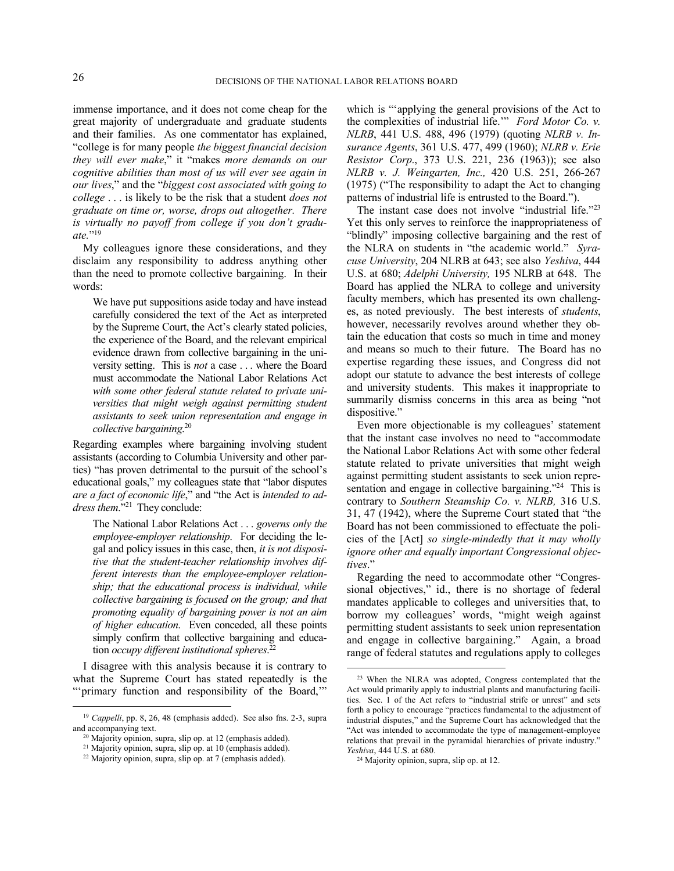immense importance, and it does not come cheap for the great majority of undergraduate and graduate students and their families. As one commentator has explained, "college is for many people *the biggest financial decision they will ever make*," it "makes *more demands on our cognitive abilities than most of us will ever see again in our lives*," and the "*biggest cost associated with going to college* . . . is likely to be the risk that a student *does not graduate on time or, worse, drops out altogether. There is virtually no payoff from college if you don't graduate.*" 19

My colleagues ignore these considerations, and they disclaim any responsibility to address anything other than the need to promote collective bargaining. In their words:

We have put suppositions aside today and have instead carefully considered the text of the Act as interpreted by the Supreme Court, the Act's clearly stated policies, the experience of the Board, and the relevant empirical evidence drawn from collective bargaining in the university setting. This is *not* a case . . . where the Board must accommodate the National Labor Relations Act *with some other federal statute related to private universities that might weigh against permitting student assistants to seek union representation and engage in collective bargaining*. 20

Regarding examples where bargaining involving student assistants (according to Columbia University and other parties) "has proven detrimental to the pursuit of the school's educational goals," my colleagues state that "labor disputes *are a fact of economic life*," and "the Act is *intended to address them*."<sup>21</sup> They conclude:

The National Labor Relations Act . . . *governs only the employee-employer relationship*. For deciding the legal and policy issues in this case, then, *it is not dispositive that the student-teacher relationship involves different interests than the employee-employer relationship; that the educational process is individual, while collective bargaining is focused on the group; and that promoting equality of bargaining power is not an aim of higher education*. Even conceded, all these points simply confirm that collective bargaining and education *occupy different institutional spheres*. 22

I disagree with this analysis because it is contrary to what the Supreme Court has stated repeatedly is the "'primary function and responsibility of the Board,'"

<u>.</u>

which is "applying the general provisions of the Act to the complexities of industrial life.'" *Ford Motor Co. v. NLRB*, 441 U.S. 488, 496 (1979) (quoting *NLRB v. Insurance Agents*, 361 U.S. 477, 499 (1960); *NLRB v. Erie Resistor Corp*., 373 U.S. 221, 236 (1963)); see also *NLRB v. J. Weingarten, Inc.,* 420 U.S. 251, 266-267 (1975) ("The responsibility to adapt the Act to changing patterns of industrial life is entrusted to the Board.").

The instant case does not involve "industrial life."23 Yet this only serves to reinforce the inappropriateness of "blindly" imposing collective bargaining and the rest of the NLRA on students in "the academic world." *Syracuse University*, 204 NLRB at 643; see also *Yeshiva*, 444 U.S. at 680; *Adelphi University,* 195 NLRB at 648. The Board has applied the NLRA to college and university faculty members, which has presented its own challenges, as noted previously. The best interests of *students*, however, necessarily revolves around whether they obtain the education that costs so much in time and money and means so much to their future. The Board has no expertise regarding these issues, and Congress did not adopt our statute to advance the best interests of college and university students. This makes it inappropriate to summarily dismiss concerns in this area as being "not dispositive."

Even more objectionable is my colleagues' statement that the instant case involves no need to "accommodate the National Labor Relations Act with some other federal statute related to private universities that might weigh against permitting student assistants to seek union representation and engage in collective bargaining."<sup>24</sup> This is contrary to *Southern Steamship Co. v. NLRB,* 316 U.S. 31, 47 (1942), where the Supreme Court stated that "the Board has not been commissioned to effectuate the policies of the [Act] *so single-mindedly that it may wholly ignore other and equally important Congressional objectives*."

Regarding the need to accommodate other "Congressional objectives," id., there is no shortage of federal mandates applicable to colleges and universities that, to borrow my colleagues' words, "might weigh against permitting student assistants to seek union representation and engage in collective bargaining." Again, a broad range of federal statutes and regulations apply to colleges

<sup>&</sup>lt;sup>19</sup> *Cappelli*, pp. 8, 26, 48 (emphasis added). See also fns. 2-3, supra and accompanying text.

<sup>20</sup> Majority opinion, supra, slip op. at 12 (emphasis added).

<sup>21</sup> Majority opinion, supra, slip op. at 10 (emphasis added).

<sup>22</sup> Majority opinion, supra, slip op. at 7 (emphasis added).

<sup>23</sup> When the NLRA was adopted, Congress contemplated that the Act would primarily apply to industrial plants and manufacturing facilities. Sec. 1 of the Act refers to "industrial strife or unrest" and sets forth a policy to encourage "practices fundamental to the adjustment of industrial disputes," and the Supreme Court has acknowledged that the "Act was intended to accommodate the type of management-employee relations that prevail in the pyramidal hierarchies of private industry." *Yeshiva*, 444 U.S. at 680.

<sup>24</sup> Majority opinion, supra, slip op. at 12.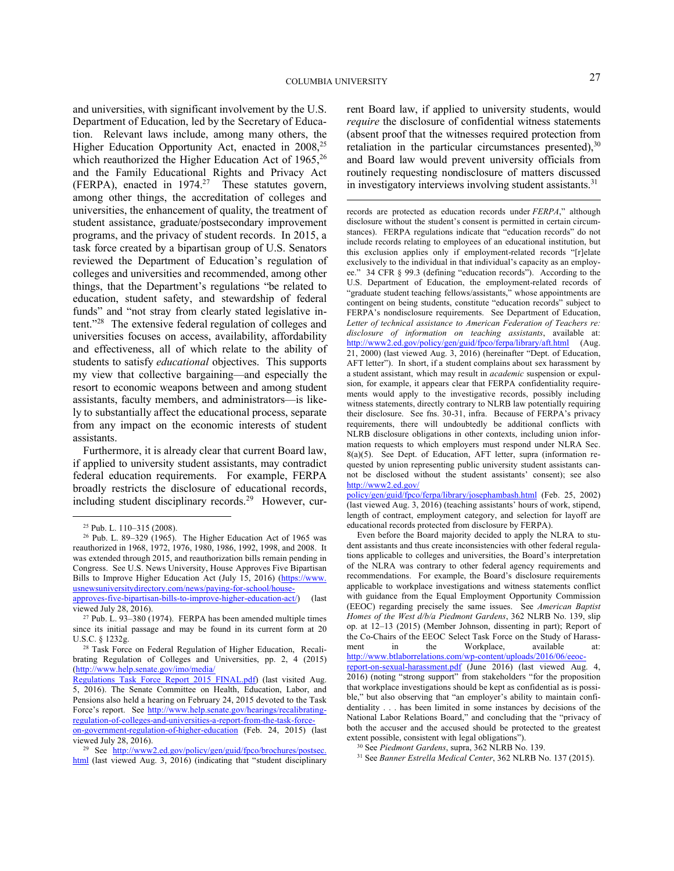and universities, with significant involvement by the U.S. Department of Education, led by the Secretary of Education. Relevant laws include, among many others, the Higher Education Opportunity Act, enacted in 2008,<sup>25</sup> which reauthorized the Higher Education Act of 1965, 26 and the Family Educational Rights and Privacy Act (FERPA), enacted in  $1974.^{27}$  These statutes govern, among other things, the accreditation of colleges and universities, the enhancement of quality, the treatment of student assistance, graduate/postsecondary improvement programs, and the privacy of student records. In 2015, a task force created by a bipartisan group of U.S. Senators reviewed the Department of Education's regulation of colleges and universities and recommended, among other things, that the Department's regulations "be related to education, student safety, and stewardship of federal funds" and "not stray from clearly stated legislative intent."<sup>28</sup> The extensive federal regulation of colleges and universities focuses on access, availability, affordability and effectiveness, all of which relate to the ability of students to satisfy *educational* objectives. This supports my view that collective bargaining—and especially the resort to economic weapons between and among student assistants, faculty members, and administrators—is likely to substantially affect the educational process, separate from any impact on the economic interests of student assistants.

Furthermore, it is already clear that current Board law, if applied to university student assistants, may contradict federal education requirements. For example, FERPA broadly restricts the disclosure of educational records, including student disciplinary records.<sup>29</sup> However, cur-

1

rent Board law, if applied to university students, would *require* the disclosure of confidential witness statements (absent proof that the witnesses required protection from retaliation in the particular circumstances presented), $30$ and Board law would prevent university officials from routinely requesting nondisclosure of matters discussed in investigatory interviews involving student assistants.<sup>31</sup>

records are protected as education records under *FERPA*," although disclosure without the student's consent is permitted in certain circumstances). FERPA regulations indicate that "education records" do not include records relating to employees of an educational institution, but this exclusion applies only if employment-related records "[r]elate exclusively to the individual in that individual's capacity as an employ-34 CFR § 99.3 (defining "education records"). According to the U.S. Department of Education, the employment-related records of "graduate student teaching fellows/assistants," whose appointments are contingent on being students, constitute "education records" subject to FERPA's nondisclosure requirements. See Department of Education, *Letter of technical assistance to American Federation of Teachers re: disclosure of information on teaching assistants*, available at: http://www2.ed.gov/policy/gen/guid/fpco/ferpa/library/aft.html (Aug. 21, 2000) (last viewed Aug. 3, 2016) (hereinafter "Dept. of Education, AFT letter"). In short, if a student complains about sex harassment by a student assistant, which may result in *academic* suspension or expulsion, for example, it appears clear that FERPA confidentiality requirements would apply to the investigative records, possibly including witness statements, directly contrary to NLRB law potentially requiring their disclosure. See fns. 30-31, infra. Because of FERPA's privacy requirements, there will undoubtedly be additional conflicts with NLRB disclosure obligations in other contexts, including union information requests to which employers must respond under NLRA Sec. 8(a)(5). See Dept. of Education, AFT letter, supra (information requested by union representing public university student assistants cannot be disclosed without the student assistants' consent); see also http://www2.ed.gov/

policy/gen/guid/fpco/ferpa/library/josephambash.html (Feb. 25, 2002) (last viewed Aug. 3, 2016) (teaching assistants' hours of work, stipend, length of contract, employment category, and selection for layoff are educational records protected from disclosure by FERPA).

Even before the Board majority decided to apply the NLRA to student assistants and thus create inconsistencies with other federal regulations applicable to colleges and universities, the Board's interpretation of the NLRA was contrary to other federal agency requirements and recommendations. For example, the Board's disclosure requirements applicable to workplace investigations and witness statements conflict with guidance from the Equal Employment Opportunity Commission (EEOC) regarding precisely the same issues. See *American Baptist Homes of the West d/b/a Piedmont Gardens*, 362 NLRB No. 139, slip op. at 12–13 (2015) (Member Johnson, dissenting in part); Report of the Co-Chairs of the EEOC Select Task Force on the Study of Harassment in the Workplace, available at: http://www.btlaborrelations.com/wp-content/uploads/2016/06/eeoc-

report-on-sexual-harassment.pdf (June 2016) (last viewed Aug. 4, 2016) (noting "strong support" from stakeholders "for the proposition that workplace investigations should be kept as confidential as is possible," but also observing that "an employer's ability to maintain confidentiality . . . has been limited in some instances by decisions of the National Labor Relations Board," and concluding that the "privacy of both the accuser and the accused should be protected to the greatest extent possible, consistent with legal obligations").

<sup>30</sup> See *Piedmont Gardens*, supra, 362 NLRB No. 139.

<sup>31</sup> See *Banner Estrella Medical Center*, 362 NLRB No. 137 (2015).

<sup>25</sup> Pub. L. 110–315 (2008).

<sup>26</sup> Pub. L. 89–329 (1965). The Higher Education Act of 1965 was reauthorized in 1968, 1972, 1976, 1980, 1986, 1992, 1998, and 2008. It was extended through 2015, and reauthorization bills remain pending in Congress. See U.S. News University, House Approves Five Bipartisan Bills to Improve Higher Education Act (July 15, 2016) (https://www. usnewsuniversitydirectory.com/news/paying-for-school/house-

approves-five-bipartisan-bills-to-improve-higher-education-act/) (last viewed July 28, 2016).

 $27$  Pub. L. 93-380 (1974). FERPA has been amended multiple times since its initial passage and may be found in its current form at 20 U.S.C. § 1232g.

<sup>28</sup> Task Force on Federal Regulation of Higher Education, Recalibrating Regulation of Colleges and Universities, pp. 2, 4 (2015) (http://www.help.senate.gov/imo/media/

Regulations Task Force Report 2015 FINAL.pdf) (last visited Aug. 5, 2016). The Senate Committee on Health, Education, Labor, and Pensions also held a hearing on February 24, 2015 devoted to the Task Force's report. See http://www.help.senate.gov/hearings/recalibratingregulation-of-colleges-and-universities-a-report-from-the-task-force-

on-government-regulation-of-higher-education (Feb. 24, 2015) (last viewed July 28, 2016).

See http://www2.ed.gov/policy/gen/guid/fpco/brochures/postsec. html (last viewed Aug. 3, 2016) (indicating that "student disciplinary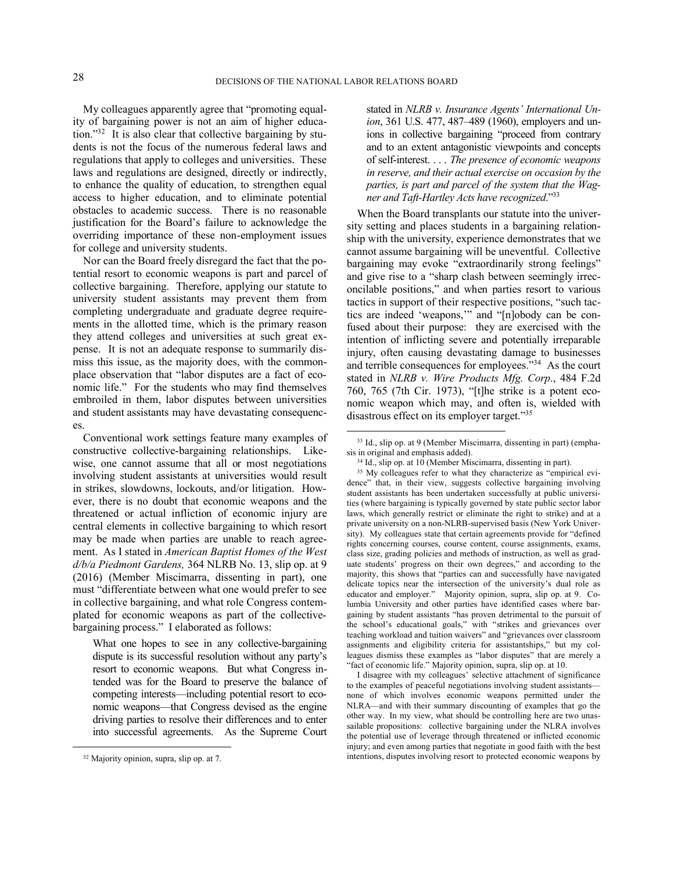My colleagues apparently agree that "promoting equality of bargaining power is not an aim of higher education."<sup>32</sup> It is also clear that collective bargaining by students is not the focus of the numerous federal laws and regulations that apply to colleges and universities. These laws and regulations are designed, directly or indirectly, to enhance the quality of education, to strengthen equal access to higher education, and to eliminate potential obstacles to academic success. There is no reasonable justification for the Board's failure to acknowledge the overriding importance of these non-employment issues for college and university students.

Nor can the Board freely disregard the fact that the potential resort to economic weapons is part and parcel of collective bargaining. Therefore, applying our statute to university student assistants may prevent them from completing undergraduate and graduate degree requirements in the allotted time, which is the primary reason they attend colleges and universities at such great expense. It is not an adequate response to summarily dismiss this issue, as the majority does, with the commonplace observation that "labor disputes are a fact of economic life." For the students who may find themselves embroiled in them, labor disputes between universities and student assistants may have devastating consequences.

Conventional work settings feature many examples of constructive collective-bargaining relationships. Likewise, one cannot assume that all or most negotiations involving student assistants at universities would result in strikes, slowdowns, lockouts, and/or litigation. However, there is no doubt that economic weapons and the threatened or actual infliction of economic injury are central elements in collective bargaining to which resort may be made when parties are unable to reach agreement. As I stated in *American Baptist Homes of the West d/b/a Piedmont Gardens,* 364 NLRB No. 13, slip op. at 9 (2016) (Member Miscimarra, dissenting in part), one must "differentiate between what one would prefer to see in collective bargaining, and what role Congress contemplated for economic weapons as part of the collectivebargaining process." I elaborated as follows:

What one hopes to see in any collective-bargaining dispute is its successful resolution without any party's resort to economic weapons. But what Congress intended was for the Board to preserve the balance of competing interests—including potential resort to economic weapons—that Congress devised as the engine driving parties to resolve their differences and to enter into successful agreements. As the Supreme Court

1

stated in *NLRB v. Insurance Agents' International Union*, 361 U.S. 477, 487–489 (1960), employers and unions in collective bargaining "proceed from contrary and to an extent antagonistic viewpoints and concepts of self-interest. . . . *The presence of economic weapons in reserve, and their actual exercise on occasion by the parties, is part and parcel of the system that the Wagner and Taft-Hartley Acts have recognized*."<sup>33</sup>

When the Board transplants our statute into the university setting and places students in a bargaining relationship with the university, experience demonstrates that we cannot assume bargaining will be uneventful. Collective bargaining may evoke "extraordinarily strong feelings" and give rise to a "sharp clash between seemingly irreconcilable positions," and when parties resort to various tactics in support of their respective positions, "such tactics are indeed 'weapons,'" and "[n]obody can be confused about their purpose: they are exercised with the intention of inflicting severe and potentially irreparable injury, often causing devastating damage to businesses and terrible consequences for employees."<sup>34</sup> As the court stated in *NLRB v. Wire Products Mfg. Corp*., 484 F.2d 760, 765 (7th Cir. 1973), "[t]he strike is a potent economic weapon which may, and often is, wielded with disastrous effect on its employer target."<sup>35</sup>

<sup>35</sup> My colleagues refer to what they characterize as "empirical evidence" that, in their view, suggests collective bargaining involving student assistants has been undertaken successfully at public universities (where bargaining is typically governed by state public sector labor laws, which generally restrict or eliminate the right to strike) and at a private university on a non-NLRB-supervised basis (New York University). My colleagues state that certain agreements provide for "defined rights concerning courses, course content, course assignments, exams, class size, grading policies and methods of instruction, as well as graduate students' progress on their own degrees," and according to the majority, this shows that "parties can and successfully have navigated delicate topics near the intersection of the university's dual role as educator and employer." Majority opinion, supra, slip op. at 9. Columbia University and other parties have identified cases where bargaining by student assistants "has proven detrimental to the pursuit of the school's educational goals," with "strikes and grievances over teaching workload and tuition waivers" and "grievances over classroom assignments and eligibility criteria for assistantships," but my colleagues dismiss these examples as "labor disputes" that are merely a "fact of economic life." Majority opinion, supra, slip op. at 10.

I disagree with my colleagues' selective attachment of significance to the examples of peaceful negotiations involving student assistants none of which involves economic weapons permitted under the NLRA—and with their summary discounting of examples that go the other way. In my view, what should be controlling here are two unassailable propositions: collective bargaining under the NLRA involves the potential use of leverage through threatened or inflicted economic injury; and even among parties that negotiate in good faith with the best intentions, disputes involving resort to protected economic weapons by

<sup>32</sup> Majority opinion, supra, slip op. at 7.

<sup>33</sup> Id., slip op. at 9 (Member Miscimarra, dissenting in part) (emphasis in original and emphasis added).

<sup>34</sup> Id., slip op. at 10 (Member Miscimarra, dissenting in part).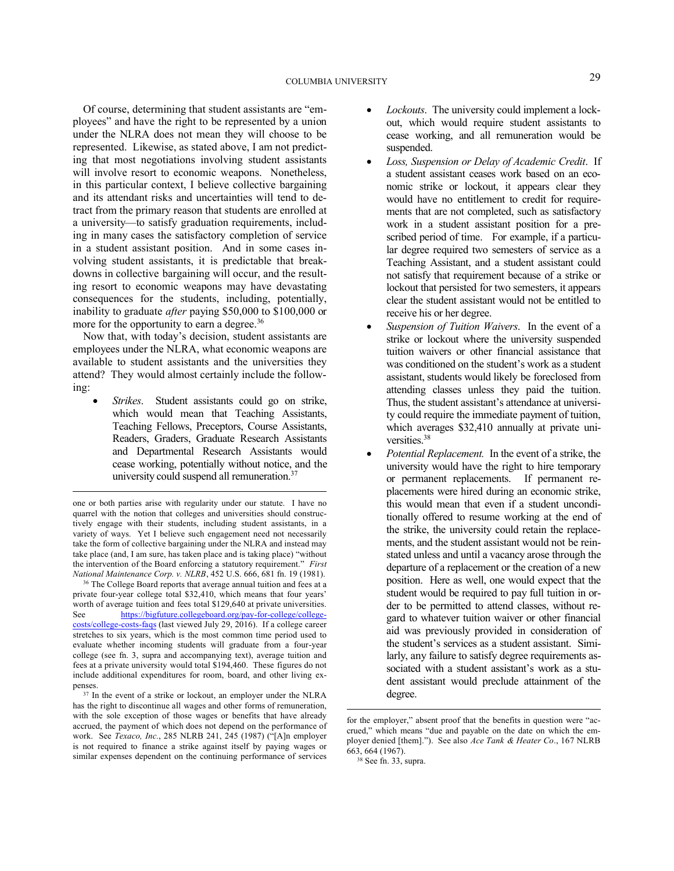Of course, determining that student assistants are "employees" and have the right to be represented by a union under the NLRA does not mean they will choose to be represented. Likewise, as stated above, I am not predicting that most negotiations involving student assistants will involve resort to economic weapons. Nonetheless, in this particular context, I believe collective bargaining and its attendant risks and uncertainties will tend to detract from the primary reason that students are enrolled at a university—to satisfy graduation requirements, including in many cases the satisfactory completion of service in a student assistant position. And in some cases involving student assistants, it is predictable that breakdowns in collective bargaining will occur, and the resulting resort to economic weapons may have devastating consequences for the students, including, potentially, inability to graduate *after* paying \$50,000 to \$100,000 or more for the opportunity to earn a degree.<sup>36</sup>

Now that, with today's decision, student assistants are employees under the NLRA, what economic weapons are available to student assistants and the universities they attend? They would almost certainly include the following:

 *Strikes*. Student assistants could go on strike, which would mean that Teaching Assistants, Teaching Fellows, Preceptors, Course Assistants, Readers, Graders, Graduate Research Assistants and Departmental Research Assistants would cease working, potentially without notice, and the university could suspend all remuneration.<sup>37</sup>

 $\overline{a}$ 

- *Lockouts*. The university could implement a lockout, which would require student assistants to cease working, and all remuneration would be suspended.
- *Loss, Suspension or Delay of Academic Credit*. If a student assistant ceases work based on an economic strike or lockout, it appears clear they would have no entitlement to credit for requirements that are not completed, such as satisfactory work in a student assistant position for a prescribed period of time. For example, if a particular degree required two semesters of service as a Teaching Assistant, and a student assistant could not satisfy that requirement because of a strike or lockout that persisted for two semesters, it appears clear the student assistant would not be entitled to receive his or her degree.
- *Suspension of Tuition Waivers*. In the event of a strike or lockout where the university suspended tuition waivers or other financial assistance that was conditioned on the student's work as a student assistant, students would likely be foreclosed from attending classes unless they paid the tuition. Thus, the student assistant's attendance at university could require the immediate payment of tuition, which averages \$32,410 annually at private universities.<sup>38</sup>
- *Potential Replacement.* In the event of a strike, the university would have the right to hire temporary or permanent replacements. If permanent replacements were hired during an economic strike, this would mean that even if a student unconditionally offered to resume working at the end of the strike, the university could retain the replacements, and the student assistant would not be reinstated unless and until a vacancy arose through the departure of a replacement or the creation of a new position. Here as well, one would expect that the student would be required to pay full tuition in order to be permitted to attend classes, without regard to whatever tuition waiver or other financial aid was previously provided in consideration of the student's services as a student assistant. Similarly, any failure to satisfy degree requirements associated with a student assistant's work as a student assistant would preclude attainment of the degree.

one or both parties arise with regularity under our statute. I have no quarrel with the notion that colleges and universities should constructively engage with their students, including student assistants, in a variety of ways. Yet I believe such engagement need not necessarily take the form of collective bargaining under the NLRA and instead may take place (and, I am sure, has taken place and is taking place) "without the intervention of the Board enforcing a statutory requirement." *First National Maintenance Corp. v. NLRB*, 452 U.S. 666, 681 fn. 19 (1981).

<sup>36</sup> The College Board reports that average annual tuition and fees at a private four-year college total \$32,410, which means that four years' worth of average tuition and fees total \$129,640 at private universities. See https://bigfuture.collegeboard.org/pay-for-college/collegecosts/college-costs-faqs (last viewed July 29, 2016). If a college career stretches to six years, which is the most common time period used to evaluate whether incoming students will graduate from a four-year college (see fn. 3, supra and accompanying text), average tuition and fees at a private university would total \$194,460. These figures do not include additional expenditures for room, board, and other living expenses.

<sup>37</sup> In the event of a strike or lockout, an employer under the NLRA has the right to discontinue all wages and other forms of remuneration, with the sole exception of those wages or benefits that have already accrued, the payment of which does not depend on the performance of work. See *Texaco, Inc.*, 285 NLRB 241, 245 (1987) ("[A]n employer is not required to finance a strike against itself by paying wages or similar expenses dependent on the continuing performance of services

for the employer," absent proof that the benefits in question were "accrued," which means "due and payable on the date on which the employer denied [them]."). See also *Ace Tank & Heater Co*., 167 NLRB 663, 664 (1967).

 $38$  See fn. 33, supra.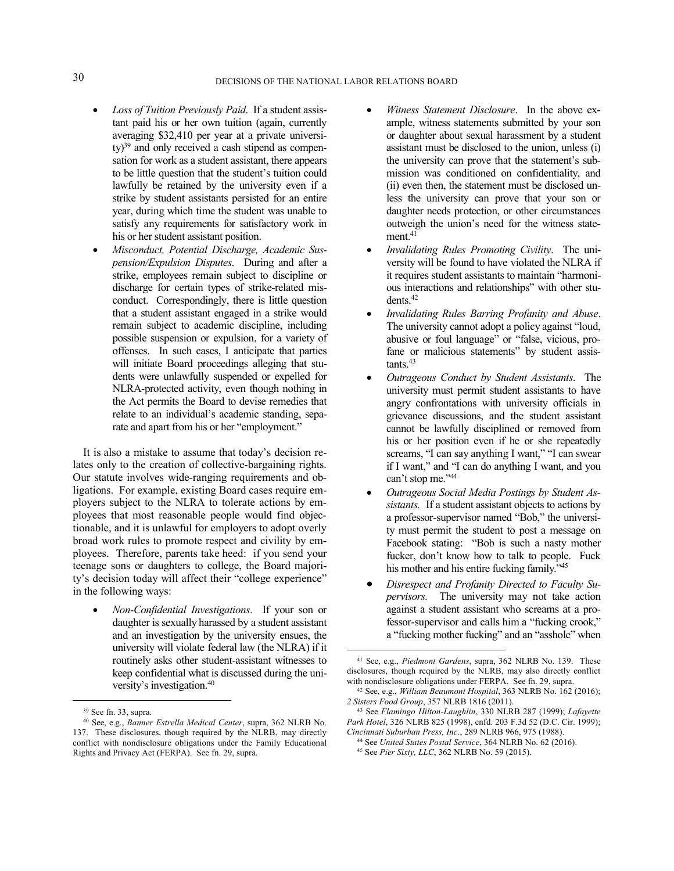- *Loss of Tuition Previously Paid*. If a student assistant paid his or her own tuition (again, currently averaging \$32,410 per year at a private university)<sup>39</sup> and only received a cash stipend as compensation for work as a student assistant, there appears to be little question that the student's tuition could lawfully be retained by the university even if a strike by student assistants persisted for an entire year, during which time the student was unable to satisfy any requirements for satisfactory work in his or her student assistant position.
- *Misconduct, Potential Discharge, Academic Suspension/Expulsion Disputes*. During and after a strike, employees remain subject to discipline or discharge for certain types of strike-related misconduct. Correspondingly, there is little question that a student assistant engaged in a strike would remain subject to academic discipline, including possible suspension or expulsion, for a variety of offenses. In such cases, I anticipate that parties will initiate Board proceedings alleging that students were unlawfully suspended or expelled for NLRA-protected activity, even though nothing in the Act permits the Board to devise remedies that relate to an individual's academic standing, separate and apart from his or her "employment."

It is also a mistake to assume that today's decision relates only to the creation of collective-bargaining rights. Our statute involves wide-ranging requirements and obligations. For example, existing Board cases require employers subject to the NLRA to tolerate actions by employees that most reasonable people would find objectionable, and it is unlawful for employers to adopt overly broad work rules to promote respect and civility by employees. Therefore, parents take heed: if you send your teenage sons or daughters to college, the Board majority's decision today will affect their "college experience" in the following ways:

 *Non-Confidential Investigations*. If your son or daughter is sexually harassed by a student assistant and an investigation by the university ensues, the university will violate federal law (the NLRA) if it routinely asks other student-assistant witnesses to keep confidential what is discussed during the university's investigation.<sup>40</sup>

<u>.</u>

- *Witness Statement Disclosure*. In the above example, witness statements submitted by your son or daughter about sexual harassment by a student assistant must be disclosed to the union, unless (i) the university can prove that the statement's submission was conditioned on confidentiality, and (ii) even then, the statement must be disclosed unless the university can prove that your son or daughter needs protection, or other circumstances outweigh the union's need for the witness state $ment.<sup>41</sup>$
- *Invalidating Rules Promoting Civility*. The university will be found to have violated the NLRA if it requires student assistants to maintain "harmonious interactions and relationships" with other students.<sup>42</sup>
- *Invalidating Rules Barring Profanity and Abuse*. The university cannot adopt a policy against "loud, abusive or foul language" or "false, vicious, profane or malicious statements" by student assis $tants.<sup>43</sup>$
- *Outrageous Conduct by Student Assistants*. The university must permit student assistants to have angry confrontations with university officials in grievance discussions, and the student assistant cannot be lawfully disciplined or removed from his or her position even if he or she repeatedly screams, "I can say anything I want," "I can swear if I want," and "I can do anything I want, and you can't stop me."<sup>44</sup>
- *Outrageous Social Media Postings by Student Assistants.* If a student assistant objects to actions by a professor-supervisor named "Bob," the university must permit the student to post a message on Facebook stating: "Bob is such a nasty mother fucker, don't know how to talk to people. Fuck his mother and his entire fucking family."<sup>45</sup>
- *Disrespect and Profanity Directed to Faculty Supervisors.* The university may not take action against a student assistant who screams at a professor-supervisor and calls him a "fucking crook," a "fucking mother fucking" and an "asshole" when

<sup>39</sup> See fn. 33, supra.

<sup>40</sup> See, e.g., *Banner Estrella Medical Center*, supra, 362 NLRB No. 137. These disclosures, though required by the NLRB, may directly conflict with nondisclosure obligations under the Family Educational Rights and Privacy Act (FERPA). See fn. 29, supra.

<sup>41</sup> See, e.g., *Piedmont Gardens*, supra, 362 NLRB No. 139. These disclosures, though required by the NLRB, may also directly conflict with nondisclosure obligations under FERPA. See fn. 29, supra.

<sup>42</sup> See, e.g., *William Beaumont Hospital*, 363 NLRB No. 162 (2016); *2 Sisters Food Group*, 357 NLRB 1816 (2011).

<sup>43</sup> See *Flamingo Hilton-Laughlin*, 330 NLRB 287 (1999); *Lafayette Park Hotel*, 326 NLRB 825 (1998), enfd. 203 F.3d 52 (D.C. Cir. 1999); *Cincinnati Suburban Press, Inc*., 289 NLRB 966, 975 (1988).

<sup>44</sup> See *United States Postal Service*, 364 NLRB No. 62 (2016).

<sup>45</sup> See *Pier Sixty, LLC*, 362 NLRB No. 59 (2015).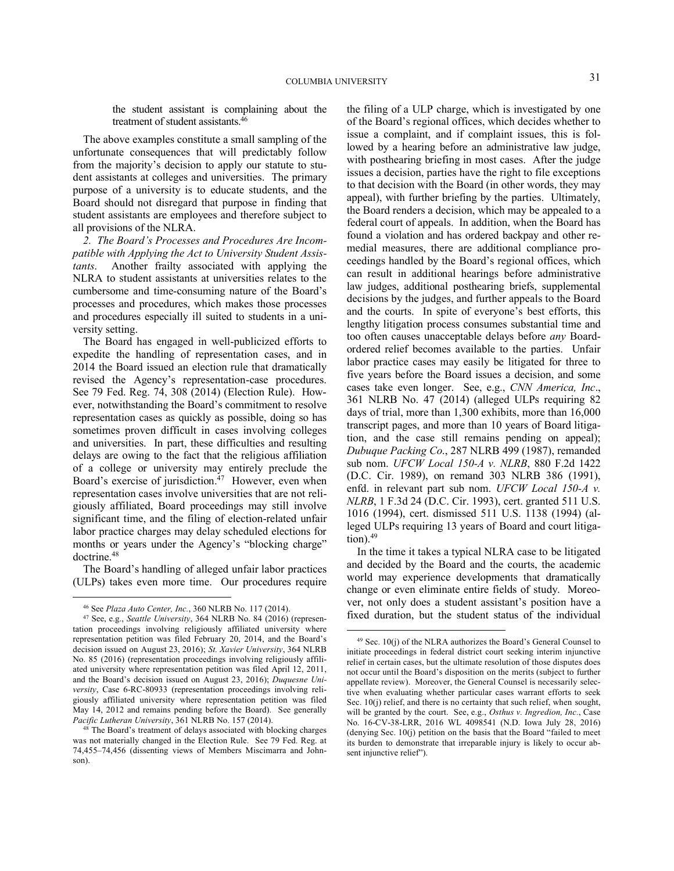the student assistant is complaining about the treatment of student assistants.<sup>46</sup>

The above examples constitute a small sampling of the unfortunate consequences that will predictably follow from the majority's decision to apply our statute to student assistants at colleges and universities. The primary purpose of a university is to educate students, and the Board should not disregard that purpose in finding that student assistants are employees and therefore subject to all provisions of the NLRA.

*2. The Board's Processes and Procedures Are Incompatible with Applying the Act to University Student Assistants*. Another frailty associated with applying the NLRA to student assistants at universities relates to the cumbersome and time-consuming nature of the Board's processes and procedures, which makes those processes and procedures especially ill suited to students in a university setting.

The Board has engaged in well-publicized efforts to expedite the handling of representation cases, and in 2014 the Board issued an election rule that dramatically revised the Agency's representation-case procedures. See 79 Fed. Reg. 74, 308 (2014) (Election Rule). However, notwithstanding the Board's commitment to resolve representation cases as quickly as possible, doing so has sometimes proven difficult in cases involving colleges and universities. In part, these difficulties and resulting delays are owing to the fact that the religious affiliation of a college or university may entirely preclude the Board's exercise of jurisdiction.<sup>47</sup> However, even when representation cases involve universities that are not religiously affiliated, Board proceedings may still involve significant time, and the filing of election-related unfair labor practice charges may delay scheduled elections for months or years under the Agency's "blocking charge" doctrine.<sup>48</sup>

The Board's handling of alleged unfair labor practices (ULPs) takes even more time. Our procedures require

<u>.</u>

the filing of a ULP charge, which is investigated by one of the Board's regional offices, which decides whether to issue a complaint, and if complaint issues, this is followed by a hearing before an administrative law judge, with posthearing briefing in most cases. After the judge issues a decision, parties have the right to file exceptions to that decision with the Board (in other words, they may appeal), with further briefing by the parties. Ultimately, the Board renders a decision, which may be appealed to a federal court of appeals. In addition, when the Board has found a violation and has ordered backpay and other remedial measures, there are additional compliance proceedings handled by the Board's regional offices, which can result in additional hearings before administrative law judges, additional posthearing briefs, supplemental decisions by the judges, and further appeals to the Board and the courts. In spite of everyone's best efforts, this lengthy litigation process consumes substantial time and too often causes unacceptable delays before *any* Boardordered relief becomes available to the parties. Unfair labor practice cases may easily be litigated for three to five years before the Board issues a decision, and some cases take even longer. See, e.g., *CNN America, Inc*., 361 NLRB No. 47 (2014) (alleged ULPs requiring 82 days of trial, more than 1,300 exhibits, more than 16,000 transcript pages, and more than 10 years of Board litigation, and the case still remains pending on appeal); *Dubuque Packing Co*., 287 NLRB 499 (1987), remanded sub nom. *UFCW Local 150-A v. NLRB*, 880 F.2d 1422 (D.C. Cir. 1989), on remand 303 NLRB 386 (1991), enfd. in relevant part sub nom. *UFCW Local 150-A v. NLRB*, 1 F.3d 24 (D.C. Cir. 1993), cert. granted 511 U.S. 1016 (1994), cert. dismissed 511 U.S. 1138 (1994) (alleged ULPs requiring 13 years of Board and court litigation). $49$ 

In the time it takes a typical NLRA case to be litigated and decided by the Board and the courts, the academic world may experience developments that dramatically change or even eliminate entire fields of study. Moreover, not only does a student assistant's position have a fixed duration, but the student status of the individual

<sup>46</sup> See *Plaza Auto Center, Inc.*, 360 NLRB No. 117 (2014).

<sup>47</sup> See, e.g., *Seattle University*, 364 NLRB No. 84 (2016) (representation proceedings involving religiously affiliated university where representation petition was filed February 20, 2014, and the Board's decision issued on August 23, 2016); *St. Xavier University*, 364 NLRB No. 85 (2016) (representation proceedings involving religiously affiliated university where representation petition was filed April 12, 2011, and the Board's decision issued on August 23, 2016); *Duquesne University*, Case 6-RC-80933 (representation proceedings involving religiously affiliated university where representation petition was filed May 14, 2012 and remains pending before the Board). See generally *Pacific Lutheran University*, 361 NLRB No. 157 (2014).

<sup>&</sup>lt;sup>48</sup> The Board's treatment of delays associated with blocking charges was not materially changed in the Election Rule. See 79 Fed. Reg. at 74,455–74,456 (dissenting views of Members Miscimarra and Johnson).

 $49$  Sec. 10(j) of the NLRA authorizes the Board's General Counsel to initiate proceedings in federal district court seeking interim injunctive relief in certain cases, but the ultimate resolution of those disputes does not occur until the Board's disposition on the merits (subject to further appellate review). Moreover, the General Counsel is necessarily selective when evaluating whether particular cases warrant efforts to seek Sec. 10(j) relief, and there is no certainty that such relief, when sought, will be granted by the court. See, e.g., *Osthus v. Ingredion, Inc.*, Case No. 16-CV-38-LRR, 2016 WL 4098541 (N.D. Iowa July 28, 2016) (denying Sec. 10(j) petition on the basis that the Board "failed to meet its burden to demonstrate that irreparable injury is likely to occur absent injunctive relief").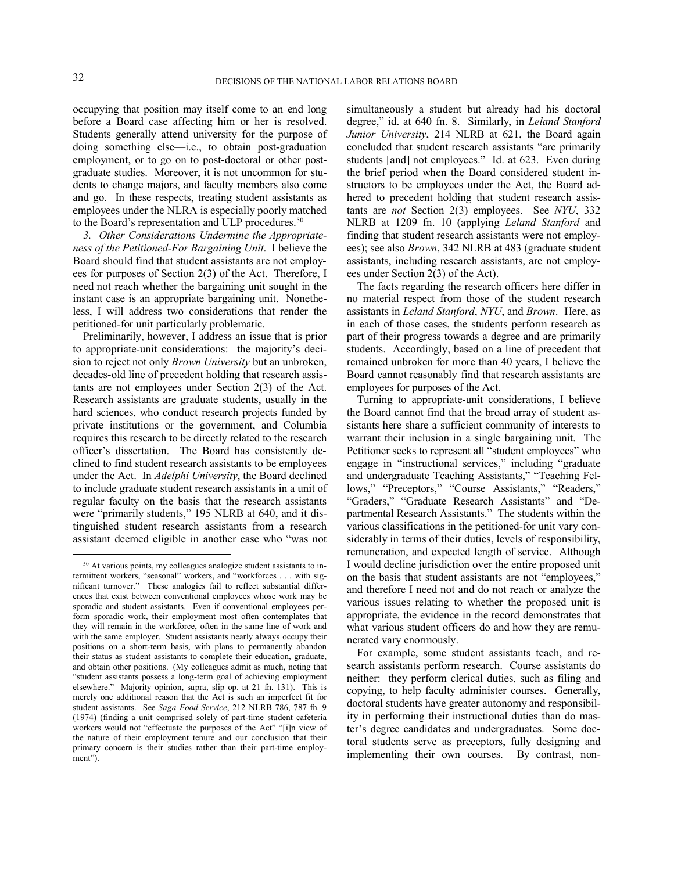1

occupying that position may itself come to an end long before a Board case affecting him or her is resolved. Students generally attend university for the purpose of doing something else—i.e., to obtain post-graduation employment, or to go on to post-doctoral or other postgraduate studies. Moreover, it is not uncommon for students to change majors, and faculty members also come and go. In these respects, treating student assistants as employees under the NLRA is especially poorly matched to the Board's representation and ULP procedures.<sup>50</sup>

*3. Other Considerations Undermine the Appropriateness of the Petitioned-For Bargaining Unit*. I believe the Board should find that student assistants are not employees for purposes of Section 2(3) of the Act. Therefore, I need not reach whether the bargaining unit sought in the instant case is an appropriate bargaining unit. Nonetheless, I will address two considerations that render the petitioned-for unit particularly problematic.

Preliminarily, however, I address an issue that is prior to appropriate-unit considerations: the majority's decision to reject not only *Brown University* but an unbroken, decades-old line of precedent holding that research assistants are not employees under Section 2(3) of the Act. Research assistants are graduate students, usually in the hard sciences, who conduct research projects funded by private institutions or the government, and Columbia requires this research to be directly related to the research officer's dissertation. The Board has consistently declined to find student research assistants to be employees under the Act. In *Adelphi University*, the Board declined to include graduate student research assistants in a unit of regular faculty on the basis that the research assistants were "primarily students," 195 NLRB at 640, and it distinguished student research assistants from a research assistant deemed eligible in another case who "was not

simultaneously a student but already had his doctoral degree," id. at 640 fn. 8. Similarly, in *Leland Stanford Junior University*, 214 NLRB at 621, the Board again concluded that student research assistants "are primarily students [and] not employees." Id. at 623. Even during the brief period when the Board considered student instructors to be employees under the Act, the Board adhered to precedent holding that student research assistants are *not* Section 2(3) employees. See *NYU*, 332 NLRB at 1209 fn. 10 (applying *Leland Stanford* and finding that student research assistants were not employees); see also *Brown*, 342 NLRB at 483 (graduate student assistants, including research assistants, are not employees under Section 2(3) of the Act).

The facts regarding the research officers here differ in no material respect from those of the student research assistants in *Leland Stanford*, *NYU*, and *Brown*. Here, as in each of those cases, the students perform research as part of their progress towards a degree and are primarily students. Accordingly, based on a line of precedent that remained unbroken for more than 40 years, I believe the Board cannot reasonably find that research assistants are employees for purposes of the Act.

Turning to appropriate-unit considerations, I believe the Board cannot find that the broad array of student assistants here share a sufficient community of interests to warrant their inclusion in a single bargaining unit. The Petitioner seeks to represent all "student employees" who engage in "instructional services," including "graduate and undergraduate Teaching Assistants," "Teaching Fellows," "Preceptors," "Course Assistants," "Readers," "Graders," "Graduate Research Assistants" and "Departmental Research Assistants." The students within the various classifications in the petitioned-for unit vary considerably in terms of their duties, levels of responsibility, remuneration, and expected length of service. Although I would decline jurisdiction over the entire proposed unit on the basis that student assistants are not "employees," and therefore I need not and do not reach or analyze the various issues relating to whether the proposed unit is appropriate, the evidence in the record demonstrates that what various student officers do and how they are remunerated vary enormously.

For example, some student assistants teach, and research assistants perform research. Course assistants do neither: they perform clerical duties, such as filing and copying, to help faculty administer courses. Generally, doctoral students have greater autonomy and responsibility in performing their instructional duties than do master's degree candidates and undergraduates. Some doctoral students serve as preceptors, fully designing and implementing their own courses. By contrast, non-

<sup>50</sup> At various points, my colleagues analogize student assistants to intermittent workers, "seasonal" workers, and "workforces . . . with significant turnover." These analogies fail to reflect substantial differences that exist between conventional employees whose work may be sporadic and student assistants. Even if conventional employees perform sporadic work, their employment most often contemplates that they will remain in the workforce, often in the same line of work and with the same employer. Student assistants nearly always occupy their positions on a short-term basis, with plans to permanently abandon their status as student assistants to complete their education, graduate, and obtain other positions. (My colleagues admit as much, noting that "student assistants possess a long-term goal of achieving employment elsewhere." Majority opinion, supra, slip op. at 21 fn. 131). This is merely one additional reason that the Act is such an imperfect fit for student assistants. See *Saga Food Service*, 212 NLRB 786, 787 fn. 9 (1974) (finding a unit comprised solely of part-time student cafeteria workers would not "effectuate the purposes of the Act" "[i]n view of the nature of their employment tenure and our conclusion that their primary concern is their studies rather than their part-time employment").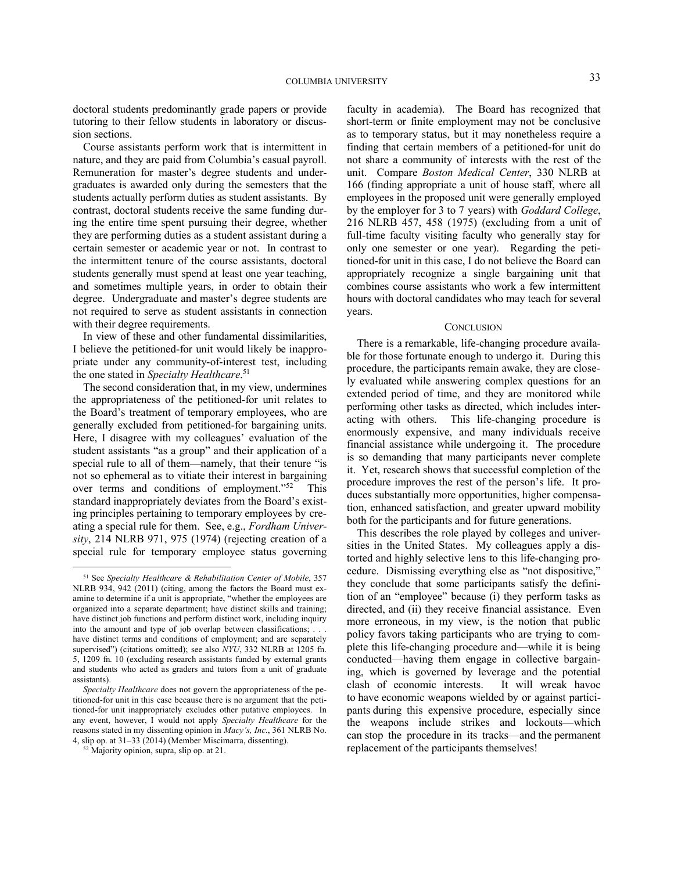doctoral students predominantly grade papers or provide tutoring to their fellow students in laboratory or discussion sections.

Course assistants perform work that is intermittent in nature, and they are paid from Columbia's casual payroll. Remuneration for master's degree students and undergraduates is awarded only during the semesters that the students actually perform duties as student assistants. By contrast, doctoral students receive the same funding during the entire time spent pursuing their degree, whether they are performing duties as a student assistant during a certain semester or academic year or not. In contrast to the intermittent tenure of the course assistants, doctoral students generally must spend at least one year teaching, and sometimes multiple years, in order to obtain their degree. Undergraduate and master's degree students are not required to serve as student assistants in connection with their degree requirements.

In view of these and other fundamental dissimilarities, I believe the petitioned-for unit would likely be inappropriate under any community-of-interest test, including the one stated in *Specialty Healthcare*. 51

The second consideration that, in my view, undermines the appropriateness of the petitioned-for unit relates to the Board's treatment of temporary employees, who are generally excluded from petitioned-for bargaining units. Here, I disagree with my colleagues' evaluation of the student assistants "as a group" and their application of a special rule to all of them—namely, that their tenure "is not so ephemeral as to vitiate their interest in bargaining over terms and conditions of employment."<sup>52</sup> This standard inappropriately deviates from the Board's existing principles pertaining to temporary employees by creating a special rule for them. See, e.g., *Fordham University*, 214 NLRB 971, 975 (1974) (rejecting creation of a special rule for temporary employee status governing

1

faculty in academia). The Board has recognized that short-term or finite employment may not be conclusive as to temporary status, but it may nonetheless require a finding that certain members of a petitioned-for unit do not share a community of interests with the rest of the unit. Compare *Boston Medical Center*, 330 NLRB at 166 (finding appropriate a unit of house staff, where all employees in the proposed unit were generally employed by the employer for 3 to 7 years) with *Goddard College*, 216 NLRB 457, 458 (1975) (excluding from a unit of full-time faculty visiting faculty who generally stay for only one semester or one year). Regarding the petitioned-for unit in this case, I do not believe the Board can appropriately recognize a single bargaining unit that combines course assistants who work a few intermittent hours with doctoral candidates who may teach for several years.

#### **CONCLUSION**

There is a remarkable, life-changing procedure available for those fortunate enough to undergo it. During this procedure, the participants remain awake, they are closely evaluated while answering complex questions for an extended period of time, and they are monitored while performing other tasks as directed, which includes interacting with others. This life-changing procedure is enormously expensive, and many individuals receive financial assistance while undergoing it. The procedure is so demanding that many participants never complete it. Yet, research shows that successful completion of the procedure improves the rest of the person's life. It produces substantially more opportunities, higher compensation, enhanced satisfaction, and greater upward mobility both for the participants and for future generations.

This describes the role played by colleges and universities in the United States. My colleagues apply a distorted and highly selective lens to this life-changing procedure. Dismissing everything else as "not dispositive," they conclude that some participants satisfy the definition of an "employee" because (i) they perform tasks as directed, and (ii) they receive financial assistance. Even more erroneous, in my view, is the notion that public policy favors taking participants who are trying to complete this life-changing procedure and—while it is being conducted—having them engage in collective bargaining, which is governed by leverage and the potential clash of economic interests. It will wreak havoc to have economic weapons wielded by or against participants during this expensive procedure, especially since the weapons include strikes and lockouts—which can stop the procedure in its tracks—and the permanent replacement of the participants themselves!

<sup>51</sup> See *Specialty Healthcare & Rehabilitation Center of Mobile*, 357 NLRB 934, 942 (2011) (citing, among the factors the Board must examine to determine if a unit is appropriate, "whether the employees are organized into a separate department; have distinct skills and training; have distinct job functions and perform distinct work, including inquiry into the amount and type of job overlap between classifications; . . . have distinct terms and conditions of employment; and are separately supervised") (citations omitted); see also *NYU*, 332 NLRB at 1205 fn. 5, 1209 fn. 10 (excluding research assistants funded by external grants and students who acted as graders and tutors from a unit of graduate assistants).

*Specialty Healthcare* does not govern the appropriateness of the petitioned-for unit in this case because there is no argument that the petitioned-for unit inappropriately excludes other putative employees. In any event, however, I would not apply *Specialty Healthcare* for the reasons stated in my dissenting opinion in *Macy's, Inc.*, 361 NLRB No. 4, slip op. at 31–33 (2014) (Member Miscimarra, dissenting).

<sup>52</sup> Majority opinion, supra, slip op. at 21.